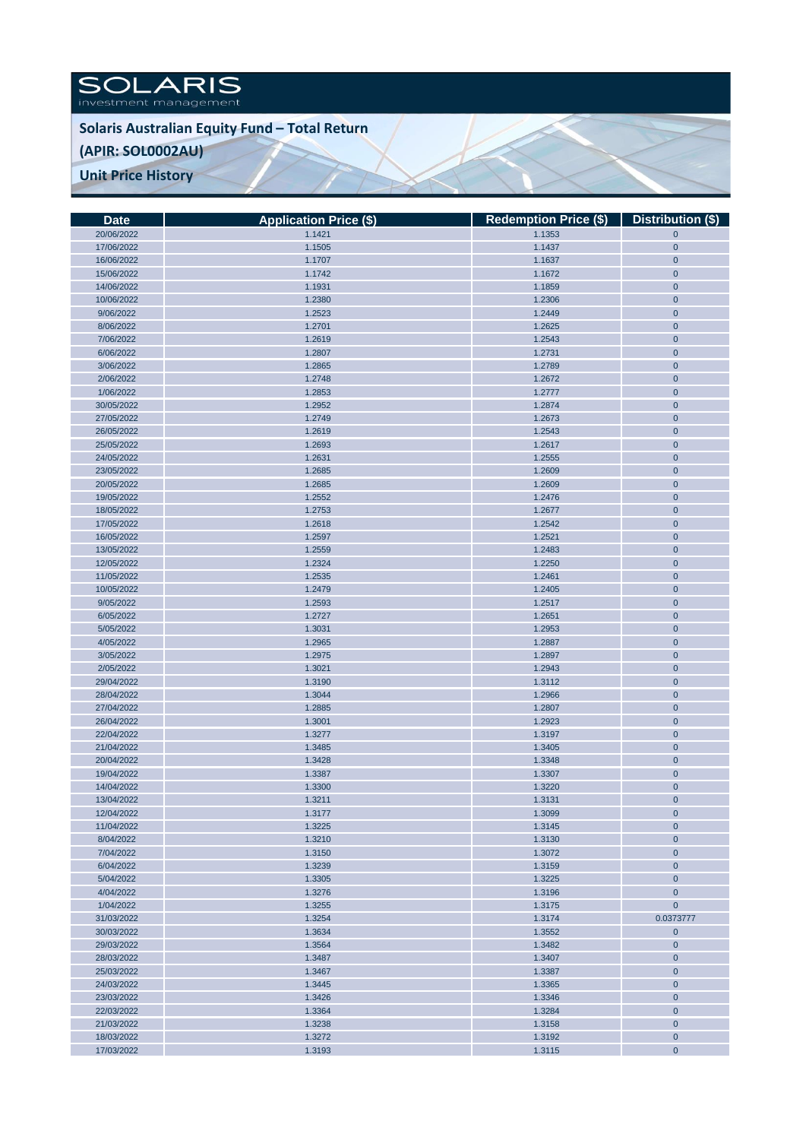SOLARIS

**Solaris Australian Equity Fund – Total Return**

## **(APIR: SOL0002AU)**

**Unit Price History** 

| <b>Date</b> | <b>Application Price (\$)</b> | Redemption Price (\$)   Distribution (\$) |                |
|-------------|-------------------------------|-------------------------------------------|----------------|
| 20/06/2022  | 1.1421                        | 1.1353                                    | $\mathbf{0}$   |
| 17/06/2022  | 1.1505                        | 1.1437                                    | $\mathbf{0}$   |
| 16/06/2022  | 1.1707                        | 1.1637                                    | $\mathbf 0$    |
| 15/06/2022  | 1.1742                        | 1.1672                                    | $\mathbf{0}$   |
| 14/06/2022  | 1.1931                        | 1.1859                                    | $\mathbf{0}$   |
| 10/06/2022  | 1.2380                        | 1.2306                                    | $\mathbf{0}$   |
| 9/06/2022   | 1.2523                        | 1.2449                                    | $\mathbf 0$    |
| 8/06/2022   | 1.2701                        | 1.2625                                    | $\mathbf{0}$   |
| 7/06/2022   | 1.2619                        | 1.2543                                    | $\mathbf{0}$   |
| 6/06/2022   | 1.2807                        | 1.2731                                    | $\mathbf{0}$   |
| 3/06/2022   | 1.2865                        | 1.2789                                    | $\mathbf 0$    |
| 2/06/2022   | 1.2748                        | 1.2672                                    | $\mathbf 0$    |
| 1/06/2022   | 1.2853                        | 1.2777                                    | $\mathbf{0}$   |
| 30/05/2022  | 1.2952                        | 1.2874                                    | $\mathbf{0}$   |
| 27/05/2022  | 1.2749                        | 1.2673                                    | $\overline{0}$ |
| 26/05/2022  | 1.2619                        | 1.2543                                    | $\mathbf 0$    |
| 25/05/2022  | 1.2693                        | 1.2617                                    | $\mathbf{0}$   |
| 24/05/2022  | 1.2631                        | 1.2555                                    | $\mathbf{0}$   |
| 23/05/2022  | 1.2685                        | 1.2609                                    | $\mathbf{0}$   |
| 20/05/2022  | 1.2685                        | 1.2609                                    | $\overline{0}$ |
| 19/05/2022  | 1.2552                        | 1.2476                                    | $\mathbf{0}$   |
| 18/05/2022  | 1.2753                        | 1.2677                                    | $\mathbf{0}$   |
| 17/05/2022  | 1.2618                        | 1.2542                                    | $\mathbf 0$    |
| 16/05/2022  | 1.2597                        | 1.2521                                    | $\mathbf 0$    |
| 13/05/2022  | 1.2559                        | 1.2483                                    | $\mathbf{0}$   |
| 12/05/2022  | 1.2324                        | 1.2250                                    | $\mathbf{0}$   |
| 11/05/2022  | 1.2535                        | 1.2461                                    | $\mathbf{0}$   |
| 10/05/2022  | 1.2479                        | 1.2405                                    | $\overline{0}$ |
| 9/05/2022   | 1.2593                        | 1.2517                                    | $\mathbf{0}$   |
| 6/05/2022   | 1.2727                        | 1.2651                                    | $\mathbf{0}$   |
| 5/05/2022   | 1.3031                        | 1.2953                                    | $\mathbf{0}$   |
| 4/05/2022   | 1.2965                        | 1.2887                                    | $\mathbf 0$    |
| 3/05/2022   | 1.2975                        | 1.2897                                    | $\mathbf{0}$   |
| 2/05/2022   | 1.3021                        | 1.2943                                    | $\mathbf{0}$   |
| 29/04/2022  | 1.3190                        | 1.3112                                    | $\mathbf 0$    |
| 28/04/2022  | 1.3044                        | 1.2966                                    | $\mathbf 0$    |
| 27/04/2022  | 1.2885                        | 1.2807                                    | $\mathbf{0}$   |
| 26/04/2022  | 1.3001                        | 1.2923                                    | $\mathbf{0}$   |
| 22/04/2022  | 1.3277                        | 1.3197                                    | $\mathbf{0}$   |
| 21/04/2022  | 1.3485                        | 1.3405                                    | $\mathbf 0$    |
| 20/04/2022  | 1.3428                        | 1.3348                                    | $\mathbf 0$    |
| 19/04/2022  | 1.3387                        | 1.3307                                    | $\mathbf 0$    |
| 14/04/2022  | 1.3300                        | 1.3220                                    | $\mathbf{0}$   |
| 13/04/2022  | 1.3211                        | 1.3131                                    | $\mathbf{0}$   |
| 12/04/2022  | 1.3177                        | 1.3099                                    | $\mathbf 0$    |
| 11/04/2022  | 1.3225                        | 1.3145                                    | $\mathbf{0}$   |
| 8/04/2022   | 1.3210                        | 1.3130                                    | $\mathbf{0}$   |
| 7/04/2022   | 1.3150                        | 1.3072                                    | $\mathbf{0}$   |
| 6/04/2022   | 1.3239                        | 1.3159                                    | $\mathbf 0$    |
| 5/04/2022   | 1.3305                        | 1.3225                                    | $\mathbf{0}$   |
| 4/04/2022   | 1.3276                        | 1.3196                                    | $\mathbf{0}$   |
| 1/04/2022   | 1.3255                        | 1.3175                                    | $\mathbf{0}$   |
| 31/03/2022  | 1.3254                        | 1.3174                                    | 0.0373777      |
| 30/03/2022  | 1.3634                        | 1.3552                                    | $\mathbf{0}$   |
| 29/03/2022  | 1.3564                        | 1.3482                                    | $\mathbf{0}$   |
| 28/03/2022  | 1.3487                        | 1.3407                                    | $\mathbf{0}$   |
| 25/03/2022  | 1.3467                        | 1.3387                                    | $\mathbf 0$    |
| 24/03/2022  | 1.3445                        | 1.3365                                    | $\mathbf{0}$   |
| 23/03/2022  | 1.3426                        | 1.3346                                    | $\mathbf{0}$   |
| 22/03/2022  | 1.3364                        | 1.3284                                    | $\mathbf{0}$   |
| 21/03/2022  | 1.3238                        | 1.3158                                    | $\mathbf{0}$   |
| 18/03/2022  | 1.3272                        | 1.3192                                    | $\mathbf{0}$   |
| 17/03/2022  | 1.3193                        | 1.3115                                    | $\mathbf{0}$   |
|             |                               |                                           |                |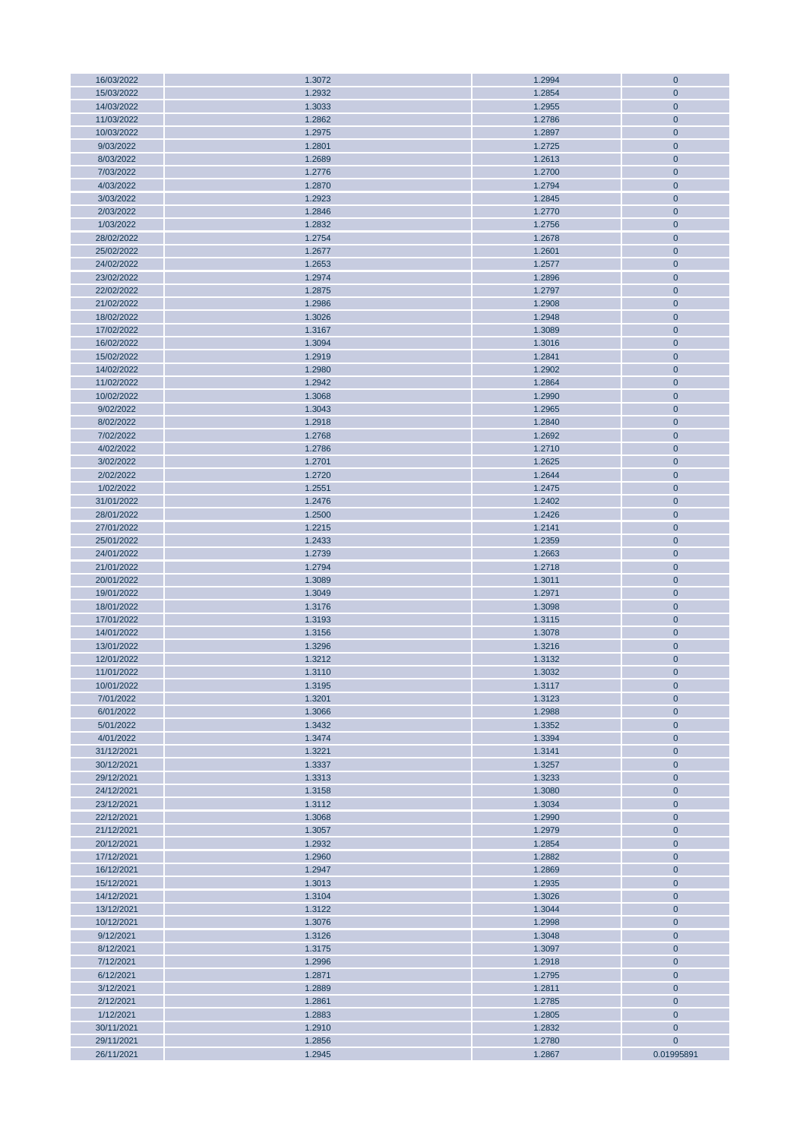| 16/03/2022 | 1.3072 | 1.2994 | $\mathbf 0$  |
|------------|--------|--------|--------------|
| 15/03/2022 | 1.2932 | 1.2854 | $\mathbf{0}$ |
| 14/03/2022 | 1.3033 | 1.2955 | $\mathbf{0}$ |
| 11/03/2022 | 1.2862 | 1.2786 | $\mathbf 0$  |
|            |        |        |              |
| 10/03/2022 | 1.2975 | 1.2897 | $\mathbf 0$  |
| 9/03/2022  | 1.2801 | 1.2725 | $\mathbf{0}$ |
| 8/03/2022  | 1.2689 | 1.2613 | $\mathbf{0}$ |
| 7/03/2022  | 1.2776 | 1.2700 | $\mathbf{0}$ |
| 4/03/2022  | 1.2870 | 1.2794 | $\mathbf 0$  |
| 3/03/2022  | 1.2923 | 1.2845 | $\mathbf{0}$ |
|            |        |        |              |
| 2/03/2022  | 1.2846 | 1.2770 | $\mathbf{0}$ |
| 1/03/2022  | 1.2832 | 1.2756 | $\mathbf{0}$ |
| 28/02/2022 | 1.2754 | 1.2678 | $\mathbf 0$  |
| 25/02/2022 | 1.2677 | 1.2601 | $\mathbf{0}$ |
| 24/02/2022 | 1.2653 | 1.2577 | $\mathbf{0}$ |
| 23/02/2022 | 1.2974 | 1.2896 | $\mathbf{0}$ |
|            |        |        |              |
| 22/02/2022 | 1.2875 | 1.2797 | $\mathbf 0$  |
| 21/02/2022 | 1.2986 | 1.2908 | $\mathbf 0$  |
| 18/02/2022 | 1.3026 | 1.2948 | $\mathbf{0}$ |
| 17/02/2022 | 1.3167 | 1.3089 | $\mathbf{0}$ |
| 16/02/2022 | 1.3094 | 1.3016 | $\mathbf 0$  |
| 15/02/2022 | 1.2919 | 1.2841 | $\mathbf 0$  |
|            |        |        |              |
| 14/02/2022 | 1.2980 | 1.2902 | $\mathbf{0}$ |
| 11/02/2022 | 1.2942 | 1.2864 | $\mathbf 0$  |
| 10/02/2022 | 1.3068 | 1.2990 | $\mathbf 0$  |
| 9/02/2022  | 1.3043 | 1.2965 | $\mathbf 0$  |
| 8/02/2022  | 1.2918 | 1.2840 | $\mathbf{0}$ |
| 7/02/2022  | 1.2768 | 1.2692 | $\mathbf 0$  |
| 4/02/2022  | 1.2786 | 1.2710 | $\mathbf 0$  |
|            |        |        |              |
| 3/02/2022  | 1.2701 | 1.2625 | $\mathbf 0$  |
| 2/02/2022  | 1.2720 | 1.2644 | $\mathbf{0}$ |
| 1/02/2022  | 1.2551 | 1.2475 | $\mathbf 0$  |
| 31/01/2022 | 1.2476 | 1.2402 | $\mathbf 0$  |
| 28/01/2022 | 1.2500 | 1.2426 | $\mathbf 0$  |
| 27/01/2022 | 1.2215 | 1.2141 | $\mathbf{0}$ |
|            |        |        |              |
| 25/01/2022 | 1.2433 | 1.2359 | $\mathbf{0}$ |
| 24/01/2022 | 1.2739 | 1.2663 | $\mathbf{0}$ |
| 21/01/2022 | 1.2794 | 1.2718 | $\mathbf 0$  |
| 20/01/2022 | 1.3089 | 1.3011 | $\mathbf{0}$ |
| 19/01/2022 | 1.3049 | 1.2971 | $\mathbf{0}$ |
| 18/01/2022 | 1.3176 | 1.3098 | $\mathbf 0$  |
| 17/01/2022 | 1.3193 | 1.3115 | $\mathbf 0$  |
| 14/01/2022 |        |        |              |
|            | 1.3156 | 1.3078 | $\mathbf{0}$ |
| 13/01/2022 | 1.3296 | 1.3216 | $\mathbf{0}$ |
| 12/01/2022 | 1.3212 | 1.3132 | $\mathbf{0}$ |
| 11/01/2022 | 1.3110 | 1.3032 | $\mathbf 0$  |
| 10/01/2022 | 1.3195 | 1.3117 | $\mathbf{0}$ |
| 7/01/2022  | 1.3201 | 1.3123 | $\mathbf{0}$ |
| 6/01/2022  | 1.3066 | 1.2988 | $\mathbf{0}$ |
|            |        |        |              |
| 5/01/2022  | 1.3432 | 1.3352 | $\mathbf 0$  |
| 4/01/2022  | 1.3474 | 1.3394 | $\mathbf 0$  |
| 31/12/2021 | 1.3221 | 1.3141 | $\mathbf{0}$ |
| 30/12/2021 | 1.3337 | 1.3257 | $\mathbf 0$  |
| 29/12/2021 | 1.3313 | 1.3233 | $\mathbf 0$  |
| 24/12/2021 | 1.3158 | 1.3080 | $\mathbf 0$  |
| 23/12/2021 | 1.3112 | 1.3034 | $\mathbf{0}$ |
| 22/12/2021 | 1.3068 | 1.2990 | $\mathbf 0$  |
|            |        |        |              |
| 21/12/2021 | 1.3057 | 1.2979 | $\mathbf 0$  |
| 20/12/2021 | 1.2932 | 1.2854 | $\mathbf 0$  |
| 17/12/2021 | 1.2960 | 1.2882 | $\mathbf 0$  |
| 16/12/2021 | 1.2947 | 1.2869 | $\mathbf 0$  |
| 15/12/2021 | 1.3013 | 1.2935 | $\pmb{0}$    |
| 14/12/2021 | 1.3104 | 1.3026 | $\mathbf 0$  |
| 13/12/2021 | 1.3122 | 1.3044 | $\mathbf{0}$ |
|            |        |        |              |
| 10/12/2021 | 1.3076 | 1.2998 | $\mathbf{0}$ |
| 9/12/2021  | 1.3126 | 1.3048 | $\mathbf{0}$ |
| 8/12/2021  | 1.3175 | 1.3097 | $\mathbf 0$  |
| 7/12/2021  | 1.2996 | 1.2918 | $\mathbf 0$  |
| 6/12/2021  | 1.2871 | 1.2795 | $\mathbf{0}$ |
| 3/12/2021  | 1.2889 | 1.2811 | $\mathbf 0$  |
|            |        |        |              |
| 2/12/2021  | 1.2861 | 1.2785 | $\mathbf 0$  |
| 1/12/2021  | 1.2883 | 1.2805 | $\mathbf{0}$ |
| 30/11/2021 | 1.2910 | 1.2832 | $\mathbf 0$  |
| 29/11/2021 | 1.2856 | 1.2780 | $\mathbf 0$  |
| 26/11/2021 | 1.2945 | 1.2867 | 0.01995891   |
|            |        |        |              |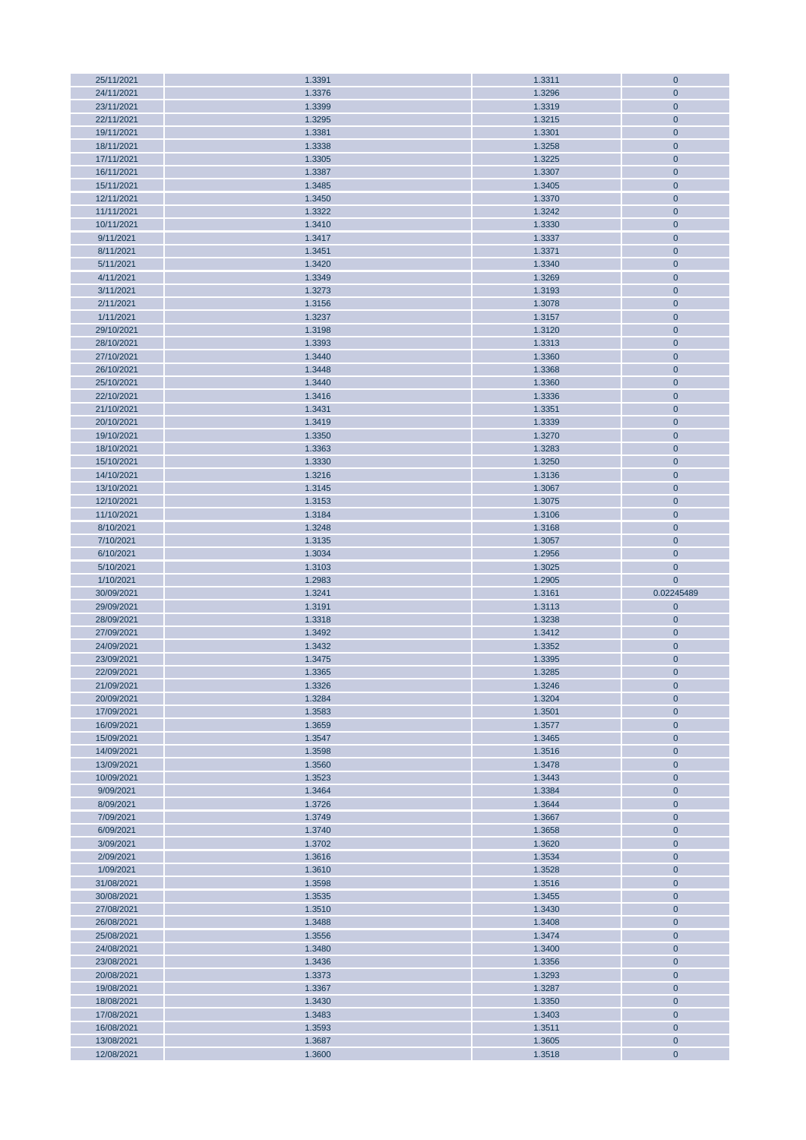| 25/11/2021               | 1.3391           | 1.3311           | $\mathbf{0}$             |
|--------------------------|------------------|------------------|--------------------------|
| 24/11/2021               | 1.3376           | 1.3296           | $\mathbf 0$              |
| 23/11/2021               | 1.3399           | 1.3319           | $\mathbf 0$              |
|                          |                  |                  |                          |
| 22/11/2021               | 1.3295           | 1.3215           | $\mathbf 0$              |
| 19/11/2021               | 1.3381           | 1.3301           | $\mathbf 0$              |
| 18/11/2021               | 1.3338           | 1.3258           | $\mathbf 0$              |
| 17/11/2021               | 1.3305           | 1.3225           | $\mathbf{0}$             |
| 16/11/2021               | 1.3387           | 1.3307           | $\mathbf 0$              |
|                          |                  |                  |                          |
| 15/11/2021               | 1.3485           | 1.3405           | $\mathbf 0$              |
| 12/11/2021               | 1.3450           | 1.3370           | $\mathbf 0$              |
| 11/11/2021               | 1.3322           | 1.3242           | $\mathbf 0$              |
| 10/11/2021               | 1.3410           | 1.3330           | $\pmb{0}$                |
| 9/11/2021                | 1.3417           | 1.3337           | $\mathbf 0$              |
|                          |                  |                  |                          |
| 8/11/2021                | 1.3451           | 1.3371           | $\mathbf 0$              |
| 5/11/2021                | 1.3420           | 1.3340           | $\mathbf 0$              |
| 4/11/2021                | 1.3349           | 1.3269           | $\mathbf 0$              |
| 3/11/2021                | 1.3273           | 1.3193           | $\mathbf 0$              |
| 2/11/2021                | 1.3156           | 1.3078           | $\mathbf 0$              |
| 1/11/2021                | 1.3237           | 1.3157           | $\mathbf 0$              |
|                          |                  |                  |                          |
| 29/10/2021               | 1.3198           | 1.3120           | $\mathbf{0}$             |
| 28/10/2021               | 1.3393           | 1.3313           | $\mathbf 0$              |
| 27/10/2021               | 1.3440           | 1.3360           | $\mathbf 0$              |
| 26/10/2021               | 1.3448           | 1.3368           | $\mathbf 0$              |
| 25/10/2021               | 1.3440           | 1.3360           | $\mathbf 0$              |
|                          |                  |                  |                          |
| 22/10/2021               | 1.3416           | 1.3336           | $\mathbf 0$              |
| 21/10/2021               | 1.3431           | 1.3351           | $\mathbf 0$              |
| 20/10/2021               | 1.3419           | 1.3339           | $\mathbf 0$              |
| 19/10/2021               | 1.3350           | 1.3270           | $\mathbf{0}$             |
| 18/10/2021               | 1.3363           | 1.3283           | $\mathbf 0$              |
|                          |                  |                  | $\mathbf 0$              |
| 15/10/2021               | 1.3330           | 1.3250           |                          |
| 14/10/2021               | 1.3216           | 1.3136           | $\mathbf 0$              |
| 13/10/2021               | 1.3145           | 1.3067           | $\mathbf 0$              |
| 12/10/2021               | 1.3153           | 1.3075           | $\mathbf 0$              |
| 11/10/2021               | 1.3184           | 1.3106           | $\mathbf 0$              |
| 8/10/2021                | 1.3248           | 1.3168           | $\mathbf 0$              |
|                          |                  |                  |                          |
| 7/10/2021                | 1.3135           | 1.3057           | $\mathbf{0}$             |
| 6/10/2021                | 1.3034           | 1.2956           | $\mathbf 0$              |
|                          |                  |                  |                          |
| 5/10/2021                | 1.3103           | 1.3025           | $\mathbf 0$              |
| 1/10/2021                | 1.2983           |                  | $\mathbf{0}$             |
|                          |                  | 1.2905           |                          |
| 30/09/2021               | 1.3241           | 1.3161           | 0.02245489               |
| 29/09/2021               | 1.3191           | 1.3113           | $\pmb{0}$                |
| 28/09/2021               | 1.3318           | 1.3238           | $\mathbf 0$              |
| 27/09/2021               | 1.3492           | 1.3412           | $\mathbf 0$              |
| 24/09/2021               | 1.3432           | 1.3352           | $\mathbf 0$              |
|                          |                  |                  |                          |
| 23/09/2021               | 1.3475           | 1.3395           | $\mathbf 0$              |
| 22/09/2021               | 1.3365           | 1.3285           | $\mathbf 0$              |
| 21/09/2021               | 1.3326           | 1.3246           | $\mathbf 0$              |
| 20/09/2021               | 1.3284           | 1.3204           | $\mathbf 0$              |
| 17/09/2021               | 1.3583           | 1.3501           | $\mathbf 0$              |
| 16/09/2021               | 1.3659           | 1.3577           | $\mathbf 0$              |
|                          |                  |                  |                          |
| 15/09/2021               | 1.3547           | 1.3465           | $\mathbf 0$              |
| 14/09/2021               | 1.3598           | 1.3516           | $\mathbf 0$              |
| 13/09/2021               | 1.3560           | 1.3478           | $\mathbf 0$              |
| 10/09/2021               | 1.3523           | 1.3443           | $\mathbf 0$              |
| 9/09/2021                | 1.3464           | 1.3384           | $\mathbf 0$              |
| 8/09/2021                | 1.3726           | 1.3644           | $\mathbf 0$              |
|                          |                  |                  |                          |
| 7/09/2021                | 1.3749           | 1.3667           | $\mathbf{0}$             |
| 6/09/2021                | 1.3740           | 1.3658           | $\mathbf 0$              |
| 3/09/2021                | 1.3702           | 1.3620           | $\mathbf 0$              |
| 2/09/2021                | 1.3616           | 1.3534           | $\mathbf 0$              |
| 1/09/2021                | 1.3610           | 1.3528           | $\mathbf 0$              |
| 31/08/2021               | 1.3598           | 1.3516           | $\mathbf 0$              |
|                          |                  |                  |                          |
| 30/08/2021               | 1.3535           | 1.3455           | $\mathbf 0$              |
| 27/08/2021               | 1.3510           | 1.3430           | $\mathbf 0$              |
| 26/08/2021               | 1.3488           | 1.3408           | $\mathbf{0}$             |
| 25/08/2021               | 1.3556           | 1.3474           | $\mathbf 0$              |
| 24/08/2021               | 1.3480           | 1.3400           | $\mathbf 0$              |
|                          |                  |                  |                          |
| 23/08/2021               | 1.3436           | 1.3356           | $\mathbf 0$              |
| 20/08/2021               | 1.3373           | 1.3293           | $\mathbf 0$              |
| 19/08/2021               | 1.3367           | 1.3287           | $\mathbf 0$              |
| 18/08/2021               | 1.3430           | 1.3350           | $\mathbf 0$              |
| 17/08/2021               | 1.3483           | 1.3403           | $\mathbf 0$              |
|                          |                  |                  |                          |
| 16/08/2021               | 1.3593           | 1.3511           | $\mathbf 0$              |
| 13/08/2021<br>12/08/2021 | 1.3687<br>1.3600 | 1.3605<br>1.3518 | $\mathbf 0$<br>$\pmb{0}$ |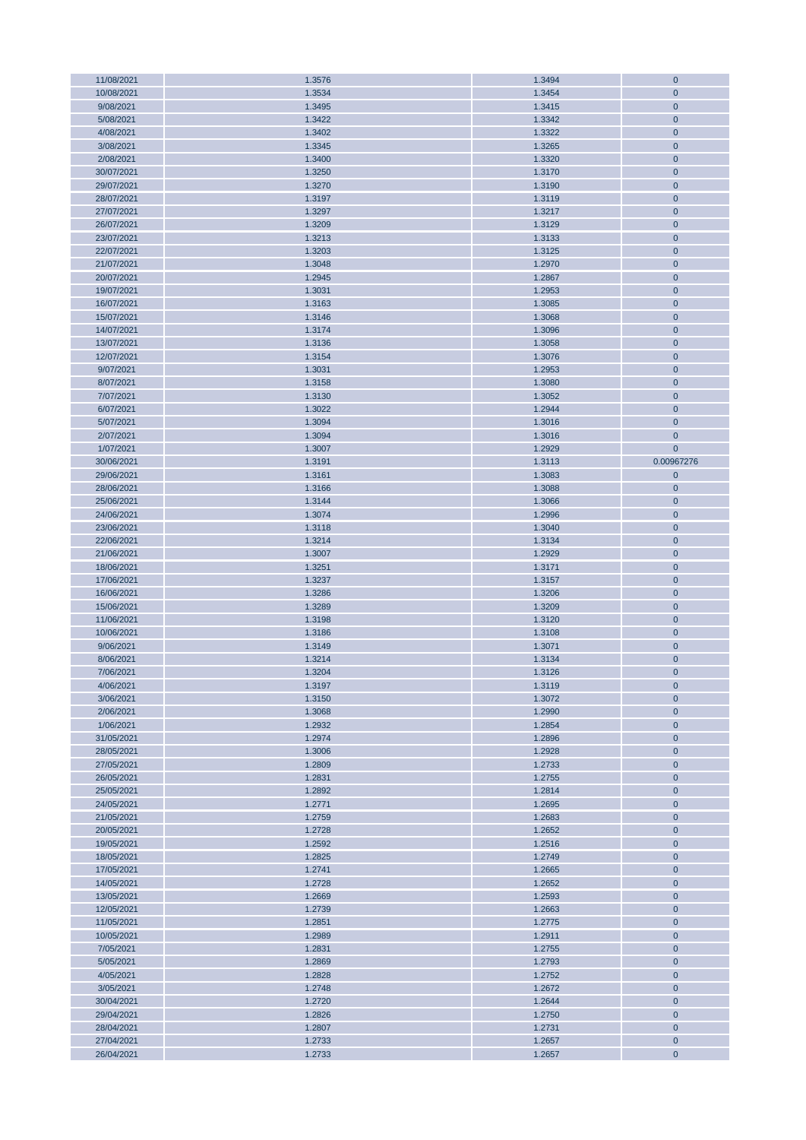| 11/08/2021 | 1.3576 | 1.3494 | $\mathbf 0$  |
|------------|--------|--------|--------------|
| 10/08/2021 | 1.3534 | 1.3454 | $\mathbf{0}$ |
| 9/08/2021  | 1.3495 | 1.3415 | $\mathbf{0}$ |
| 5/08/2021  | 1.3422 | 1.3342 | $\mathbf 0$  |
|            |        |        |              |
| 4/08/2021  | 1.3402 | 1.3322 | $\mathbf 0$  |
| 3/08/2021  | 1.3345 | 1.3265 | $\mathbf{0}$ |
| 2/08/2021  | 1.3400 | 1.3320 | $\mathbf{0}$ |
| 30/07/2021 | 1.3250 | 1.3170 | $\mathbf{0}$ |
| 29/07/2021 | 1.3270 | 1.3190 | $\mathbf 0$  |
| 28/07/2021 | 1.3197 | 1.3119 | $\mathbf{0}$ |
|            |        |        |              |
| 27/07/2021 | 1.3297 | 1.3217 | $\mathbf{0}$ |
| 26/07/2021 | 1.3209 | 1.3129 | $\mathbf{0}$ |
| 23/07/2021 | 1.3213 | 1.3133 | $\mathbf 0$  |
| 22/07/2021 | 1.3203 | 1.3125 | $\mathbf{0}$ |
| 21/07/2021 | 1.3048 | 1.2970 | $\mathbf{0}$ |
| 20/07/2021 | 1.2945 | 1.2867 | $\mathbf{0}$ |
|            |        |        |              |
| 19/07/2021 | 1.3031 | 1.2953 | $\mathbf 0$  |
| 16/07/2021 | 1.3163 | 1.3085 | $\mathbf 0$  |
| 15/07/2021 | 1.3146 | 1.3068 | $\mathbf{0}$ |
| 14/07/2021 | 1.3174 | 1.3096 | $\mathbf{0}$ |
| 13/07/2021 | 1.3136 | 1.3058 | $\mathbf 0$  |
| 12/07/2021 | 1.3154 | 1.3076 | $\mathbf 0$  |
|            |        |        |              |
| 9/07/2021  | 1.3031 | 1.2953 | $\mathbf{0}$ |
| 8/07/2021  | 1.3158 | 1.3080 | $\mathbf 0$  |
| 7/07/2021  | 1.3130 | 1.3052 | $\mathbf 0$  |
| 6/07/2021  | 1.3022 | 1.2944 | $\mathbf 0$  |
| 5/07/2021  | 1.3094 | 1.3016 | $\mathbf{0}$ |
| 2/07/2021  | 1.3094 | 1.3016 | $\mathbf{0}$ |
|            |        |        |              |
| 1/07/2021  | 1.3007 | 1.2929 | $\mathbf{0}$ |
| 30/06/2021 | 1.3191 | 1.3113 | 0.00967276   |
| 29/06/2021 | 1.3161 | 1.3083 | $\mathbf 0$  |
| 28/06/2021 | 1.3166 | 1.3088 | $\mathbf 0$  |
| 25/06/2021 | 1.3144 | 1.3066 | $\mathbf 0$  |
| 24/06/2021 | 1.3074 | 1.2996 | $\mathbf 0$  |
|            |        |        |              |
| 23/06/2021 | 1.3118 | 1.3040 | $\mathbf{0}$ |
| 22/06/2021 | 1.3214 | 1.3134 | $\mathbf{0}$ |
| 21/06/2021 | 1.3007 | 1.2929 | $\mathbf{0}$ |
| 18/06/2021 | 1.3251 | 1.3171 | $\mathbf 0$  |
| 17/06/2021 | 1.3237 | 1.3157 | $\mathbf 0$  |
| 16/06/2021 | 1.3286 | 1.3206 | $\mathbf{0}$ |
| 15/06/2021 | 1.3289 | 1.3209 | $\mathbf{0}$ |
|            |        |        |              |
| 11/06/2021 | 1.3198 | 1.3120 | $\mathbf 0$  |
| 10/06/2021 | 1.3186 | 1.3108 | $\mathbf 0$  |
| 9/06/2021  | 1.3149 | 1.3071 | $\mathbf{0}$ |
| 8/06/2021  | 1.3214 | 1.3134 | $\mathbf{0}$ |
| 7/06/2021  | 1.3204 | 1.3126 | $\mathbf 0$  |
| 4/06/2021  | 1.3197 | 1.3119 | $\mathbf{0}$ |
| 3/06/2021  | 1.3150 | 1.3072 | $\mathbf{0}$ |
|            |        |        |              |
| 2/06/2021  | 1.3068 | 1.2990 | $\mathbf{0}$ |
| 1/06/2021  | 1.2932 | 1.2854 | $\mathbf 0$  |
| 31/05/2021 | 1.2974 | 1.2896 | $\mathbf 0$  |
| 28/05/2021 | 1.3006 | 1.2928 | $\mathbf 0$  |
| 27/05/2021 | 1.2809 | 1.2733 | $\mathbf 0$  |
| 26/05/2021 | 1.2831 | 1.2755 | $\pmb{0}$    |
| 25/05/2021 | 1.2892 | 1.2814 | $\mathbf 0$  |
|            |        |        |              |
| 24/05/2021 | 1.2771 | 1.2695 | $\mathbf{0}$ |
| 21/05/2021 | 1.2759 | 1.2683 | $\mathbf 0$  |
| 20/05/2021 | 1.2728 | 1.2652 | $\mathbf 0$  |
| 19/05/2021 | 1.2592 | 1.2516 | $\mathbf 0$  |
| 18/05/2021 | 1.2825 | 1.2749 | $\mathbf 0$  |
| 17/05/2021 |        |        |              |
| 14/05/2021 |        |        |              |
|            | 1.2741 | 1.2665 | $\mathbf 0$  |
|            | 1.2728 | 1.2652 | $\mathbf 0$  |
| 13/05/2021 | 1.2669 | 1.2593 | $\mathbf 0$  |
| 12/05/2021 | 1.2739 | 1.2663 | $\mathbf{0}$ |
| 11/05/2021 | 1.2851 | 1.2775 | $\mathbf{0}$ |
| 10/05/2021 | 1.2989 | 1.2911 | $\mathbf{0}$ |
|            |        |        |              |
| 7/05/2021  | 1.2831 | 1.2755 | $\mathbf 0$  |
| 5/05/2021  | 1.2869 | 1.2793 | $\mathbf{0}$ |
| 4/05/2021  | 1.2828 | 1.2752 | $\mathbf{0}$ |
| 3/05/2021  | 1.2748 | 1.2672 | $\mathbf 0$  |
| 30/04/2021 | 1.2720 | 1.2644 | $\mathbf{0}$ |
| 29/04/2021 | 1.2826 | 1.2750 | $\mathbf{0}$ |
| 28/04/2021 | 1.2807 | 1.2731 | $\mathbf{0}$ |
| 27/04/2021 | 1.2733 | 1.2657 | $\mathbf 0$  |
| 26/04/2021 | 1.2733 | 1.2657 | $\mathbf{0}$ |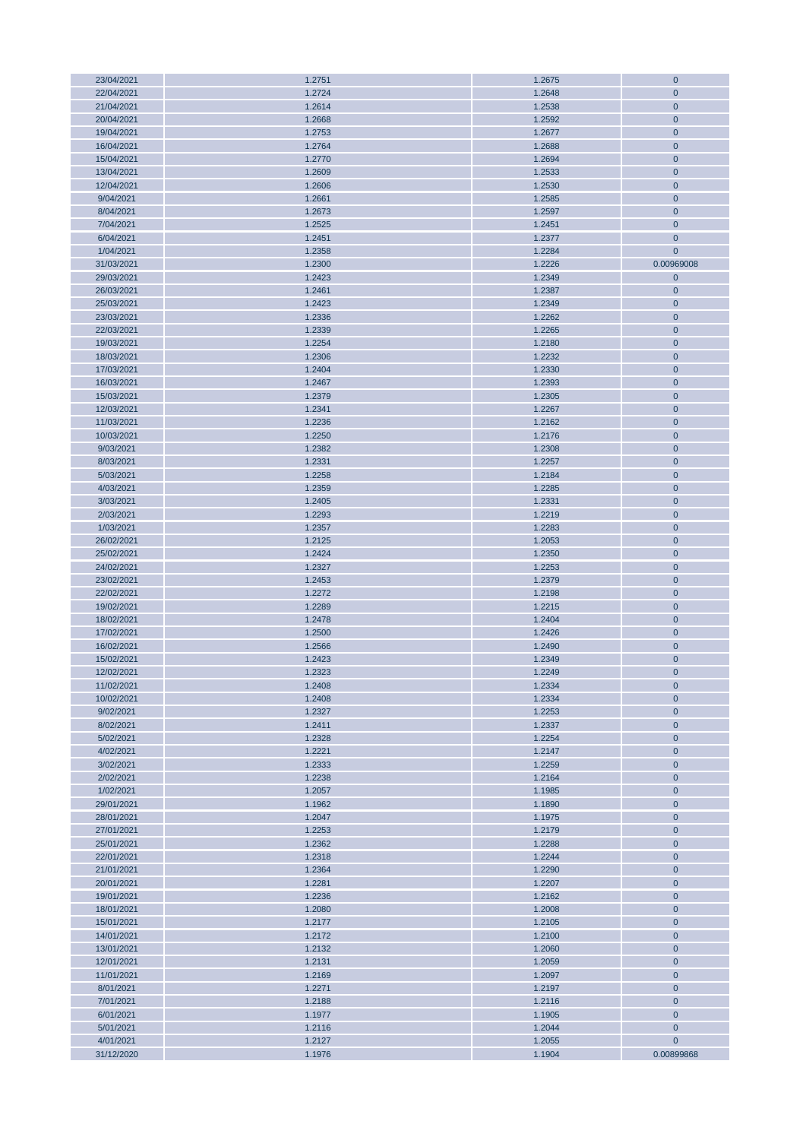| 23/04/2021 | 1.2751 | 1.2675 | $\mathbf 0$  |
|------------|--------|--------|--------------|
| 22/04/2021 | 1.2724 | 1.2648 | $\mathbf{0}$ |
| 21/04/2021 | 1.2614 | 1.2538 | $\mathbf{0}$ |
|            |        |        |              |
| 20/04/2021 | 1.2668 | 1.2592 | $\mathbf 0$  |
| 19/04/2021 | 1.2753 | 1.2677 | $\mathbf{0}$ |
| 16/04/2021 | 1.2764 | 1.2688 | $\mathbf{0}$ |
| 15/04/2021 | 1.2770 | 1.2694 | $\mathbf{0}$ |
| 13/04/2021 | 1.2609 | 1.2533 | $\mathbf{0}$ |
|            |        |        |              |
| 12/04/2021 | 1.2606 | 1.2530 | $\mathbf{0}$ |
| 9/04/2021  | 1.2661 | 1.2585 | $\mathbf{0}$ |
| 8/04/2021  | 1.2673 | 1.2597 | $\mathbf{0}$ |
| 7/04/2021  | 1.2525 | 1.2451 | $\mathbf{0}$ |
| 6/04/2021  | 1.2451 | 1.2377 | $\mathbf 0$  |
|            |        |        |              |
| 1/04/2021  | 1.2358 | 1.2284 | $\mathbf{0}$ |
| 31/03/2021 | 1.2300 | 1.2226 | 0.00969008   |
| 29/03/2021 | 1.2423 | 1.2349 | $\mathbf 0$  |
| 26/03/2021 | 1.2461 | 1.2387 | $\mathbf 0$  |
| 25/03/2021 | 1.2423 | 1.2349 | $\mathbf 0$  |
|            |        |        |              |
| 23/03/2021 | 1.2336 | 1.2262 | $\mathbf{0}$ |
| 22/03/2021 | 1.2339 | 1.2265 | $\mathbf 0$  |
| 19/03/2021 | 1.2254 | 1.2180 | $\mathbf 0$  |
| 18/03/2021 | 1.2306 | 1.2232 | $\mathbf 0$  |
| 17/03/2021 | 1.2404 | 1.2330 | $\mathbf{0}$ |
| 16/03/2021 | 1.2467 | 1.2393 | $\mathbf 0$  |
|            |        |        |              |
| 15/03/2021 | 1.2379 | 1.2305 | $\pmb{0}$    |
| 12/03/2021 | 1.2341 | 1.2267 | $\mathbf 0$  |
| 11/03/2021 | 1.2236 | 1.2162 | $\mathbf{0}$ |
| 10/03/2021 | 1.2250 | 1.2176 | $\mathbf 0$  |
| 9/03/2021  | 1.2382 | 1.2308 | $\mathbf 0$  |
|            |        |        |              |
| 8/03/2021  | 1.2331 | 1.2257 | $\mathbf 0$  |
| 5/03/2021  | 1.2258 | 1.2184 | $\mathbf{0}$ |
| 4/03/2021  | 1.2359 | 1.2285 | $\mathbf 0$  |
| 3/03/2021  | 1.2405 | 1.2331 | $\pmb{0}$    |
| 2/03/2021  | 1.2293 | 1.2219 | $\mathbf 0$  |
|            |        |        |              |
| 1/03/2021  | 1.2357 | 1.2283 | $\mathbf{0}$ |
| 26/02/2021 | 1.2125 | 1.2053 | $\mathbf{0}$ |
| 25/02/2021 | 1.2424 | 1.2350 | $\mathbf{0}$ |
| 24/02/2021 | 1.2327 | 1.2253 | $\mathbf 0$  |
| 23/02/2021 | 1.2453 | 1.2379 | $\mathbf 0$  |
| 22/02/2021 | 1.2272 | 1.2198 | $\mathbf{0}$ |
|            |        |        |              |
| 19/02/2021 | 1.2289 | 1.2215 | $\mathbf 0$  |
| 18/02/2021 | 1.2478 | 1.2404 | $\mathbf 0$  |
| 17/02/2021 | 1.2500 | 1.2426 | $\mathbf 0$  |
| 16/02/2021 | 1.2566 | 1.2490 | $\mathbf 0$  |
| 15/02/2021 | 1.2423 | 1.2349 | $\mathbf{0}$ |
| 12/02/2021 |        |        |              |
|            | 1.2323 | 1.2249 | $\mathbf 0$  |
| 11/02/2021 | 1.2408 | 1.2334 | $\mathbf{0}$ |
| 10/02/2021 | 1.2408 | 1.2334 | $\mathbf{0}$ |
| 9/02/2021  | 1.2327 | 1.2253 | $\mathbf{0}$ |
| 8/02/2021  | 1.2411 | 1.2337 | $\mathbf 0$  |
| 5/02/2021  | 1.2328 | 1.2254 | $\mathbf 0$  |
|            |        |        |              |
| 4/02/2021  | 1.2221 | 1.2147 | $\mathbf{0}$ |
| 3/02/2021  | 1.2333 | 1.2259 | $\mathbf 0$  |
| 2/02/2021  | 1.2238 | 1.2164 | $\mathbf 0$  |
| 1/02/2021  | 1.2057 | 1.1985 | $\mathbf 0$  |
| 29/01/2021 | 1.1962 | 1.1890 | $\mathbf{0}$ |
|            |        | 1.1975 |              |
| 28/01/2021 | 1.2047 |        | $\mathbf 0$  |
| 27/01/2021 | 1.2253 | 1.2179 | $\mathbf 0$  |
| 25/01/2021 | 1.2362 | 1.2288 | $\mathbf 0$  |
| 22/01/2021 | 1.2318 | 1.2244 | $\mathbf{0}$ |
| 21/01/2021 | 1.2364 | 1.2290 | $\mathbf 0$  |
| 20/01/2021 | 1.2281 | 1.2207 | $\mathbf 0$  |
|            |        |        |              |
| 19/01/2021 | 1.2236 | 1.2162 | $\mathbf 0$  |
| 18/01/2021 | 1.2080 | 1.2008 | $\mathbf{0}$ |
| 15/01/2021 | 1.2177 | 1.2105 | $\mathbf{0}$ |
| 14/01/2021 | 1.2172 | 1.2100 | $\mathbf{0}$ |
| 13/01/2021 | 1.2132 | 1.2060 | $\mathbf 0$  |
| 12/01/2021 | 1.2131 | 1.2059 | $\mathbf{0}$ |
|            |        |        |              |
| 11/01/2021 | 1.2169 | 1.2097 | $\mathbf{0}$ |
| 8/01/2021  | 1.2271 | 1.2197 | $\mathbf 0$  |
| 7/01/2021  | 1.2188 | 1.2116 | $\mathbf 0$  |
| 6/01/2021  | 1.1977 | 1.1905 | $\mathbf{0}$ |
| 5/01/2021  | 1.2116 | 1.2044 | $\pmb{0}$    |
|            |        |        |              |
| 4/01/2021  | 1.2127 | 1.2055 | $\mathbf 0$  |
| 31/12/2020 | 1.1976 | 1.1904 | 0.00899868   |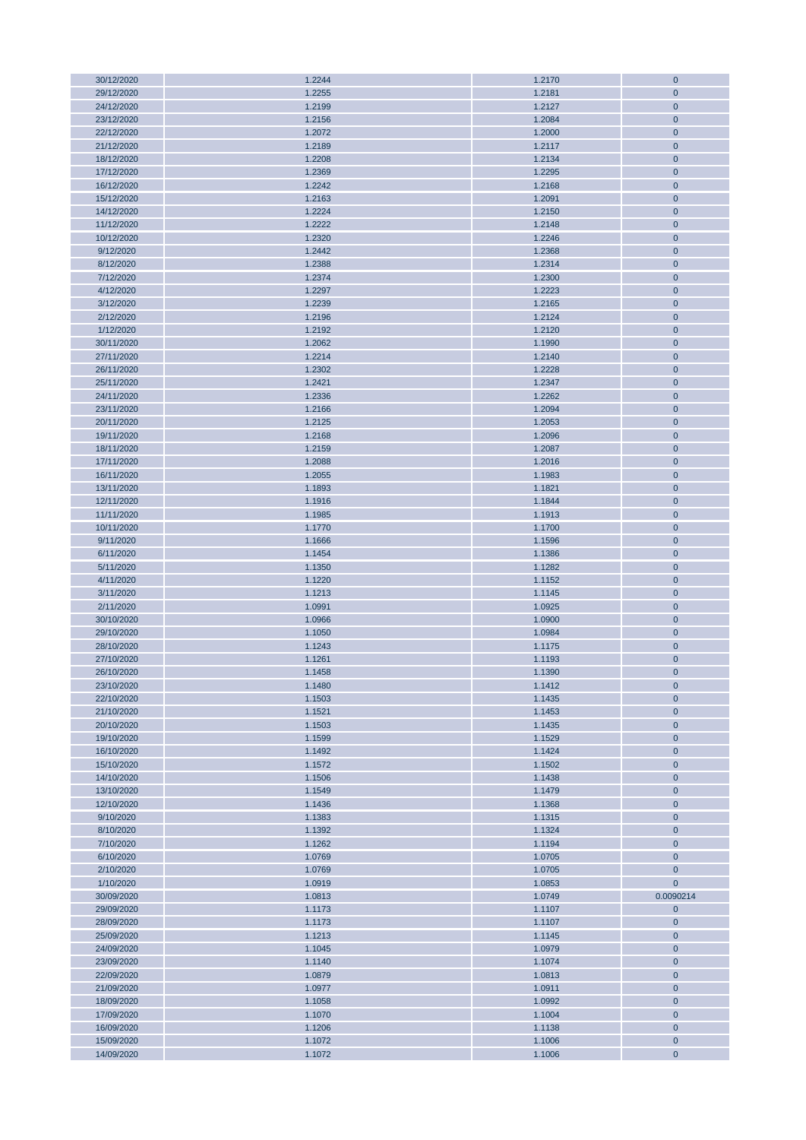| $\pmb{0}$<br>30/12/2020<br>1.2244<br>1.2170<br>29/12/2020<br>1.2255<br>1.2181<br>$\mathbf{0}$<br>24/12/2020<br>1.2199<br>1.2127<br>$\pmb{0}$<br>23/12/2020<br>1.2084<br>$\pmb{0}$<br>1.2156<br>22/12/2020<br>1.2072<br>1.2000<br>$\mathbf 0$<br>21/12/2020<br>1.2189<br>1.2117<br>$\mathbf{0}$<br>18/12/2020<br>1.2208<br>1.2134<br>$\mathbf 0$<br>17/12/2020<br>1.2369<br>1.2295<br>$\mathbf 0$<br>1.2242<br>1.2168<br>$\pmb{0}$<br>16/12/2020<br>15/12/2020<br>1.2163<br>1.2091<br>$\mathbf 0$<br>14/12/2020<br>1.2224<br>1.2150<br>$\mathbf 0$<br>11/12/2020<br>1.2222<br>1.2148<br>$\pmb{0}$<br>10/12/2020<br>1.2246<br>$\pmb{0}$<br>1.2320<br>9/12/2020<br>1.2442<br>1.2368<br>$\mathbf{0}$<br>8/12/2020<br>1.2388<br>1.2314<br>$\mathbf 0$<br>7/12/2020<br>1.2374<br>1.2300<br>$\mathbf 0$<br>4/12/2020<br>1.2297<br>1.2223<br>$\pmb{0}$<br>3/12/2020<br>1.2239<br>1.2165<br>$\pmb{0}$<br>2/12/2020<br>1.2124<br>1.2196<br>$\mathbf{0}$<br>1/12/2020<br>1.2192<br>1.2120<br>$\pmb{0}$<br>30/11/2020<br>$\pmb{0}$<br>1.2062<br>1.1990<br>27/11/2020<br>1.2214<br>1.2140<br>$\mathbf{0}$<br>26/11/2020<br>1.2302<br>1.2228<br>$\pmb{0}$<br>25/11/2020<br>1.2421<br>1.2347<br>$\mathbf 0$<br>24/11/2020<br>1.2336<br>1.2262<br>$\pmb{0}$<br>23/11/2020<br>1.2166<br>1.2094<br>$\mathbf 0$<br>1.2125<br>1.2053<br>20/11/2020<br>$\mathbf 0$<br>19/11/2020<br>1.2168<br>1.2096<br>$\mathbf 0$<br>18/11/2020<br>1.2159<br>1.2087<br>$\mathbf 0$<br>17/11/2020<br>1.2088<br>1.2016<br>$\mathbf 0$<br>16/11/2020<br>1.2055<br>1.1983<br>$\mathbf 0$<br>13/11/2020<br>1.1893<br>1.1821<br>$\mathbf 0$<br>12/11/2020<br>1.1916<br>1.1844<br>$\pmb{0}$<br>11/11/2020<br>1.1985<br>1.1913<br>$\pmb{0}$<br>10/11/2020<br>1.1700<br>1.1770<br>$\mathbf 0$<br>9/11/2020<br>1.1666<br>1.1596<br>$\pmb{0}$<br>6/11/2020<br>1.1454<br>1.1386<br>$\mathbf 0$<br>5/11/2020<br>1.1350<br>1.1282<br>$\pmb{0}$<br>4/11/2020<br>1.1220<br>1.1152<br>$\mathbf 0$<br>3/11/2020<br>$\pmb{0}$<br>1.1213<br>1.1145<br>2/11/2020<br>1.0991<br>1.0925<br>$\pmb{0}$<br>30/10/2020<br>$\pmb{0}$<br>1.0966<br>1.0900<br>29/10/2020<br>1.1050<br>1.0984<br>$\mathbf{0}$<br>28/10/2020<br>1.1243<br>1.1175<br>$\mathbf 0$<br>27/10/2020<br>1.1261<br>1.1193<br>$\mathbf{0}$<br>26/10/2020<br>1.1458<br>1.1390<br>0<br>1.1480<br>1.1412<br>$\mathbf{0}$<br>23/10/2020<br>22/10/2020<br>1.1503<br>1.1435<br>$\mathbf{0}$<br>$\mathbf{0}$<br>21/10/2020<br>1.1521<br>1.1453<br>20/10/2020<br>1.1503<br>1.1435<br>$\pmb{0}$<br>$\mathbf 0$<br>19/10/2020<br>1.1599<br>1.1529<br>16/10/2020<br>1.1492<br>1.1424<br>$\mathbf 0$<br>15/10/2020<br>1.1572<br>1.1502<br>$\mathbf 0$<br>14/10/2020<br>1.1506<br>1.1438<br>0<br>13/10/2020<br>1.1549<br>1.1479<br>$\mathbf 0$<br>12/10/2020<br>1.1436<br>1.1368<br>$\mathbf{0}$<br>$\pmb{0}$<br>9/10/2020<br>1.1383<br>1.1315<br>8/10/2020<br>1.1392<br>1.1324<br>$\mathbf 0$<br>7/10/2020<br>1.1262<br>1.1194<br>$\mathbf{0}$<br>6/10/2020<br>1.0769<br>1.0705<br>$\mathbf 0$<br>2/10/2020<br>1.0769<br>1.0705<br>$\mathbf{0}$<br>1/10/2020<br>$\overline{0}$<br>1.0919<br>1.0853<br>30/09/2020<br>1.0813<br>1.0749<br>0.0090214<br>29/09/2020<br>1.1173<br>1.1107<br>$\mathbf{0}$<br>28/09/2020<br>1.1173<br>1.1107<br>$\mathbf 0$<br>25/09/2020<br>1.1213<br>1.1145<br>$\mathbf{0}$<br>$\mathbf 0$<br>24/09/2020<br>1.1045<br>1.0979<br>23/09/2020<br>1.1140<br>1.1074<br>$\mathbf 0$<br>22/09/2020<br>1.0879<br>1.0813<br>$\mathbf 0$<br>$\pmb{0}$<br>21/09/2020<br>1.0977<br>1.0911<br>18/09/2020<br>1.1058<br>1.0992<br>$\pmb{0}$<br>17/09/2020<br>1.1070<br>1.1004<br>$\mathbf{0}$<br>16/09/2020<br>1.1206<br>1.1138<br>$\mathbf 0$<br>15/09/2020<br>1.1072<br>1.1006<br>$\mathbf 0$<br>1.1072<br>1.1006<br>$\pmb{0}$<br>14/09/2020 |  |  |
|---------------------------------------------------------------------------------------------------------------------------------------------------------------------------------------------------------------------------------------------------------------------------------------------------------------------------------------------------------------------------------------------------------------------------------------------------------------------------------------------------------------------------------------------------------------------------------------------------------------------------------------------------------------------------------------------------------------------------------------------------------------------------------------------------------------------------------------------------------------------------------------------------------------------------------------------------------------------------------------------------------------------------------------------------------------------------------------------------------------------------------------------------------------------------------------------------------------------------------------------------------------------------------------------------------------------------------------------------------------------------------------------------------------------------------------------------------------------------------------------------------------------------------------------------------------------------------------------------------------------------------------------------------------------------------------------------------------------------------------------------------------------------------------------------------------------------------------------------------------------------------------------------------------------------------------------------------------------------------------------------------------------------------------------------------------------------------------------------------------------------------------------------------------------------------------------------------------------------------------------------------------------------------------------------------------------------------------------------------------------------------------------------------------------------------------------------------------------------------------------------------------------------------------------------------------------------------------------------------------------------------------------------------------------------------------------------------------------------------------------------------------------------------------------------------------------------------------------------------------------------------------------------------------------------------------------------------------------------------------------------------------------------------------------------------------------------------------------------------------------------------------------------------------------------------------------------------------------------------------------------------------------------------------------------------------------------------------------------------------------------------------------------------------------------------------------------------------------------------------------------------------------------------------------------------------------------------------------------------------------------------------------------------------------------------------------------------------------------------------------------|--|--|
|                                                                                                                                                                                                                                                                                                                                                                                                                                                                                                                                                                                                                                                                                                                                                                                                                                                                                                                                                                                                                                                                                                                                                                                                                                                                                                                                                                                                                                                                                                                                                                                                                                                                                                                                                                                                                                                                                                                                                                                                                                                                                                                                                                                                                                                                                                                                                                                                                                                                                                                                                                                                                                                                                                                                                                                                                                                                                                                                                                                                                                                                                                                                                                                                                                                                                                                                                                                                                                                                                                                                                                                                                                                                                                                                                   |  |  |
|                                                                                                                                                                                                                                                                                                                                                                                                                                                                                                                                                                                                                                                                                                                                                                                                                                                                                                                                                                                                                                                                                                                                                                                                                                                                                                                                                                                                                                                                                                                                                                                                                                                                                                                                                                                                                                                                                                                                                                                                                                                                                                                                                                                                                                                                                                                                                                                                                                                                                                                                                                                                                                                                                                                                                                                                                                                                                                                                                                                                                                                                                                                                                                                                                                                                                                                                                                                                                                                                                                                                                                                                                                                                                                                                                   |  |  |
|                                                                                                                                                                                                                                                                                                                                                                                                                                                                                                                                                                                                                                                                                                                                                                                                                                                                                                                                                                                                                                                                                                                                                                                                                                                                                                                                                                                                                                                                                                                                                                                                                                                                                                                                                                                                                                                                                                                                                                                                                                                                                                                                                                                                                                                                                                                                                                                                                                                                                                                                                                                                                                                                                                                                                                                                                                                                                                                                                                                                                                                                                                                                                                                                                                                                                                                                                                                                                                                                                                                                                                                                                                                                                                                                                   |  |  |
|                                                                                                                                                                                                                                                                                                                                                                                                                                                                                                                                                                                                                                                                                                                                                                                                                                                                                                                                                                                                                                                                                                                                                                                                                                                                                                                                                                                                                                                                                                                                                                                                                                                                                                                                                                                                                                                                                                                                                                                                                                                                                                                                                                                                                                                                                                                                                                                                                                                                                                                                                                                                                                                                                                                                                                                                                                                                                                                                                                                                                                                                                                                                                                                                                                                                                                                                                                                                                                                                                                                                                                                                                                                                                                                                                   |  |  |
|                                                                                                                                                                                                                                                                                                                                                                                                                                                                                                                                                                                                                                                                                                                                                                                                                                                                                                                                                                                                                                                                                                                                                                                                                                                                                                                                                                                                                                                                                                                                                                                                                                                                                                                                                                                                                                                                                                                                                                                                                                                                                                                                                                                                                                                                                                                                                                                                                                                                                                                                                                                                                                                                                                                                                                                                                                                                                                                                                                                                                                                                                                                                                                                                                                                                                                                                                                                                                                                                                                                                                                                                                                                                                                                                                   |  |  |
|                                                                                                                                                                                                                                                                                                                                                                                                                                                                                                                                                                                                                                                                                                                                                                                                                                                                                                                                                                                                                                                                                                                                                                                                                                                                                                                                                                                                                                                                                                                                                                                                                                                                                                                                                                                                                                                                                                                                                                                                                                                                                                                                                                                                                                                                                                                                                                                                                                                                                                                                                                                                                                                                                                                                                                                                                                                                                                                                                                                                                                                                                                                                                                                                                                                                                                                                                                                                                                                                                                                                                                                                                                                                                                                                                   |  |  |
|                                                                                                                                                                                                                                                                                                                                                                                                                                                                                                                                                                                                                                                                                                                                                                                                                                                                                                                                                                                                                                                                                                                                                                                                                                                                                                                                                                                                                                                                                                                                                                                                                                                                                                                                                                                                                                                                                                                                                                                                                                                                                                                                                                                                                                                                                                                                                                                                                                                                                                                                                                                                                                                                                                                                                                                                                                                                                                                                                                                                                                                                                                                                                                                                                                                                                                                                                                                                                                                                                                                                                                                                                                                                                                                                                   |  |  |
|                                                                                                                                                                                                                                                                                                                                                                                                                                                                                                                                                                                                                                                                                                                                                                                                                                                                                                                                                                                                                                                                                                                                                                                                                                                                                                                                                                                                                                                                                                                                                                                                                                                                                                                                                                                                                                                                                                                                                                                                                                                                                                                                                                                                                                                                                                                                                                                                                                                                                                                                                                                                                                                                                                                                                                                                                                                                                                                                                                                                                                                                                                                                                                                                                                                                                                                                                                                                                                                                                                                                                                                                                                                                                                                                                   |  |  |
|                                                                                                                                                                                                                                                                                                                                                                                                                                                                                                                                                                                                                                                                                                                                                                                                                                                                                                                                                                                                                                                                                                                                                                                                                                                                                                                                                                                                                                                                                                                                                                                                                                                                                                                                                                                                                                                                                                                                                                                                                                                                                                                                                                                                                                                                                                                                                                                                                                                                                                                                                                                                                                                                                                                                                                                                                                                                                                                                                                                                                                                                                                                                                                                                                                                                                                                                                                                                                                                                                                                                                                                                                                                                                                                                                   |  |  |
|                                                                                                                                                                                                                                                                                                                                                                                                                                                                                                                                                                                                                                                                                                                                                                                                                                                                                                                                                                                                                                                                                                                                                                                                                                                                                                                                                                                                                                                                                                                                                                                                                                                                                                                                                                                                                                                                                                                                                                                                                                                                                                                                                                                                                                                                                                                                                                                                                                                                                                                                                                                                                                                                                                                                                                                                                                                                                                                                                                                                                                                                                                                                                                                                                                                                                                                                                                                                                                                                                                                                                                                                                                                                                                                                                   |  |  |
|                                                                                                                                                                                                                                                                                                                                                                                                                                                                                                                                                                                                                                                                                                                                                                                                                                                                                                                                                                                                                                                                                                                                                                                                                                                                                                                                                                                                                                                                                                                                                                                                                                                                                                                                                                                                                                                                                                                                                                                                                                                                                                                                                                                                                                                                                                                                                                                                                                                                                                                                                                                                                                                                                                                                                                                                                                                                                                                                                                                                                                                                                                                                                                                                                                                                                                                                                                                                                                                                                                                                                                                                                                                                                                                                                   |  |  |
|                                                                                                                                                                                                                                                                                                                                                                                                                                                                                                                                                                                                                                                                                                                                                                                                                                                                                                                                                                                                                                                                                                                                                                                                                                                                                                                                                                                                                                                                                                                                                                                                                                                                                                                                                                                                                                                                                                                                                                                                                                                                                                                                                                                                                                                                                                                                                                                                                                                                                                                                                                                                                                                                                                                                                                                                                                                                                                                                                                                                                                                                                                                                                                                                                                                                                                                                                                                                                                                                                                                                                                                                                                                                                                                                                   |  |  |
|                                                                                                                                                                                                                                                                                                                                                                                                                                                                                                                                                                                                                                                                                                                                                                                                                                                                                                                                                                                                                                                                                                                                                                                                                                                                                                                                                                                                                                                                                                                                                                                                                                                                                                                                                                                                                                                                                                                                                                                                                                                                                                                                                                                                                                                                                                                                                                                                                                                                                                                                                                                                                                                                                                                                                                                                                                                                                                                                                                                                                                                                                                                                                                                                                                                                                                                                                                                                                                                                                                                                                                                                                                                                                                                                                   |  |  |
|                                                                                                                                                                                                                                                                                                                                                                                                                                                                                                                                                                                                                                                                                                                                                                                                                                                                                                                                                                                                                                                                                                                                                                                                                                                                                                                                                                                                                                                                                                                                                                                                                                                                                                                                                                                                                                                                                                                                                                                                                                                                                                                                                                                                                                                                                                                                                                                                                                                                                                                                                                                                                                                                                                                                                                                                                                                                                                                                                                                                                                                                                                                                                                                                                                                                                                                                                                                                                                                                                                                                                                                                                                                                                                                                                   |  |  |
|                                                                                                                                                                                                                                                                                                                                                                                                                                                                                                                                                                                                                                                                                                                                                                                                                                                                                                                                                                                                                                                                                                                                                                                                                                                                                                                                                                                                                                                                                                                                                                                                                                                                                                                                                                                                                                                                                                                                                                                                                                                                                                                                                                                                                                                                                                                                                                                                                                                                                                                                                                                                                                                                                                                                                                                                                                                                                                                                                                                                                                                                                                                                                                                                                                                                                                                                                                                                                                                                                                                                                                                                                                                                                                                                                   |  |  |
|                                                                                                                                                                                                                                                                                                                                                                                                                                                                                                                                                                                                                                                                                                                                                                                                                                                                                                                                                                                                                                                                                                                                                                                                                                                                                                                                                                                                                                                                                                                                                                                                                                                                                                                                                                                                                                                                                                                                                                                                                                                                                                                                                                                                                                                                                                                                                                                                                                                                                                                                                                                                                                                                                                                                                                                                                                                                                                                                                                                                                                                                                                                                                                                                                                                                                                                                                                                                                                                                                                                                                                                                                                                                                                                                                   |  |  |
|                                                                                                                                                                                                                                                                                                                                                                                                                                                                                                                                                                                                                                                                                                                                                                                                                                                                                                                                                                                                                                                                                                                                                                                                                                                                                                                                                                                                                                                                                                                                                                                                                                                                                                                                                                                                                                                                                                                                                                                                                                                                                                                                                                                                                                                                                                                                                                                                                                                                                                                                                                                                                                                                                                                                                                                                                                                                                                                                                                                                                                                                                                                                                                                                                                                                                                                                                                                                                                                                                                                                                                                                                                                                                                                                                   |  |  |
|                                                                                                                                                                                                                                                                                                                                                                                                                                                                                                                                                                                                                                                                                                                                                                                                                                                                                                                                                                                                                                                                                                                                                                                                                                                                                                                                                                                                                                                                                                                                                                                                                                                                                                                                                                                                                                                                                                                                                                                                                                                                                                                                                                                                                                                                                                                                                                                                                                                                                                                                                                                                                                                                                                                                                                                                                                                                                                                                                                                                                                                                                                                                                                                                                                                                                                                                                                                                                                                                                                                                                                                                                                                                                                                                                   |  |  |
|                                                                                                                                                                                                                                                                                                                                                                                                                                                                                                                                                                                                                                                                                                                                                                                                                                                                                                                                                                                                                                                                                                                                                                                                                                                                                                                                                                                                                                                                                                                                                                                                                                                                                                                                                                                                                                                                                                                                                                                                                                                                                                                                                                                                                                                                                                                                                                                                                                                                                                                                                                                                                                                                                                                                                                                                                                                                                                                                                                                                                                                                                                                                                                                                                                                                                                                                                                                                                                                                                                                                                                                                                                                                                                                                                   |  |  |
|                                                                                                                                                                                                                                                                                                                                                                                                                                                                                                                                                                                                                                                                                                                                                                                                                                                                                                                                                                                                                                                                                                                                                                                                                                                                                                                                                                                                                                                                                                                                                                                                                                                                                                                                                                                                                                                                                                                                                                                                                                                                                                                                                                                                                                                                                                                                                                                                                                                                                                                                                                                                                                                                                                                                                                                                                                                                                                                                                                                                                                                                                                                                                                                                                                                                                                                                                                                                                                                                                                                                                                                                                                                                                                                                                   |  |  |
|                                                                                                                                                                                                                                                                                                                                                                                                                                                                                                                                                                                                                                                                                                                                                                                                                                                                                                                                                                                                                                                                                                                                                                                                                                                                                                                                                                                                                                                                                                                                                                                                                                                                                                                                                                                                                                                                                                                                                                                                                                                                                                                                                                                                                                                                                                                                                                                                                                                                                                                                                                                                                                                                                                                                                                                                                                                                                                                                                                                                                                                                                                                                                                                                                                                                                                                                                                                                                                                                                                                                                                                                                                                                                                                                                   |  |  |
|                                                                                                                                                                                                                                                                                                                                                                                                                                                                                                                                                                                                                                                                                                                                                                                                                                                                                                                                                                                                                                                                                                                                                                                                                                                                                                                                                                                                                                                                                                                                                                                                                                                                                                                                                                                                                                                                                                                                                                                                                                                                                                                                                                                                                                                                                                                                                                                                                                                                                                                                                                                                                                                                                                                                                                                                                                                                                                                                                                                                                                                                                                                                                                                                                                                                                                                                                                                                                                                                                                                                                                                                                                                                                                                                                   |  |  |
|                                                                                                                                                                                                                                                                                                                                                                                                                                                                                                                                                                                                                                                                                                                                                                                                                                                                                                                                                                                                                                                                                                                                                                                                                                                                                                                                                                                                                                                                                                                                                                                                                                                                                                                                                                                                                                                                                                                                                                                                                                                                                                                                                                                                                                                                                                                                                                                                                                                                                                                                                                                                                                                                                                                                                                                                                                                                                                                                                                                                                                                                                                                                                                                                                                                                                                                                                                                                                                                                                                                                                                                                                                                                                                                                                   |  |  |
|                                                                                                                                                                                                                                                                                                                                                                                                                                                                                                                                                                                                                                                                                                                                                                                                                                                                                                                                                                                                                                                                                                                                                                                                                                                                                                                                                                                                                                                                                                                                                                                                                                                                                                                                                                                                                                                                                                                                                                                                                                                                                                                                                                                                                                                                                                                                                                                                                                                                                                                                                                                                                                                                                                                                                                                                                                                                                                                                                                                                                                                                                                                                                                                                                                                                                                                                                                                                                                                                                                                                                                                                                                                                                                                                                   |  |  |
|                                                                                                                                                                                                                                                                                                                                                                                                                                                                                                                                                                                                                                                                                                                                                                                                                                                                                                                                                                                                                                                                                                                                                                                                                                                                                                                                                                                                                                                                                                                                                                                                                                                                                                                                                                                                                                                                                                                                                                                                                                                                                                                                                                                                                                                                                                                                                                                                                                                                                                                                                                                                                                                                                                                                                                                                                                                                                                                                                                                                                                                                                                                                                                                                                                                                                                                                                                                                                                                                                                                                                                                                                                                                                                                                                   |  |  |
|                                                                                                                                                                                                                                                                                                                                                                                                                                                                                                                                                                                                                                                                                                                                                                                                                                                                                                                                                                                                                                                                                                                                                                                                                                                                                                                                                                                                                                                                                                                                                                                                                                                                                                                                                                                                                                                                                                                                                                                                                                                                                                                                                                                                                                                                                                                                                                                                                                                                                                                                                                                                                                                                                                                                                                                                                                                                                                                                                                                                                                                                                                                                                                                                                                                                                                                                                                                                                                                                                                                                                                                                                                                                                                                                                   |  |  |
|                                                                                                                                                                                                                                                                                                                                                                                                                                                                                                                                                                                                                                                                                                                                                                                                                                                                                                                                                                                                                                                                                                                                                                                                                                                                                                                                                                                                                                                                                                                                                                                                                                                                                                                                                                                                                                                                                                                                                                                                                                                                                                                                                                                                                                                                                                                                                                                                                                                                                                                                                                                                                                                                                                                                                                                                                                                                                                                                                                                                                                                                                                                                                                                                                                                                                                                                                                                                                                                                                                                                                                                                                                                                                                                                                   |  |  |
|                                                                                                                                                                                                                                                                                                                                                                                                                                                                                                                                                                                                                                                                                                                                                                                                                                                                                                                                                                                                                                                                                                                                                                                                                                                                                                                                                                                                                                                                                                                                                                                                                                                                                                                                                                                                                                                                                                                                                                                                                                                                                                                                                                                                                                                                                                                                                                                                                                                                                                                                                                                                                                                                                                                                                                                                                                                                                                                                                                                                                                                                                                                                                                                                                                                                                                                                                                                                                                                                                                                                                                                                                                                                                                                                                   |  |  |
|                                                                                                                                                                                                                                                                                                                                                                                                                                                                                                                                                                                                                                                                                                                                                                                                                                                                                                                                                                                                                                                                                                                                                                                                                                                                                                                                                                                                                                                                                                                                                                                                                                                                                                                                                                                                                                                                                                                                                                                                                                                                                                                                                                                                                                                                                                                                                                                                                                                                                                                                                                                                                                                                                                                                                                                                                                                                                                                                                                                                                                                                                                                                                                                                                                                                                                                                                                                                                                                                                                                                                                                                                                                                                                                                                   |  |  |
|                                                                                                                                                                                                                                                                                                                                                                                                                                                                                                                                                                                                                                                                                                                                                                                                                                                                                                                                                                                                                                                                                                                                                                                                                                                                                                                                                                                                                                                                                                                                                                                                                                                                                                                                                                                                                                                                                                                                                                                                                                                                                                                                                                                                                                                                                                                                                                                                                                                                                                                                                                                                                                                                                                                                                                                                                                                                                                                                                                                                                                                                                                                                                                                                                                                                                                                                                                                                                                                                                                                                                                                                                                                                                                                                                   |  |  |
|                                                                                                                                                                                                                                                                                                                                                                                                                                                                                                                                                                                                                                                                                                                                                                                                                                                                                                                                                                                                                                                                                                                                                                                                                                                                                                                                                                                                                                                                                                                                                                                                                                                                                                                                                                                                                                                                                                                                                                                                                                                                                                                                                                                                                                                                                                                                                                                                                                                                                                                                                                                                                                                                                                                                                                                                                                                                                                                                                                                                                                                                                                                                                                                                                                                                                                                                                                                                                                                                                                                                                                                                                                                                                                                                                   |  |  |
|                                                                                                                                                                                                                                                                                                                                                                                                                                                                                                                                                                                                                                                                                                                                                                                                                                                                                                                                                                                                                                                                                                                                                                                                                                                                                                                                                                                                                                                                                                                                                                                                                                                                                                                                                                                                                                                                                                                                                                                                                                                                                                                                                                                                                                                                                                                                                                                                                                                                                                                                                                                                                                                                                                                                                                                                                                                                                                                                                                                                                                                                                                                                                                                                                                                                                                                                                                                                                                                                                                                                                                                                                                                                                                                                                   |  |  |
|                                                                                                                                                                                                                                                                                                                                                                                                                                                                                                                                                                                                                                                                                                                                                                                                                                                                                                                                                                                                                                                                                                                                                                                                                                                                                                                                                                                                                                                                                                                                                                                                                                                                                                                                                                                                                                                                                                                                                                                                                                                                                                                                                                                                                                                                                                                                                                                                                                                                                                                                                                                                                                                                                                                                                                                                                                                                                                                                                                                                                                                                                                                                                                                                                                                                                                                                                                                                                                                                                                                                                                                                                                                                                                                                                   |  |  |
|                                                                                                                                                                                                                                                                                                                                                                                                                                                                                                                                                                                                                                                                                                                                                                                                                                                                                                                                                                                                                                                                                                                                                                                                                                                                                                                                                                                                                                                                                                                                                                                                                                                                                                                                                                                                                                                                                                                                                                                                                                                                                                                                                                                                                                                                                                                                                                                                                                                                                                                                                                                                                                                                                                                                                                                                                                                                                                                                                                                                                                                                                                                                                                                                                                                                                                                                                                                                                                                                                                                                                                                                                                                                                                                                                   |  |  |
|                                                                                                                                                                                                                                                                                                                                                                                                                                                                                                                                                                                                                                                                                                                                                                                                                                                                                                                                                                                                                                                                                                                                                                                                                                                                                                                                                                                                                                                                                                                                                                                                                                                                                                                                                                                                                                                                                                                                                                                                                                                                                                                                                                                                                                                                                                                                                                                                                                                                                                                                                                                                                                                                                                                                                                                                                                                                                                                                                                                                                                                                                                                                                                                                                                                                                                                                                                                                                                                                                                                                                                                                                                                                                                                                                   |  |  |
|                                                                                                                                                                                                                                                                                                                                                                                                                                                                                                                                                                                                                                                                                                                                                                                                                                                                                                                                                                                                                                                                                                                                                                                                                                                                                                                                                                                                                                                                                                                                                                                                                                                                                                                                                                                                                                                                                                                                                                                                                                                                                                                                                                                                                                                                                                                                                                                                                                                                                                                                                                                                                                                                                                                                                                                                                                                                                                                                                                                                                                                                                                                                                                                                                                                                                                                                                                                                                                                                                                                                                                                                                                                                                                                                                   |  |  |
|                                                                                                                                                                                                                                                                                                                                                                                                                                                                                                                                                                                                                                                                                                                                                                                                                                                                                                                                                                                                                                                                                                                                                                                                                                                                                                                                                                                                                                                                                                                                                                                                                                                                                                                                                                                                                                                                                                                                                                                                                                                                                                                                                                                                                                                                                                                                                                                                                                                                                                                                                                                                                                                                                                                                                                                                                                                                                                                                                                                                                                                                                                                                                                                                                                                                                                                                                                                                                                                                                                                                                                                                                                                                                                                                                   |  |  |
|                                                                                                                                                                                                                                                                                                                                                                                                                                                                                                                                                                                                                                                                                                                                                                                                                                                                                                                                                                                                                                                                                                                                                                                                                                                                                                                                                                                                                                                                                                                                                                                                                                                                                                                                                                                                                                                                                                                                                                                                                                                                                                                                                                                                                                                                                                                                                                                                                                                                                                                                                                                                                                                                                                                                                                                                                                                                                                                                                                                                                                                                                                                                                                                                                                                                                                                                                                                                                                                                                                                                                                                                                                                                                                                                                   |  |  |
|                                                                                                                                                                                                                                                                                                                                                                                                                                                                                                                                                                                                                                                                                                                                                                                                                                                                                                                                                                                                                                                                                                                                                                                                                                                                                                                                                                                                                                                                                                                                                                                                                                                                                                                                                                                                                                                                                                                                                                                                                                                                                                                                                                                                                                                                                                                                                                                                                                                                                                                                                                                                                                                                                                                                                                                                                                                                                                                                                                                                                                                                                                                                                                                                                                                                                                                                                                                                                                                                                                                                                                                                                                                                                                                                                   |  |  |
|                                                                                                                                                                                                                                                                                                                                                                                                                                                                                                                                                                                                                                                                                                                                                                                                                                                                                                                                                                                                                                                                                                                                                                                                                                                                                                                                                                                                                                                                                                                                                                                                                                                                                                                                                                                                                                                                                                                                                                                                                                                                                                                                                                                                                                                                                                                                                                                                                                                                                                                                                                                                                                                                                                                                                                                                                                                                                                                                                                                                                                                                                                                                                                                                                                                                                                                                                                                                                                                                                                                                                                                                                                                                                                                                                   |  |  |
|                                                                                                                                                                                                                                                                                                                                                                                                                                                                                                                                                                                                                                                                                                                                                                                                                                                                                                                                                                                                                                                                                                                                                                                                                                                                                                                                                                                                                                                                                                                                                                                                                                                                                                                                                                                                                                                                                                                                                                                                                                                                                                                                                                                                                                                                                                                                                                                                                                                                                                                                                                                                                                                                                                                                                                                                                                                                                                                                                                                                                                                                                                                                                                                                                                                                                                                                                                                                                                                                                                                                                                                                                                                                                                                                                   |  |  |
|                                                                                                                                                                                                                                                                                                                                                                                                                                                                                                                                                                                                                                                                                                                                                                                                                                                                                                                                                                                                                                                                                                                                                                                                                                                                                                                                                                                                                                                                                                                                                                                                                                                                                                                                                                                                                                                                                                                                                                                                                                                                                                                                                                                                                                                                                                                                                                                                                                                                                                                                                                                                                                                                                                                                                                                                                                                                                                                                                                                                                                                                                                                                                                                                                                                                                                                                                                                                                                                                                                                                                                                                                                                                                                                                                   |  |  |
|                                                                                                                                                                                                                                                                                                                                                                                                                                                                                                                                                                                                                                                                                                                                                                                                                                                                                                                                                                                                                                                                                                                                                                                                                                                                                                                                                                                                                                                                                                                                                                                                                                                                                                                                                                                                                                                                                                                                                                                                                                                                                                                                                                                                                                                                                                                                                                                                                                                                                                                                                                                                                                                                                                                                                                                                                                                                                                                                                                                                                                                                                                                                                                                                                                                                                                                                                                                                                                                                                                                                                                                                                                                                                                                                                   |  |  |
|                                                                                                                                                                                                                                                                                                                                                                                                                                                                                                                                                                                                                                                                                                                                                                                                                                                                                                                                                                                                                                                                                                                                                                                                                                                                                                                                                                                                                                                                                                                                                                                                                                                                                                                                                                                                                                                                                                                                                                                                                                                                                                                                                                                                                                                                                                                                                                                                                                                                                                                                                                                                                                                                                                                                                                                                                                                                                                                                                                                                                                                                                                                                                                                                                                                                                                                                                                                                                                                                                                                                                                                                                                                                                                                                                   |  |  |
|                                                                                                                                                                                                                                                                                                                                                                                                                                                                                                                                                                                                                                                                                                                                                                                                                                                                                                                                                                                                                                                                                                                                                                                                                                                                                                                                                                                                                                                                                                                                                                                                                                                                                                                                                                                                                                                                                                                                                                                                                                                                                                                                                                                                                                                                                                                                                                                                                                                                                                                                                                                                                                                                                                                                                                                                                                                                                                                                                                                                                                                                                                                                                                                                                                                                                                                                                                                                                                                                                                                                                                                                                                                                                                                                                   |  |  |
|                                                                                                                                                                                                                                                                                                                                                                                                                                                                                                                                                                                                                                                                                                                                                                                                                                                                                                                                                                                                                                                                                                                                                                                                                                                                                                                                                                                                                                                                                                                                                                                                                                                                                                                                                                                                                                                                                                                                                                                                                                                                                                                                                                                                                                                                                                                                                                                                                                                                                                                                                                                                                                                                                                                                                                                                                                                                                                                                                                                                                                                                                                                                                                                                                                                                                                                                                                                                                                                                                                                                                                                                                                                                                                                                                   |  |  |
|                                                                                                                                                                                                                                                                                                                                                                                                                                                                                                                                                                                                                                                                                                                                                                                                                                                                                                                                                                                                                                                                                                                                                                                                                                                                                                                                                                                                                                                                                                                                                                                                                                                                                                                                                                                                                                                                                                                                                                                                                                                                                                                                                                                                                                                                                                                                                                                                                                                                                                                                                                                                                                                                                                                                                                                                                                                                                                                                                                                                                                                                                                                                                                                                                                                                                                                                                                                                                                                                                                                                                                                                                                                                                                                                                   |  |  |
|                                                                                                                                                                                                                                                                                                                                                                                                                                                                                                                                                                                                                                                                                                                                                                                                                                                                                                                                                                                                                                                                                                                                                                                                                                                                                                                                                                                                                                                                                                                                                                                                                                                                                                                                                                                                                                                                                                                                                                                                                                                                                                                                                                                                                                                                                                                                                                                                                                                                                                                                                                                                                                                                                                                                                                                                                                                                                                                                                                                                                                                                                                                                                                                                                                                                                                                                                                                                                                                                                                                                                                                                                                                                                                                                                   |  |  |
|                                                                                                                                                                                                                                                                                                                                                                                                                                                                                                                                                                                                                                                                                                                                                                                                                                                                                                                                                                                                                                                                                                                                                                                                                                                                                                                                                                                                                                                                                                                                                                                                                                                                                                                                                                                                                                                                                                                                                                                                                                                                                                                                                                                                                                                                                                                                                                                                                                                                                                                                                                                                                                                                                                                                                                                                                                                                                                                                                                                                                                                                                                                                                                                                                                                                                                                                                                                                                                                                                                                                                                                                                                                                                                                                                   |  |  |
|                                                                                                                                                                                                                                                                                                                                                                                                                                                                                                                                                                                                                                                                                                                                                                                                                                                                                                                                                                                                                                                                                                                                                                                                                                                                                                                                                                                                                                                                                                                                                                                                                                                                                                                                                                                                                                                                                                                                                                                                                                                                                                                                                                                                                                                                                                                                                                                                                                                                                                                                                                                                                                                                                                                                                                                                                                                                                                                                                                                                                                                                                                                                                                                                                                                                                                                                                                                                                                                                                                                                                                                                                                                                                                                                                   |  |  |
|                                                                                                                                                                                                                                                                                                                                                                                                                                                                                                                                                                                                                                                                                                                                                                                                                                                                                                                                                                                                                                                                                                                                                                                                                                                                                                                                                                                                                                                                                                                                                                                                                                                                                                                                                                                                                                                                                                                                                                                                                                                                                                                                                                                                                                                                                                                                                                                                                                                                                                                                                                                                                                                                                                                                                                                                                                                                                                                                                                                                                                                                                                                                                                                                                                                                                                                                                                                                                                                                                                                                                                                                                                                                                                                                                   |  |  |
|                                                                                                                                                                                                                                                                                                                                                                                                                                                                                                                                                                                                                                                                                                                                                                                                                                                                                                                                                                                                                                                                                                                                                                                                                                                                                                                                                                                                                                                                                                                                                                                                                                                                                                                                                                                                                                                                                                                                                                                                                                                                                                                                                                                                                                                                                                                                                                                                                                                                                                                                                                                                                                                                                                                                                                                                                                                                                                                                                                                                                                                                                                                                                                                                                                                                                                                                                                                                                                                                                                                                                                                                                                                                                                                                                   |  |  |
|                                                                                                                                                                                                                                                                                                                                                                                                                                                                                                                                                                                                                                                                                                                                                                                                                                                                                                                                                                                                                                                                                                                                                                                                                                                                                                                                                                                                                                                                                                                                                                                                                                                                                                                                                                                                                                                                                                                                                                                                                                                                                                                                                                                                                                                                                                                                                                                                                                                                                                                                                                                                                                                                                                                                                                                                                                                                                                                                                                                                                                                                                                                                                                                                                                                                                                                                                                                                                                                                                                                                                                                                                                                                                                                                                   |  |  |
|                                                                                                                                                                                                                                                                                                                                                                                                                                                                                                                                                                                                                                                                                                                                                                                                                                                                                                                                                                                                                                                                                                                                                                                                                                                                                                                                                                                                                                                                                                                                                                                                                                                                                                                                                                                                                                                                                                                                                                                                                                                                                                                                                                                                                                                                                                                                                                                                                                                                                                                                                                                                                                                                                                                                                                                                                                                                                                                                                                                                                                                                                                                                                                                                                                                                                                                                                                                                                                                                                                                                                                                                                                                                                                                                                   |  |  |
|                                                                                                                                                                                                                                                                                                                                                                                                                                                                                                                                                                                                                                                                                                                                                                                                                                                                                                                                                                                                                                                                                                                                                                                                                                                                                                                                                                                                                                                                                                                                                                                                                                                                                                                                                                                                                                                                                                                                                                                                                                                                                                                                                                                                                                                                                                                                                                                                                                                                                                                                                                                                                                                                                                                                                                                                                                                                                                                                                                                                                                                                                                                                                                                                                                                                                                                                                                                                                                                                                                                                                                                                                                                                                                                                                   |  |  |
|                                                                                                                                                                                                                                                                                                                                                                                                                                                                                                                                                                                                                                                                                                                                                                                                                                                                                                                                                                                                                                                                                                                                                                                                                                                                                                                                                                                                                                                                                                                                                                                                                                                                                                                                                                                                                                                                                                                                                                                                                                                                                                                                                                                                                                                                                                                                                                                                                                                                                                                                                                                                                                                                                                                                                                                                                                                                                                                                                                                                                                                                                                                                                                                                                                                                                                                                                                                                                                                                                                                                                                                                                                                                                                                                                   |  |  |
|                                                                                                                                                                                                                                                                                                                                                                                                                                                                                                                                                                                                                                                                                                                                                                                                                                                                                                                                                                                                                                                                                                                                                                                                                                                                                                                                                                                                                                                                                                                                                                                                                                                                                                                                                                                                                                                                                                                                                                                                                                                                                                                                                                                                                                                                                                                                                                                                                                                                                                                                                                                                                                                                                                                                                                                                                                                                                                                                                                                                                                                                                                                                                                                                                                                                                                                                                                                                                                                                                                                                                                                                                                                                                                                                                   |  |  |
|                                                                                                                                                                                                                                                                                                                                                                                                                                                                                                                                                                                                                                                                                                                                                                                                                                                                                                                                                                                                                                                                                                                                                                                                                                                                                                                                                                                                                                                                                                                                                                                                                                                                                                                                                                                                                                                                                                                                                                                                                                                                                                                                                                                                                                                                                                                                                                                                                                                                                                                                                                                                                                                                                                                                                                                                                                                                                                                                                                                                                                                                                                                                                                                                                                                                                                                                                                                                                                                                                                                                                                                                                                                                                                                                                   |  |  |
|                                                                                                                                                                                                                                                                                                                                                                                                                                                                                                                                                                                                                                                                                                                                                                                                                                                                                                                                                                                                                                                                                                                                                                                                                                                                                                                                                                                                                                                                                                                                                                                                                                                                                                                                                                                                                                                                                                                                                                                                                                                                                                                                                                                                                                                                                                                                                                                                                                                                                                                                                                                                                                                                                                                                                                                                                                                                                                                                                                                                                                                                                                                                                                                                                                                                                                                                                                                                                                                                                                                                                                                                                                                                                                                                                   |  |  |
|                                                                                                                                                                                                                                                                                                                                                                                                                                                                                                                                                                                                                                                                                                                                                                                                                                                                                                                                                                                                                                                                                                                                                                                                                                                                                                                                                                                                                                                                                                                                                                                                                                                                                                                                                                                                                                                                                                                                                                                                                                                                                                                                                                                                                                                                                                                                                                                                                                                                                                                                                                                                                                                                                                                                                                                                                                                                                                                                                                                                                                                                                                                                                                                                                                                                                                                                                                                                                                                                                                                                                                                                                                                                                                                                                   |  |  |
|                                                                                                                                                                                                                                                                                                                                                                                                                                                                                                                                                                                                                                                                                                                                                                                                                                                                                                                                                                                                                                                                                                                                                                                                                                                                                                                                                                                                                                                                                                                                                                                                                                                                                                                                                                                                                                                                                                                                                                                                                                                                                                                                                                                                                                                                                                                                                                                                                                                                                                                                                                                                                                                                                                                                                                                                                                                                                                                                                                                                                                                                                                                                                                                                                                                                                                                                                                                                                                                                                                                                                                                                                                                                                                                                                   |  |  |
|                                                                                                                                                                                                                                                                                                                                                                                                                                                                                                                                                                                                                                                                                                                                                                                                                                                                                                                                                                                                                                                                                                                                                                                                                                                                                                                                                                                                                                                                                                                                                                                                                                                                                                                                                                                                                                                                                                                                                                                                                                                                                                                                                                                                                                                                                                                                                                                                                                                                                                                                                                                                                                                                                                                                                                                                                                                                                                                                                                                                                                                                                                                                                                                                                                                                                                                                                                                                                                                                                                                                                                                                                                                                                                                                                   |  |  |
|                                                                                                                                                                                                                                                                                                                                                                                                                                                                                                                                                                                                                                                                                                                                                                                                                                                                                                                                                                                                                                                                                                                                                                                                                                                                                                                                                                                                                                                                                                                                                                                                                                                                                                                                                                                                                                                                                                                                                                                                                                                                                                                                                                                                                                                                                                                                                                                                                                                                                                                                                                                                                                                                                                                                                                                                                                                                                                                                                                                                                                                                                                                                                                                                                                                                                                                                                                                                                                                                                                                                                                                                                                                                                                                                                   |  |  |
|                                                                                                                                                                                                                                                                                                                                                                                                                                                                                                                                                                                                                                                                                                                                                                                                                                                                                                                                                                                                                                                                                                                                                                                                                                                                                                                                                                                                                                                                                                                                                                                                                                                                                                                                                                                                                                                                                                                                                                                                                                                                                                                                                                                                                                                                                                                                                                                                                                                                                                                                                                                                                                                                                                                                                                                                                                                                                                                                                                                                                                                                                                                                                                                                                                                                                                                                                                                                                                                                                                                                                                                                                                                                                                                                                   |  |  |
|                                                                                                                                                                                                                                                                                                                                                                                                                                                                                                                                                                                                                                                                                                                                                                                                                                                                                                                                                                                                                                                                                                                                                                                                                                                                                                                                                                                                                                                                                                                                                                                                                                                                                                                                                                                                                                                                                                                                                                                                                                                                                                                                                                                                                                                                                                                                                                                                                                                                                                                                                                                                                                                                                                                                                                                                                                                                                                                                                                                                                                                                                                                                                                                                                                                                                                                                                                                                                                                                                                                                                                                                                                                                                                                                                   |  |  |
|                                                                                                                                                                                                                                                                                                                                                                                                                                                                                                                                                                                                                                                                                                                                                                                                                                                                                                                                                                                                                                                                                                                                                                                                                                                                                                                                                                                                                                                                                                                                                                                                                                                                                                                                                                                                                                                                                                                                                                                                                                                                                                                                                                                                                                                                                                                                                                                                                                                                                                                                                                                                                                                                                                                                                                                                                                                                                                                                                                                                                                                                                                                                                                                                                                                                                                                                                                                                                                                                                                                                                                                                                                                                                                                                                   |  |  |
|                                                                                                                                                                                                                                                                                                                                                                                                                                                                                                                                                                                                                                                                                                                                                                                                                                                                                                                                                                                                                                                                                                                                                                                                                                                                                                                                                                                                                                                                                                                                                                                                                                                                                                                                                                                                                                                                                                                                                                                                                                                                                                                                                                                                                                                                                                                                                                                                                                                                                                                                                                                                                                                                                                                                                                                                                                                                                                                                                                                                                                                                                                                                                                                                                                                                                                                                                                                                                                                                                                                                                                                                                                                                                                                                                   |  |  |
|                                                                                                                                                                                                                                                                                                                                                                                                                                                                                                                                                                                                                                                                                                                                                                                                                                                                                                                                                                                                                                                                                                                                                                                                                                                                                                                                                                                                                                                                                                                                                                                                                                                                                                                                                                                                                                                                                                                                                                                                                                                                                                                                                                                                                                                                                                                                                                                                                                                                                                                                                                                                                                                                                                                                                                                                                                                                                                                                                                                                                                                                                                                                                                                                                                                                                                                                                                                                                                                                                                                                                                                                                                                                                                                                                   |  |  |
|                                                                                                                                                                                                                                                                                                                                                                                                                                                                                                                                                                                                                                                                                                                                                                                                                                                                                                                                                                                                                                                                                                                                                                                                                                                                                                                                                                                                                                                                                                                                                                                                                                                                                                                                                                                                                                                                                                                                                                                                                                                                                                                                                                                                                                                                                                                                                                                                                                                                                                                                                                                                                                                                                                                                                                                                                                                                                                                                                                                                                                                                                                                                                                                                                                                                                                                                                                                                                                                                                                                                                                                                                                                                                                                                                   |  |  |
|                                                                                                                                                                                                                                                                                                                                                                                                                                                                                                                                                                                                                                                                                                                                                                                                                                                                                                                                                                                                                                                                                                                                                                                                                                                                                                                                                                                                                                                                                                                                                                                                                                                                                                                                                                                                                                                                                                                                                                                                                                                                                                                                                                                                                                                                                                                                                                                                                                                                                                                                                                                                                                                                                                                                                                                                                                                                                                                                                                                                                                                                                                                                                                                                                                                                                                                                                                                                                                                                                                                                                                                                                                                                                                                                                   |  |  |
|                                                                                                                                                                                                                                                                                                                                                                                                                                                                                                                                                                                                                                                                                                                                                                                                                                                                                                                                                                                                                                                                                                                                                                                                                                                                                                                                                                                                                                                                                                                                                                                                                                                                                                                                                                                                                                                                                                                                                                                                                                                                                                                                                                                                                                                                                                                                                                                                                                                                                                                                                                                                                                                                                                                                                                                                                                                                                                                                                                                                                                                                                                                                                                                                                                                                                                                                                                                                                                                                                                                                                                                                                                                                                                                                                   |  |  |
|                                                                                                                                                                                                                                                                                                                                                                                                                                                                                                                                                                                                                                                                                                                                                                                                                                                                                                                                                                                                                                                                                                                                                                                                                                                                                                                                                                                                                                                                                                                                                                                                                                                                                                                                                                                                                                                                                                                                                                                                                                                                                                                                                                                                                                                                                                                                                                                                                                                                                                                                                                                                                                                                                                                                                                                                                                                                                                                                                                                                                                                                                                                                                                                                                                                                                                                                                                                                                                                                                                                                                                                                                                                                                                                                                   |  |  |
|                                                                                                                                                                                                                                                                                                                                                                                                                                                                                                                                                                                                                                                                                                                                                                                                                                                                                                                                                                                                                                                                                                                                                                                                                                                                                                                                                                                                                                                                                                                                                                                                                                                                                                                                                                                                                                                                                                                                                                                                                                                                                                                                                                                                                                                                                                                                                                                                                                                                                                                                                                                                                                                                                                                                                                                                                                                                                                                                                                                                                                                                                                                                                                                                                                                                                                                                                                                                                                                                                                                                                                                                                                                                                                                                                   |  |  |
|                                                                                                                                                                                                                                                                                                                                                                                                                                                                                                                                                                                                                                                                                                                                                                                                                                                                                                                                                                                                                                                                                                                                                                                                                                                                                                                                                                                                                                                                                                                                                                                                                                                                                                                                                                                                                                                                                                                                                                                                                                                                                                                                                                                                                                                                                                                                                                                                                                                                                                                                                                                                                                                                                                                                                                                                                                                                                                                                                                                                                                                                                                                                                                                                                                                                                                                                                                                                                                                                                                                                                                                                                                                                                                                                                   |  |  |
|                                                                                                                                                                                                                                                                                                                                                                                                                                                                                                                                                                                                                                                                                                                                                                                                                                                                                                                                                                                                                                                                                                                                                                                                                                                                                                                                                                                                                                                                                                                                                                                                                                                                                                                                                                                                                                                                                                                                                                                                                                                                                                                                                                                                                                                                                                                                                                                                                                                                                                                                                                                                                                                                                                                                                                                                                                                                                                                                                                                                                                                                                                                                                                                                                                                                                                                                                                                                                                                                                                                                                                                                                                                                                                                                                   |  |  |
|                                                                                                                                                                                                                                                                                                                                                                                                                                                                                                                                                                                                                                                                                                                                                                                                                                                                                                                                                                                                                                                                                                                                                                                                                                                                                                                                                                                                                                                                                                                                                                                                                                                                                                                                                                                                                                                                                                                                                                                                                                                                                                                                                                                                                                                                                                                                                                                                                                                                                                                                                                                                                                                                                                                                                                                                                                                                                                                                                                                                                                                                                                                                                                                                                                                                                                                                                                                                                                                                                                                                                                                                                                                                                                                                                   |  |  |
|                                                                                                                                                                                                                                                                                                                                                                                                                                                                                                                                                                                                                                                                                                                                                                                                                                                                                                                                                                                                                                                                                                                                                                                                                                                                                                                                                                                                                                                                                                                                                                                                                                                                                                                                                                                                                                                                                                                                                                                                                                                                                                                                                                                                                                                                                                                                                                                                                                                                                                                                                                                                                                                                                                                                                                                                                                                                                                                                                                                                                                                                                                                                                                                                                                                                                                                                                                                                                                                                                                                                                                                                                                                                                                                                                   |  |  |
|                                                                                                                                                                                                                                                                                                                                                                                                                                                                                                                                                                                                                                                                                                                                                                                                                                                                                                                                                                                                                                                                                                                                                                                                                                                                                                                                                                                                                                                                                                                                                                                                                                                                                                                                                                                                                                                                                                                                                                                                                                                                                                                                                                                                                                                                                                                                                                                                                                                                                                                                                                                                                                                                                                                                                                                                                                                                                                                                                                                                                                                                                                                                                                                                                                                                                                                                                                                                                                                                                                                                                                                                                                                                                                                                                   |  |  |
|                                                                                                                                                                                                                                                                                                                                                                                                                                                                                                                                                                                                                                                                                                                                                                                                                                                                                                                                                                                                                                                                                                                                                                                                                                                                                                                                                                                                                                                                                                                                                                                                                                                                                                                                                                                                                                                                                                                                                                                                                                                                                                                                                                                                                                                                                                                                                                                                                                                                                                                                                                                                                                                                                                                                                                                                                                                                                                                                                                                                                                                                                                                                                                                                                                                                                                                                                                                                                                                                                                                                                                                                                                                                                                                                                   |  |  |
|                                                                                                                                                                                                                                                                                                                                                                                                                                                                                                                                                                                                                                                                                                                                                                                                                                                                                                                                                                                                                                                                                                                                                                                                                                                                                                                                                                                                                                                                                                                                                                                                                                                                                                                                                                                                                                                                                                                                                                                                                                                                                                                                                                                                                                                                                                                                                                                                                                                                                                                                                                                                                                                                                                                                                                                                                                                                                                                                                                                                                                                                                                                                                                                                                                                                                                                                                                                                                                                                                                                                                                                                                                                                                                                                                   |  |  |
|                                                                                                                                                                                                                                                                                                                                                                                                                                                                                                                                                                                                                                                                                                                                                                                                                                                                                                                                                                                                                                                                                                                                                                                                                                                                                                                                                                                                                                                                                                                                                                                                                                                                                                                                                                                                                                                                                                                                                                                                                                                                                                                                                                                                                                                                                                                                                                                                                                                                                                                                                                                                                                                                                                                                                                                                                                                                                                                                                                                                                                                                                                                                                                                                                                                                                                                                                                                                                                                                                                                                                                                                                                                                                                                                                   |  |  |
|                                                                                                                                                                                                                                                                                                                                                                                                                                                                                                                                                                                                                                                                                                                                                                                                                                                                                                                                                                                                                                                                                                                                                                                                                                                                                                                                                                                                                                                                                                                                                                                                                                                                                                                                                                                                                                                                                                                                                                                                                                                                                                                                                                                                                                                                                                                                                                                                                                                                                                                                                                                                                                                                                                                                                                                                                                                                                                                                                                                                                                                                                                                                                                                                                                                                                                                                                                                                                                                                                                                                                                                                                                                                                                                                                   |  |  |
|                                                                                                                                                                                                                                                                                                                                                                                                                                                                                                                                                                                                                                                                                                                                                                                                                                                                                                                                                                                                                                                                                                                                                                                                                                                                                                                                                                                                                                                                                                                                                                                                                                                                                                                                                                                                                                                                                                                                                                                                                                                                                                                                                                                                                                                                                                                                                                                                                                                                                                                                                                                                                                                                                                                                                                                                                                                                                                                                                                                                                                                                                                                                                                                                                                                                                                                                                                                                                                                                                                                                                                                                                                                                                                                                                   |  |  |
|                                                                                                                                                                                                                                                                                                                                                                                                                                                                                                                                                                                                                                                                                                                                                                                                                                                                                                                                                                                                                                                                                                                                                                                                                                                                                                                                                                                                                                                                                                                                                                                                                                                                                                                                                                                                                                                                                                                                                                                                                                                                                                                                                                                                                                                                                                                                                                                                                                                                                                                                                                                                                                                                                                                                                                                                                                                                                                                                                                                                                                                                                                                                                                                                                                                                                                                                                                                                                                                                                                                                                                                                                                                                                                                                                   |  |  |
|                                                                                                                                                                                                                                                                                                                                                                                                                                                                                                                                                                                                                                                                                                                                                                                                                                                                                                                                                                                                                                                                                                                                                                                                                                                                                                                                                                                                                                                                                                                                                                                                                                                                                                                                                                                                                                                                                                                                                                                                                                                                                                                                                                                                                                                                                                                                                                                                                                                                                                                                                                                                                                                                                                                                                                                                                                                                                                                                                                                                                                                                                                                                                                                                                                                                                                                                                                                                                                                                                                                                                                                                                                                                                                                                                   |  |  |
|                                                                                                                                                                                                                                                                                                                                                                                                                                                                                                                                                                                                                                                                                                                                                                                                                                                                                                                                                                                                                                                                                                                                                                                                                                                                                                                                                                                                                                                                                                                                                                                                                                                                                                                                                                                                                                                                                                                                                                                                                                                                                                                                                                                                                                                                                                                                                                                                                                                                                                                                                                                                                                                                                                                                                                                                                                                                                                                                                                                                                                                                                                                                                                                                                                                                                                                                                                                                                                                                                                                                                                                                                                                                                                                                                   |  |  |
|                                                                                                                                                                                                                                                                                                                                                                                                                                                                                                                                                                                                                                                                                                                                                                                                                                                                                                                                                                                                                                                                                                                                                                                                                                                                                                                                                                                                                                                                                                                                                                                                                                                                                                                                                                                                                                                                                                                                                                                                                                                                                                                                                                                                                                                                                                                                                                                                                                                                                                                                                                                                                                                                                                                                                                                                                                                                                                                                                                                                                                                                                                                                                                                                                                                                                                                                                                                                                                                                                                                                                                                                                                                                                                                                                   |  |  |
|                                                                                                                                                                                                                                                                                                                                                                                                                                                                                                                                                                                                                                                                                                                                                                                                                                                                                                                                                                                                                                                                                                                                                                                                                                                                                                                                                                                                                                                                                                                                                                                                                                                                                                                                                                                                                                                                                                                                                                                                                                                                                                                                                                                                                                                                                                                                                                                                                                                                                                                                                                                                                                                                                                                                                                                                                                                                                                                                                                                                                                                                                                                                                                                                                                                                                                                                                                                                                                                                                                                                                                                                                                                                                                                                                   |  |  |
|                                                                                                                                                                                                                                                                                                                                                                                                                                                                                                                                                                                                                                                                                                                                                                                                                                                                                                                                                                                                                                                                                                                                                                                                                                                                                                                                                                                                                                                                                                                                                                                                                                                                                                                                                                                                                                                                                                                                                                                                                                                                                                                                                                                                                                                                                                                                                                                                                                                                                                                                                                                                                                                                                                                                                                                                                                                                                                                                                                                                                                                                                                                                                                                                                                                                                                                                                                                                                                                                                                                                                                                                                                                                                                                                                   |  |  |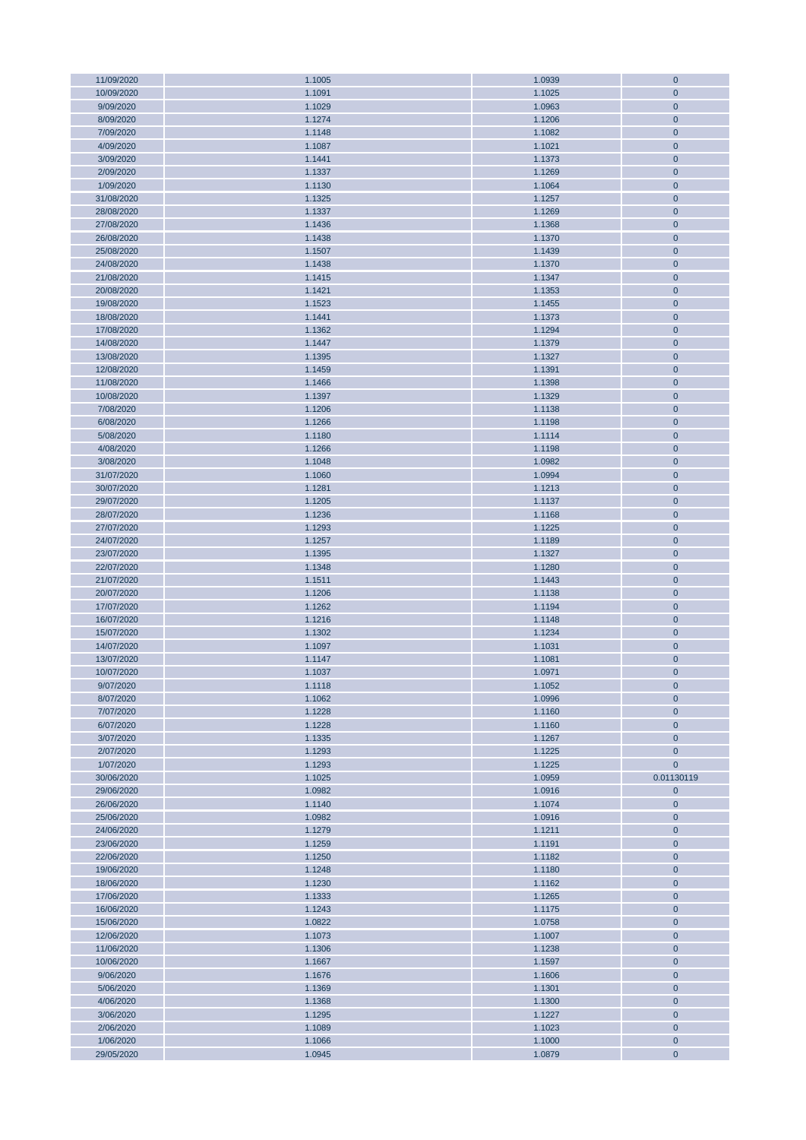| 11/09/2020 | 1.1005 | 1.0939 | $\mathbf{0}$   |
|------------|--------|--------|----------------|
| 10/09/2020 | 1.1091 | 1.1025 | $\mathbf{0}$   |
| 9/09/2020  | 1.1029 | 1.0963 | $\mathbf{0}$   |
| 8/09/2020  | 1.1274 | 1.1206 | $\mathbf{0}$   |
|            |        |        |                |
| 7/09/2020  | 1.1148 | 1.1082 | $\mathbf 0$    |
| 4/09/2020  | 1.1087 | 1.1021 | $\mathbf{0}$   |
| 3/09/2020  | 1.1441 | 1.1373 | $\mathbf{0}$   |
| 2/09/2020  | 1.1337 | 1.1269 | $\mathbf{0}$   |
| 1/09/2020  | 1.1130 | 1.1064 | $\mathbf 0$    |
| 31/08/2020 | 1.1325 | 1.1257 | $\mathbf{0}$   |
|            |        |        |                |
| 28/08/2020 | 1.1337 | 1.1269 | $\mathbf{0}$   |
| 27/08/2020 | 1.1436 | 1.1368 | $\mathbf{0}$   |
| 26/08/2020 | 1.1438 | 1.1370 | $\mathbf 0$    |
| 25/08/2020 | 1.1507 | 1.1439 | $\mathbf{0}$   |
| 24/08/2020 | 1.1438 | 1.1370 | $\mathbf 0$    |
| 21/08/2020 | 1.1415 | 1.1347 | $\mathbf{0}$   |
|            |        |        |                |
| 20/08/2020 | 1.1421 | 1.1353 | $\mathbf 0$    |
| 19/08/2020 | 1.1523 | 1.1455 | $\mathbf{0}$   |
| 18/08/2020 | 1.1441 | 1.1373 | $\mathbf{0}$   |
| 17/08/2020 | 1.1362 | 1.1294 | $\mathbf 0$    |
| 14/08/2020 | 1.1447 | 1.1379 | $\pmb{0}$      |
| 13/08/2020 | 1.1395 | 1.1327 | $\mathbf{0}$   |
| 12/08/2020 | 1.1459 | 1.1391 | $\mathbf{0}$   |
|            |        |        |                |
| 11/08/2020 | 1.1466 | 1.1398 | $\mathbf{0}$   |
| 10/08/2020 | 1.1397 | 1.1329 | $\mathbf{0}$   |
| 7/08/2020  | 1.1206 | 1.1138 | $\mathbf{0}$   |
| 6/08/2020  | 1.1266 | 1.1198 | $\mathbf{0}$   |
| 5/08/2020  | 1.1180 | 1.1114 | $\mathbf{0}$   |
| 4/08/2020  | 1.1266 | 1.1198 | $\mathbf 0$    |
|            |        |        |                |
| 3/08/2020  | 1.1048 | 1.0982 | $\mathbf{0}$   |
| 31/07/2020 | 1.1060 | 1.0994 | $\mathbf{0}$   |
| 30/07/2020 | 1.1281 | 1.1213 | $\mathbf{0}$   |
| 29/07/2020 | 1.1205 | 1.1137 | $\mathbf 0$    |
| 28/07/2020 | 1.1236 | 1.1168 | $\mathbf 0$    |
| 27/07/2020 | 1.1293 | 1.1225 | $\mathbf{0}$   |
| 24/07/2020 | 1.1257 | 1.1189 | $\mathbf{0}$   |
|            |        |        |                |
| 23/07/2020 | 1.1395 | 1.1327 | $\mathbf{0}$   |
| 22/07/2020 | 1.1348 | 1.1280 | $\mathbf 0$    |
| 21/07/2020 | 1.1511 | 1.1443 | $\mathbf{0}$   |
| 20/07/2020 | 1.1206 | 1.1138 | $\mathbf{0}$   |
| 17/07/2020 | 1.1262 | 1.1194 | $\mathbf{0}$   |
| 16/07/2020 | 1.1216 | 1.1148 | $\mathbf 0$    |
| 15/07/2020 | 1.1302 | 1.1234 | $\mathbf{0}$   |
| 14/07/2020 | 1.1097 | 1.1031 | $\mathbf 0$    |
|            |        |        |                |
| 13/07/2020 | 1.1147 | 1.1081 | $\mathbf{0}$   |
| 10/07/2020 | 1.1037 | 1.0971 | $\overline{0}$ |
| 9/07/2020  | 1.1118 | 1.1052 | $\mathbf{0}$   |
| 8/07/2020  | 1.1062 | 1.0996 | $\mathbf{0}$   |
| 7/07/2020  | 1.1228 | 1.1160 | $\overline{0}$ |
| 6/07/2020  | 1.1228 | 1.1160 | $\mathbf 0$    |
| 3/07/2020  | 1.1335 | 1.1267 | $\mathbf{0}$   |
|            |        |        |                |
| 2/07/2020  | 1.1293 | 1.1225 | $\mathbf{0}$   |
| 1/07/2020  | 1.1293 | 1.1225 | $\mathbf{0}$   |
| 30/06/2020 | 1.1025 | 1.0959 | 0.01130119     |
| 29/06/2020 | 1.0982 | 1.0916 | $\mathbf{0}$   |
| 26/06/2020 | 1.1140 | 1.1074 | $\mathbf{0}$   |
| 25/06/2020 | 1.0982 | 1.0916 | $\mathbf{0}$   |
| 24/06/2020 | 1.1279 | 1.1211 | $\mathbf 0$    |
|            |        |        |                |
| 23/06/2020 | 1.1259 | 1.1191 | $\mathbf{0}$   |
| 22/06/2020 | 1.1250 | 1.1182 | $\mathbf 0$    |
| 19/06/2020 | 1.1248 | 1.1180 | $\mathbf{0}$   |
| 18/06/2020 | 1.1230 | 1.1162 | $\mathbf 0$    |
| 17/06/2020 | 1.1333 | 1.1265 | $\mathbf{0}$   |
| 16/06/2020 | 1.1243 | 1.1175 | $\mathbf{0}$   |
| 15/06/2020 | 1.0822 | 1.0758 | $\mathbf{0}$   |
|            |        |        |                |
| 12/06/2020 | 1.1073 | 1.1007 | $\mathbf{0}$   |
| 11/06/2020 | 1.1306 | 1.1238 | $\pmb{0}$      |
| 10/06/2020 | 1.1667 | 1.1597 | $\mathbf{0}$   |
| 9/06/2020  | 1.1676 | 1.1606 | $\mathbf 0$    |
| 5/06/2020  | 1.1369 | 1.1301 | $\mathbf{0}$   |
| 4/06/2020  | 1.1368 | 1.1300 | $\mathbf 0$    |
| 3/06/2020  | 1.1295 | 1.1227 | $\mathbf{0}$   |
| 2/06/2020  | 1.1089 | 1.1023 | $\pmb{0}$      |
|            |        |        |                |
| 1/06/2020  | 1.1066 | 1.1000 | 0              |
| 29/05/2020 | 1.0945 | 1.0879 | $\mathbf{0}$   |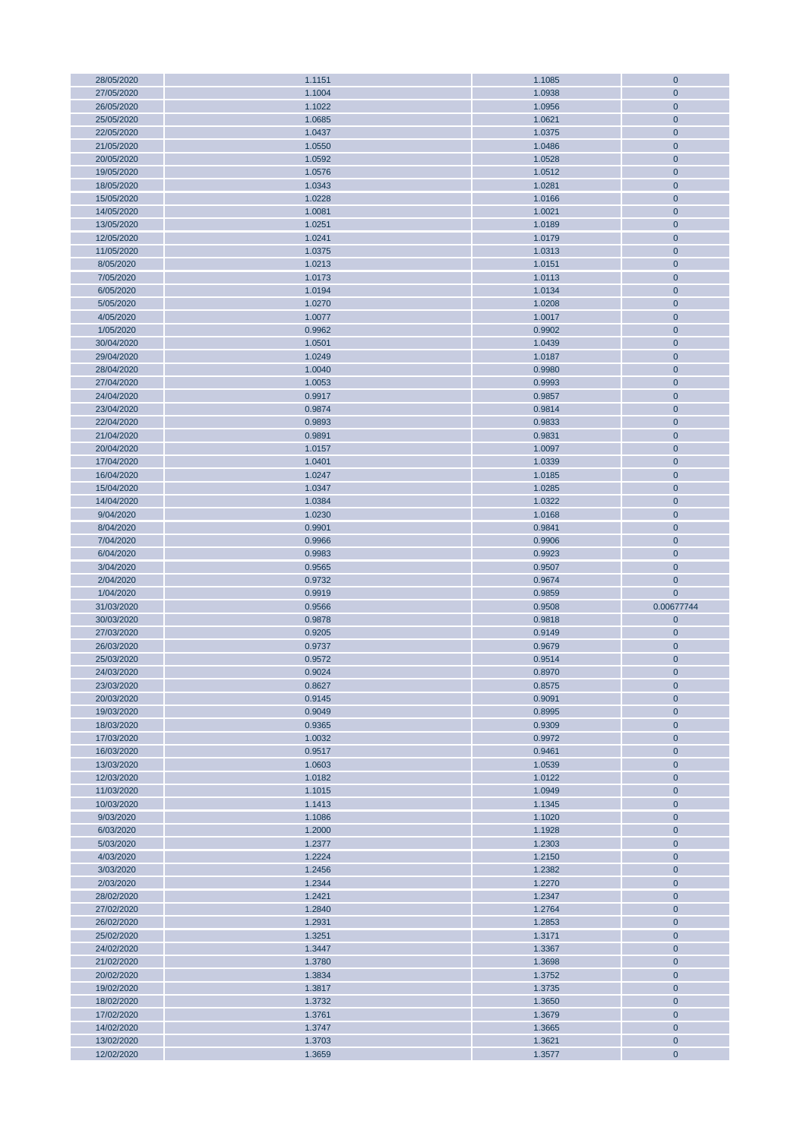| 28/05/2020               | 1.1151           | 1.1085           | $\mathbf 0$               |
|--------------------------|------------------|------------------|---------------------------|
| 27/05/2020               | 1.1004           | 1.0938           | $\mathbf{0}$              |
|                          |                  |                  |                           |
| 26/05/2020               | 1.1022           | 1.0956           | $\mathbf{0}$              |
| 25/05/2020               | 1.0685           | 1.0621           | $\mathbf{0}$              |
| 22/05/2020               | 1.0437           | 1.0375           | $\mathbf 0$               |
| 21/05/2020               | 1.0550           | 1.0486           | $\mathbf{0}$              |
|                          |                  |                  |                           |
| 20/05/2020               | 1.0592           | 1.0528           | $\mathbf{0}$              |
| 19/05/2020               | 1.0576           | 1.0512           | $\mathbf{0}$              |
| 18/05/2020               | 1.0343           | 1.0281           | $\mathbf{0}$              |
|                          |                  |                  |                           |
| 15/05/2020               | 1.0228           | 1.0166           | $\mathbf{0}$              |
| 14/05/2020               | 1.0081           | 1.0021           | $\mathbf{0}$              |
| 13/05/2020               | 1.0251           | 1.0189           | $\mathbf{0}$              |
|                          |                  |                  |                           |
| 12/05/2020               | 1.0241           | 1.0179           | $\mathbf{0}$              |
| 11/05/2020               | 1.0375           | 1.0313           | $\mathbf{0}$              |
| 8/05/2020                | 1.0213           | 1.0151           | $\mathbf{0}$              |
|                          |                  |                  |                           |
| 7/05/2020                | 1.0173           | 1.0113           | $\mathbf{0}$              |
| 6/05/2020                | 1.0194           | 1.0134           | $\mathbf{0}$              |
| 5/05/2020                | 1.0270           | 1.0208           | $\mathbf{0}$              |
|                          |                  |                  |                           |
| 4/05/2020                | 1.0077           | 1.0017           | $\mathbf{0}$              |
| 1/05/2020                | 0.9962           | 0.9902           | $\mathbf{0}$              |
| 30/04/2020               | 1.0501           | 1.0439           | $\mathbf{0}$              |
| 29/04/2020               | 1.0249           | 1.0187           | $\mathbf{0}$              |
|                          |                  |                  |                           |
| 28/04/2020               | 1.0040           | 0.9980           | $\mathbf{0}$              |
| 27/04/2020               | 1.0053           | 0.9993           | $\mathbf{0}$              |
| 24/04/2020               | 0.9917           | 0.9857           | $\mathbf 0$               |
|                          |                  |                  |                           |
| 23/04/2020               | 0.9874           | 0.9814           | $\mathbf{0}$              |
| 22/04/2020               | 0.9893           | 0.9833           | $\mathbf{0}$              |
| 21/04/2020               | 0.9891           | 0.9831           | $\mathbf 0$               |
|                          |                  |                  |                           |
| 20/04/2020               | 1.0157           | 1.0097           | $\mathbf{0}$              |
| 17/04/2020               | 1.0401           | 1.0339           | $\mathbf{0}$              |
| 16/04/2020               | 1.0247           | 1.0185           | $\mathbf{0}$              |
| 15/04/2020               | 1.0347           | 1.0285           | $\mathbf{0}$              |
|                          |                  |                  |                           |
| 14/04/2020               | 1.0384           | 1.0322           | $\mathbf 0$               |
| 9/04/2020                | 1.0230           | 1.0168           | $\mathbf 0$               |
| 8/04/2020                | 0.9901           | 0.9841           | $\mathbf{0}$              |
|                          |                  |                  |                           |
| 7/04/2020                | 0.9966           | 0.9906           | $\mathbf{0}$              |
|                          |                  |                  |                           |
| 6/04/2020                | 0.9983           | 0.9923           | $\mathbf{0}$              |
|                          |                  |                  |                           |
| 3/04/2020                | 0.9565           | 0.9507           | $\mathbf 0$               |
| 2/04/2020                | 0.9732           | 0.9674           | $\mathbf{0}$              |
| 1/04/2020                | 0.9919           | 0.9859           | $\overline{0}$            |
| 31/03/2020               | 0.9566           | 0.9508           | 0.00677744                |
|                          |                  |                  |                           |
| 30/03/2020               | 0.9878           | 0.9818           | $\mathbf 0$               |
| 27/03/2020               | 0.9205           | 0.9149           | $\mathbf{0}$              |
| 26/03/2020               | 0.9737           | 0.9679           | $\mathbf{0}$              |
|                          |                  |                  |                           |
| 25/03/2020               | 0.9572           | 0.9514           | $\mathbf{0}$              |
| 24/03/2020               | 0.9024           | 0.8970           | $\mathbf 0$               |
| 23/03/2020               | 0.8627           | 0.8575           | $\mathbf{0}$              |
|                          |                  |                  |                           |
| 20/03/2020               | 0.9145           | 0.9091           | $\mathbf{0}$              |
| 19/03/2020               | 0.9049           | 0.8995           | $\mathbf{0}$              |
| 18/03/2020               | 0.9365           | 0.9309           | $\mathbf 0$               |
| 17/03/2020               | 1.0032           | 0.9972           | $\mathbf{0}$              |
|                          |                  |                  |                           |
| 16/03/2020               | 0.9517           | 0.9461           | $\mathbf{0}$              |
| 13/03/2020               | 1.0603           | 1.0539           | $\mathbf{0}$              |
| 12/03/2020               | 1.0182           | 1.0122           | $\mathbf{0}$              |
| 11/03/2020               | 1.1015           | 1.0949           | $\mathbf 0$               |
|                          |                  |                  |                           |
| 10/03/2020               | 1.1413           | 1.1345           | $\mathbf{0}$              |
| 9/03/2020                | 1.1086           | 1.1020           | $\mathbf 0$               |
| 6/03/2020                | 1.2000           | 1.1928           | $\mathbf 0$               |
|                          |                  |                  |                           |
| 5/03/2020                | 1.2377           | 1.2303           | $\mathbf 0$               |
| 4/03/2020                | 1.2224           | 1.2150           | $\mathbf{0}$              |
| 3/03/2020                | 1.2456           | 1.2382           | $\mathbf{0}$              |
| 2/03/2020                | 1.2344           | 1.2270           | $\pmb{0}$                 |
|                          |                  |                  |                           |
| 28/02/2020               | 1.2421           | 1.2347           | $\mathbf 0$               |
| 27/02/2020               | 1.2840           | 1.2764           | $\mathbf{0}$              |
| 26/02/2020               | 1.2931           | 1.2853           | $\mathbf{0}$              |
|                          |                  |                  |                           |
| 25/02/2020               | 1.3251           | 1.3171           | $\mathbf{0}$              |
| 24/02/2020               | 1.3447           | 1.3367           | $\mathbf 0$               |
| 21/02/2020               | 1.3780           | 1.3698           | $\mathbf{0}$              |
| 20/02/2020               |                  |                  | $\mathbf{0}$              |
|                          | 1.3834           | 1.3752           |                           |
| 19/02/2020               | 1.3817           | 1.3735           | $\mathbf{0}$              |
| 18/02/2020               | 1.3732           | 1.3650           | $\mathbf 0$               |
| 17/02/2020               | 1.3761           | 1.3679           | $\mathbf{0}$              |
|                          |                  |                  |                           |
| 14/02/2020               | 1.3747           | 1.3665           | $\mathbf{0}$              |
| 13/02/2020<br>12/02/2020 | 1.3703<br>1.3659 | 1.3621<br>1.3577 | $\mathbf{0}$<br>$\pmb{0}$ |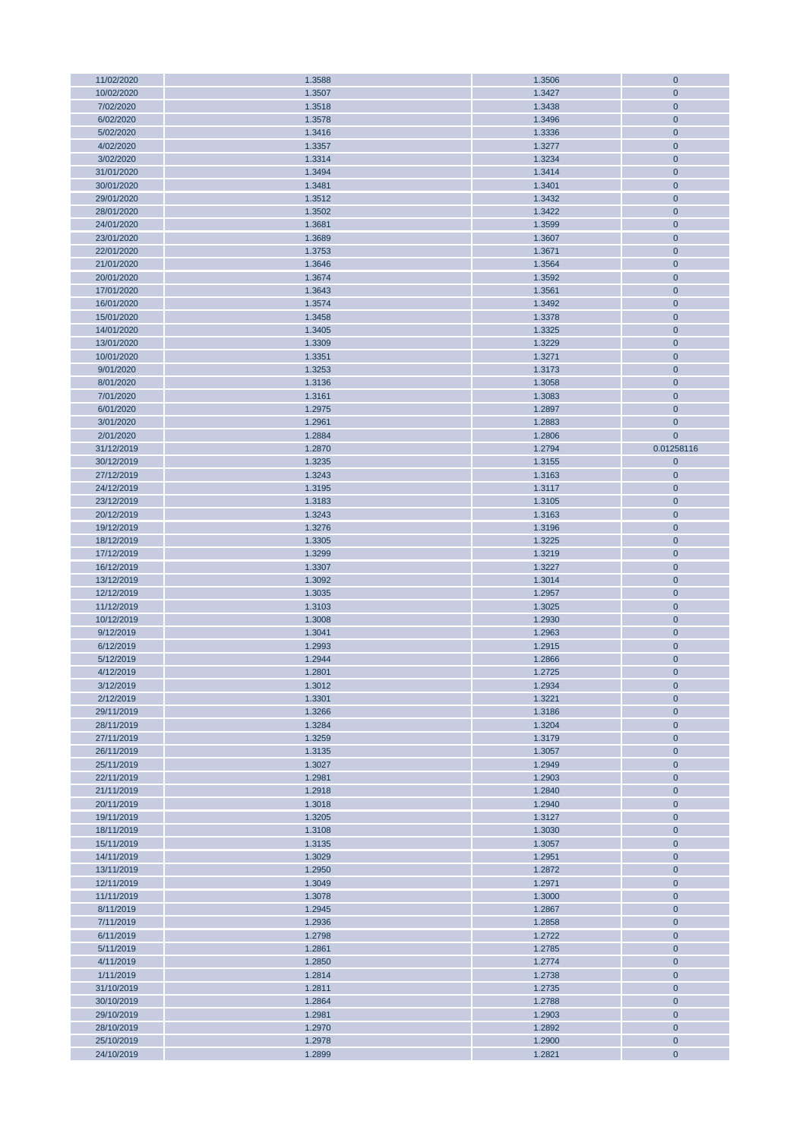| 11/02/2020               | 1.3588           | 1.3506           | $\mathbf{0}$               |
|--------------------------|------------------|------------------|----------------------------|
| 10/02/2020               | 1.3507           | 1.3427           | $\mathbf{0}$               |
| 7/02/2020                | 1.3518           | 1.3438           | $\mathbf{0}$               |
| 6/02/2020                | 1.3578           | 1.3496           | $\pmb{0}$                  |
|                          |                  |                  |                            |
| 5/02/2020                | 1.3416           | 1.3336           | $\mathbf 0$                |
| 4/02/2020                | 1.3357           | 1.3277           | $\mathbf{0}$               |
| 3/02/2020                | 1.3314           | 1.3234           | $\mathbf 0$                |
| 31/01/2020               | 1.3494           | 1.3414           | $\pmb{0}$                  |
| 30/01/2020               | 1.3481           | 1.3401           | $\mathbf 0$                |
| 29/01/2020               | 1.3512           |                  | $\mathbf{0}$               |
|                          |                  | 1.3432           |                            |
| 28/01/2020               | 1.3502           | 1.3422           | $\mathbf 0$                |
| 24/01/2020               | 1.3681           | 1.3599           | $\pmb{0}$                  |
| 23/01/2020               | 1.3689           | 1.3607           | $\mathbf 0$                |
| 22/01/2020               | 1.3753           | 1.3671           | $\mathbf{0}$               |
| 21/01/2020               | 1.3646           | 1.3564           | $\mathbf 0$                |
|                          |                  |                  |                            |
| 20/01/2020               | 1.3674           | 1.3592           | $\pmb{0}$                  |
| 17/01/2020               | 1.3643           | 1.3561           | $\mathbf 0$                |
| 16/01/2020               | 1.3574           | 1.3492           | $\mathbf{0}$               |
| 15/01/2020               | 1.3458           | 1.3378           | $\mathbf{0}$               |
| 14/01/2020               | 1.3405           | 1.3325           | $\mathbf{0}$               |
| 13/01/2020               | 1.3309           | 1.3229           | $\mathbf 0$                |
| 10/01/2020               | 1.3351           | 1.3271           | $\mathbf{0}$               |
|                          |                  |                  |                            |
| 9/01/2020                | 1.3253           | 1.3173           | $\mathbf{0}$               |
| 8/01/2020                | 1.3136           | 1.3058           | $\mathbf 0$                |
| 7/01/2020                | 1.3161           | 1.3083           | $\pmb{0}$                  |
| 6/01/2020                | 1.2975           | 1.2897           | $\mathbf{0}$               |
| 3/01/2020                | 1.2961           | 1.2883           | $\mathbf{0}$               |
| 2/01/2020                | 1.2884           | 1.2806           | $\overline{0}$             |
|                          |                  |                  |                            |
| 31/12/2019               | 1.2870           | 1.2794           | 0.01258116                 |
| 30/12/2019               | 1.3235           | 1.3155           | $\mathbf{0}$               |
| 27/12/2019               | 1.3243           | 1.3163           | $\mathbf{0}$               |
| 24/12/2019               | 1.3195           | 1.3117           | $\mathbf 0$                |
| 23/12/2019               | 1.3183           | 1.3105           | $\pmb{0}$                  |
| 20/12/2019               | 1.3243           | 1.3163           | $\mathbf 0$                |
|                          |                  |                  |                            |
| 19/12/2019               | 1.3276           | 1.3196           | $\mathbf{0}$               |
| 18/12/2019               | 1.3305           | 1.3225           | $\mathbf{0}$               |
| 17/12/2019               | 1.3299           | 1.3219           | $\pmb{0}$                  |
| 16/12/2019               | 1.3307           | 1.3227           | $\mathbf 0$                |
| 13/12/2019               | 1.3092           | 1.3014           | $\mathbf 0$                |
| 12/12/2019               | 1.3035           | 1.2957           | $\mathbf 0$                |
|                          |                  |                  |                            |
| 11/12/2019               | 1.3103           | 1.3025           | 0                          |
| 10/12/2019               | 1.3008           | 1.2930           | $\mathbf 0$                |
| 9/12/2019                | 1.3041           | 1.2963           | $\mathbf 0$                |
| 6/12/2019                | 1.2993           | 1.2915           | $\mathbf 0$                |
| 5/12/2019                | 1.2944           | 1.2866           | $\pmb{0}$                  |
| 4/12/2019                | 1.2801           | 1.2725           | $\overline{0}$             |
|                          |                  |                  |                            |
| 3/12/2019                | 1.3012           | 1.2934           | $\mathbf 0$                |
| 2/12/2019                | 1.3301           | 1.3221           | $\mathbf 0$                |
| 29/11/2019               | 1.3266           | 1.3186           | $\pmb{0}$                  |
| 28/11/2019               | 1.3284           | 1.3204           | $\mathbf 0$                |
| 27/11/2019               | 1.3259           | 1.3179           | $\mathbf{0}$               |
| 26/11/2019               | 1.3135           | 1.3057           | $\mathbf 0$                |
| 25/11/2019               | 1.3027           | 1.2949           | $\mathbf 0$                |
|                          |                  |                  |                            |
| 22/11/2019               | 1.2981           | 1.2903           | 0                          |
| 21/11/2019               | 1.2918           | 1.2840           | $\mathbf{0}$               |
| 20/11/2019               | 1.3018           | 1.2940           | $\mathbf 0$                |
| 19/11/2019               | 1.3205           | 1.3127           | $\pmb{0}$                  |
| 18/11/2019               | 1.3108           | 1.3030           | $\mathbf 0$                |
| 15/11/2019               | 1.3135           | 1.3057           | $\mathbf{0}$               |
| 14/11/2019               | 1.3029           | 1.2951           | $\mathbf 0$                |
|                          |                  |                  |                            |
| 13/11/2019               | 1.2950           | 1.2872           | $\mathbf{0}$               |
| 12/11/2019               | 1.3049           | 1.2971           | 0                          |
| 11/11/2019               | 1.3078           | 1.3000           | $\mathbf 0$                |
| 8/11/2019                | 1.2945           | 1.2867           | $\mathbf 0$                |
| 7/11/2019                | 1.2936           | 1.2858           | $\pmb{0}$                  |
| 6/11/2019                | 1.2798           | 1.2722           | $\pmb{0}$                  |
|                          |                  |                  |                            |
| 5/11/2019                | 1.2861           | 1.2785           | $\mathbf{0}$               |
| 4/11/2019                | 1.2850           | 1.2774           | $\mathbf 0$                |
| 1/11/2019                | 1.2814           | 1.2738           | $\mathbf 0$                |
| 31/10/2019               | 1.2811           | 1.2735           | 0                          |
| 30/10/2019               | 1.2864           | 1.2788           | $\mathbf 0$                |
| 29/10/2019               | 1.2981           | 1.2903           | $\mathbf{0}$               |
| 28/10/2019               | 1.2970           | 1.2892           | $\mathbf 0$                |
|                          |                  |                  |                            |
|                          |                  |                  |                            |
| 25/10/2019<br>24/10/2019 | 1.2978<br>1.2899 | 1.2900<br>1.2821 | $\mathbf 0$<br>$\mathbf 0$ |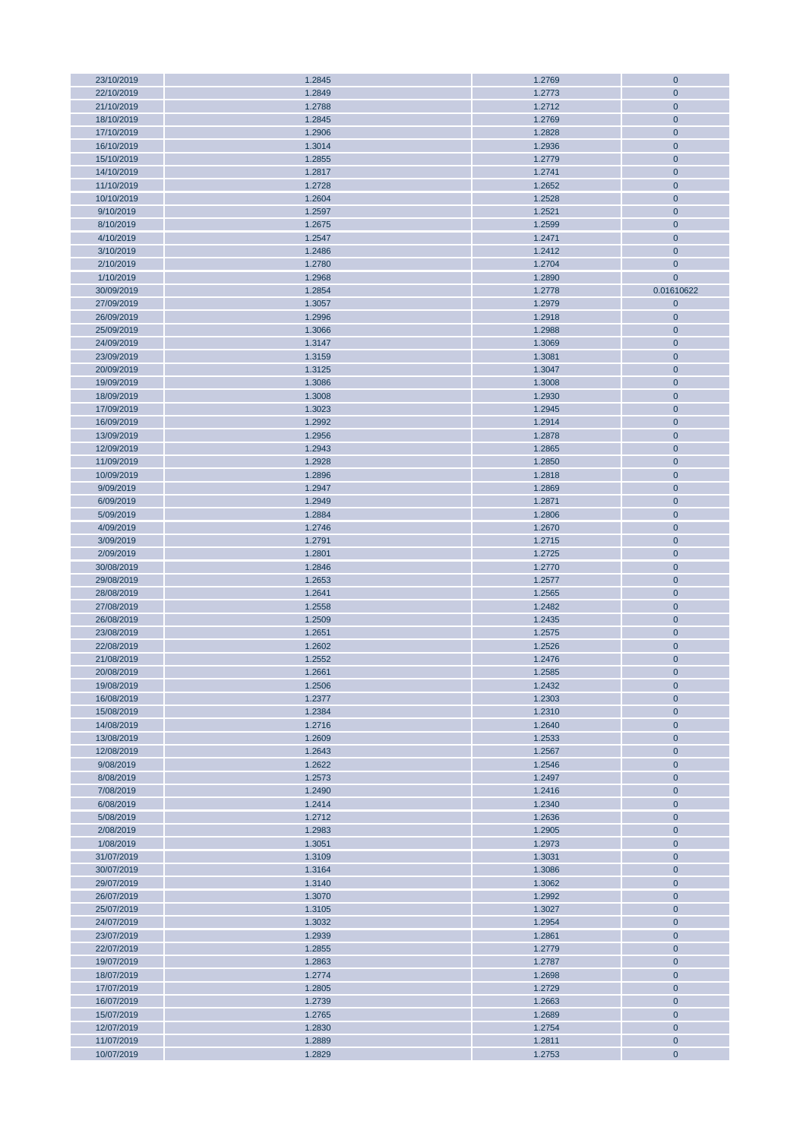| 23/10/2019 | 1.2845 | 1.2769 | $\pmb{0}$    |
|------------|--------|--------|--------------|
| 22/10/2019 | 1.2849 | 1.2773 | $\mathbf 0$  |
| 21/10/2019 | 1.2788 | 1.2712 | $\mathbf 0$  |
|            |        |        |              |
| 18/10/2019 | 1.2845 | 1.2769 | $\pmb{0}$    |
| 17/10/2019 | 1.2906 | 1.2828 | $\mathbf 0$  |
| 16/10/2019 | 1.3014 | 1.2936 | $\mathbf{0}$ |
| 15/10/2019 | 1.2855 | 1.2779 | $\mathbf{0}$ |
| 14/10/2019 | 1.2817 | 1.2741 | $\mathbf{0}$ |
|            |        |        |              |
| 11/10/2019 | 1.2728 | 1.2652 | $\pmb{0}$    |
| 10/10/2019 | 1.2604 | 1.2528 | $\mathbf 0$  |
| 9/10/2019  | 1.2597 | 1.2521 | $\mathbf 0$  |
| 8/10/2019  | 1.2675 | 1.2599 | $\mathbf{0}$ |
| 4/10/2019  | 1.2547 | 1.2471 | $\mathbf 0$  |
|            |        |        |              |
| 3/10/2019  | 1.2486 | 1.2412 | $\mathbf{0}$ |
| 2/10/2019  | 1.2780 | 1.2704 | $\mathbf 0$  |
| 1/10/2019  | 1.2968 | 1.2890 | $\mathbf{0}$ |
| 30/09/2019 | 1.2854 | 1.2778 | 0.01610622   |
| 27/09/2019 | 1.3057 | 1.2979 | $\mathbf{0}$ |
|            |        |        |              |
| 26/09/2019 | 1.2996 | 1.2918 | $\mathbf{0}$ |
| 25/09/2019 | 1.3066 | 1.2988 | $\mathbf 0$  |
| 24/09/2019 | 1.3147 | 1.3069 | $\mathbf{0}$ |
| 23/09/2019 | 1.3159 | 1.3081 | $\mathbf 0$  |
| 20/09/2019 | 1.3125 | 1.3047 | $\mathbf 0$  |
| 19/09/2019 | 1.3086 | 1.3008 | $\mathbf 0$  |
|            |        |        |              |
| 18/09/2019 | 1.3008 | 1.2930 | $\pmb{0}$    |
| 17/09/2019 | 1.3023 | 1.2945 | $\mathbf 0$  |
| 16/09/2019 | 1.2992 | 1.2914 | $\mathbf{0}$ |
| 13/09/2019 | 1.2956 | 1.2878 | $\mathbf 0$  |
| 12/09/2019 | 1.2943 | 1.2865 | $\mathbf 0$  |
|            |        |        |              |
| 11/09/2019 | 1.2928 | 1.2850 | $\mathbf 0$  |
| 10/09/2019 | 1.2896 | 1.2818 | $\mathbf 0$  |
| 9/09/2019  | 1.2947 | 1.2869 | $\mathbf 0$  |
| 6/09/2019  | 1.2949 | 1.2871 | $\pmb{0}$    |
| 5/09/2019  | 1.2884 | 1.2806 | $\mathbf 0$  |
|            |        |        |              |
| 4/09/2019  | 1.2746 | 1.2670 | $\mathbf{0}$ |
| 3/09/2019  | 1.2791 | 1.2715 | $\mathbf{0}$ |
| 2/09/2019  | 1.2801 | 1.2725 | $\mathbf{0}$ |
| 30/08/2019 | 1.2846 | 1.2770 | $\pmb{0}$    |
| 29/08/2019 | 1.2653 | 1.2577 | $\mathbf 0$  |
|            |        |        |              |
| 28/08/2019 | 1.2641 | 1.2565 | $\mathbf 0$  |
| 27/08/2019 | 1.2558 | 1.2482 | $\mathbf 0$  |
| 26/08/2019 | 1.2509 | 1.2435 | $\mathbf 0$  |
| 23/08/2019 | 1.2651 | 1.2575 | $\mathbf{0}$ |
| 22/08/2019 | 1.2602 | 1.2526 | $\mathbf 0$  |
| 21/08/2019 | 1.2552 | 1.2476 | $\mathbf 0$  |
|            |        |        |              |
| 20/08/2019 | 1.2661 | 1.2585 | $\mathbf 0$  |
| 19/08/2019 | 1.2506 | 1.2432 | $\mathbf{0}$ |
| 16/08/2019 | 1.2377 | 1.2303 | $\mathbf{0}$ |
| 15/08/2019 | 1.2384 | 1.2310 | $\mathbf{0}$ |
| 14/08/2019 | 1.2716 | 1.2640 | $\pmb{0}$    |
|            |        |        |              |
| 13/08/2019 | 1.2609 | 1.2533 | $\mathbf{0}$ |
| 12/08/2019 | 1.2643 | 1.2567 | $\mathbf{0}$ |
| 9/08/2019  | 1.2622 | 1.2546 | $\mathbf 0$  |
| 8/08/2019  | 1.2573 | 1.2497 | $\pmb{0}$    |
| 7/08/2019  | 1.2490 | 1.2416 | $\pmb{0}$    |
| 6/08/2019  | 1.2414 | 1.2340 | $\mathbf{0}$ |
|            |        |        |              |
| 5/08/2019  | 1.2712 | 1.2636 | $\pmb{0}$    |
| 2/08/2019  | 1.2983 | 1.2905 | $\pmb{0}$    |
| 1/08/2019  | 1.3051 | 1.2973 | $\mathbf 0$  |
| 31/07/2019 | 1.3109 | 1.3031 | $\mathbf 0$  |
| 30/07/2019 | 1.3164 | 1.3086 | $\mathbf 0$  |
| 29/07/2019 | 1.3140 | 1.3062 | $\pmb{0}$    |
|            |        |        |              |
| 26/07/2019 | 1.3070 | 1.2992 | $\pmb{0}$    |
| 25/07/2019 | 1.3105 | 1.3027 | $\mathbf{0}$ |
| 24/07/2019 | 1.3032 | 1.2954 | $\mathbf{0}$ |
| 23/07/2019 | 1.2939 | 1.2861 | $\mathbf 0$  |
|            |        |        | $\pmb{0}$    |
| 22/07/2019 | 1.2855 | 1.2779 |              |
| 19/07/2019 | 1.2863 | 1.2787 | $\mathbf{0}$ |
| 18/07/2019 | 1.2774 | 1.2698 | $\mathbf{0}$ |
| 17/07/2019 | 1.2805 | 1.2729 | $\pmb{0}$    |
| 16/07/2019 | 1.2739 | 1.2663 | $\pmb{0}$    |
| 15/07/2019 | 1.2765 | 1.2689 | $\mathbf{0}$ |
|            |        |        |              |
| 12/07/2019 | 1.2830 | 1.2754 | $\pmb{0}$    |
| 11/07/2019 | 1.2889 | 1.2811 | $\mathbf{0}$ |
| 10/07/2019 | 1.2829 | 1.2753 | $\mathbf 0$  |
|            |        |        |              |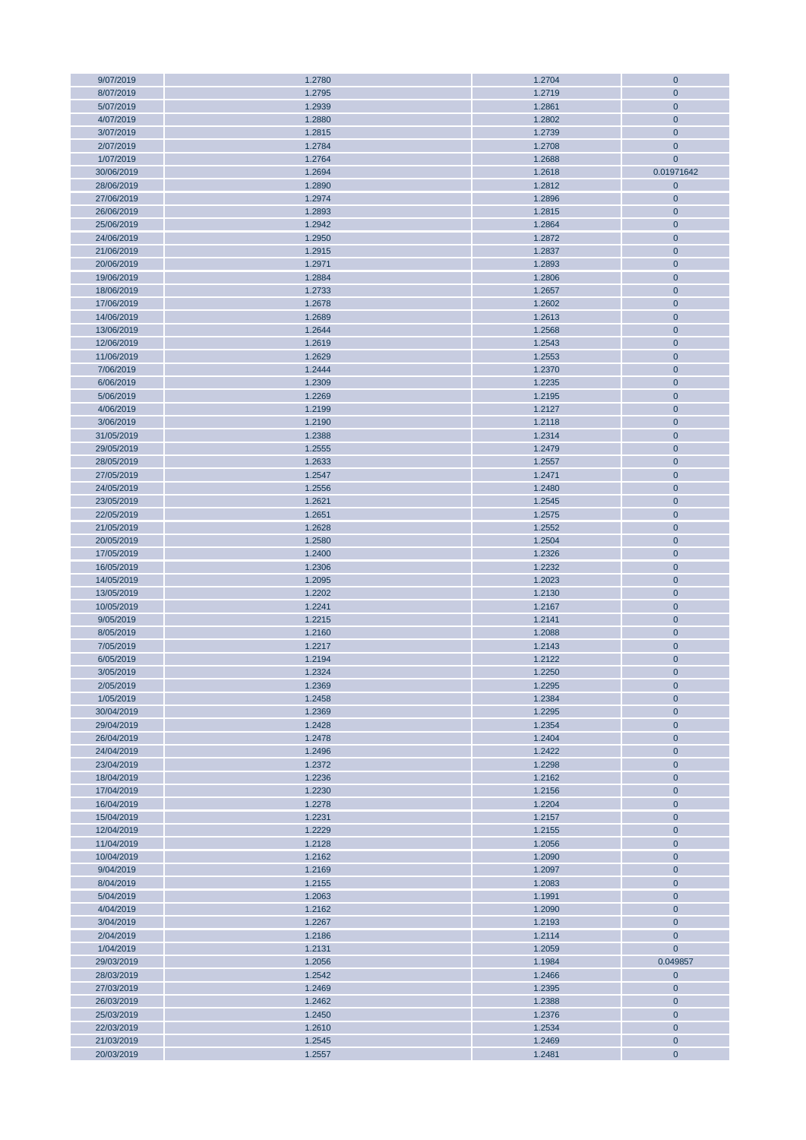| 9/07/2019  | 1.2780 | 1.2704 | $\mathbf{0}$ |
|------------|--------|--------|--------------|
| 8/07/2019  | 1.2795 | 1.2719 | $\mathbf{0}$ |
| 5/07/2019  | 1.2939 | 1.2861 | $\mathbf{0}$ |
| 4/07/2019  | 1.2880 | 1.2802 | $\mathbf 0$  |
|            |        |        |              |
| 3/07/2019  | 1.2815 | 1.2739 | $\mathbf 0$  |
| 2/07/2019  | 1.2784 | 1.2708 | $\mathbf{0}$ |
| 1/07/2019  | 1.2764 | 1.2688 | $\mathbf{0}$ |
| 30/06/2019 | 1.2694 | 1.2618 | 0.01971642   |
| 28/06/2019 | 1.2890 | 1.2812 | $\mathbf 0$  |
| 27/06/2019 | 1.2974 |        | $\mathbf{0}$ |
|            |        | 1.2896 |              |
| 26/06/2019 | 1.2893 | 1.2815 | $\mathbf{0}$ |
| 25/06/2019 | 1.2942 | 1.2864 | $\mathbf 0$  |
| 24/06/2019 | 1.2950 | 1.2872 | $\mathbf 0$  |
| 21/06/2019 | 1.2915 | 1.2837 | $\mathbf{0}$ |
| 20/06/2019 | 1.2971 | 1.2893 | $\mathbf 0$  |
|            |        |        |              |
| 19/06/2019 | 1.2884 | 1.2806 | $\mathbf 0$  |
| 18/06/2019 | 1.2733 | 1.2657 | $\mathbf 0$  |
| 17/06/2019 | 1.2678 | 1.2602 | $\mathbf{0}$ |
| 14/06/2019 | 1.2689 | 1.2613 | $\mathbf{0}$ |
| 13/06/2019 | 1.2644 | 1.2568 | $\mathbf{0}$ |
| 12/06/2019 | 1.2619 | 1.2543 | $\mathbf 0$  |
| 11/06/2019 | 1.2629 | 1.2553 | $\mathbf{0}$ |
|            |        |        |              |
| 7/06/2019  | 1.2444 | 1.2370 | $\mathbf{0}$ |
| 6/06/2019  | 1.2309 | 1.2235 | $\mathbf{0}$ |
| 5/06/2019  | 1.2269 | 1.2195 | $\mathbf 0$  |
| 4/06/2019  | 1.2199 | 1.2127 | $\mathbf{0}$ |
| 3/06/2019  | 1.2190 | 1.2118 | $\mathbf{0}$ |
| 31/05/2019 | 1.2388 | 1.2314 | $\mathbf{0}$ |
|            |        |        |              |
| 29/05/2019 | 1.2555 | 1.2479 | $\mathbf 0$  |
| 28/05/2019 | 1.2633 | 1.2557 | $\mathbf{0}$ |
| 27/05/2019 | 1.2547 | 1.2471 | $\mathbf{0}$ |
| 24/05/2019 | 1.2556 | 1.2480 | $\mathbf{0}$ |
| 23/05/2019 | 1.2621 | 1.2545 | $\mathbf 0$  |
| 22/05/2019 | 1.2651 | 1.2575 | $\mathbf 0$  |
| 21/05/2019 | 1.2628 | 1.2552 | $\mathbf{0}$ |
|            |        |        |              |
| 20/05/2019 | 1.2580 | 1.2504 | $\mathbf{0}$ |
| 17/05/2019 | 1.2400 | 1.2326 | $\mathbf 0$  |
| 16/05/2019 | 1.2306 | 1.2232 | $\mathbf 0$  |
| 14/05/2019 | 1.2095 | 1.2023 | $\mathbf{0}$ |
| 13/05/2019 | 1.2202 | 1.2130 | $\mathbf 0$  |
| 10/05/2019 | 1.2241 | 1.2167 | $\mathbf 0$  |
| 9/05/2019  | 1.2215 | 1.2141 | $\mathbf 0$  |
|            |        |        |              |
| 8/05/2019  | 1.2160 | 1.2088 | $\mathbf{0}$ |
| 7/05/2019  | 1.2217 | 1.2143 | $\mathbf 0$  |
| 6/05/2019  | 1.2194 | 1.2122 | $\mathbf 0$  |
| 3/05/2019  | 1.2324 | 1.2250 | $\mathbf{0}$ |
| 2/05/2019  | 1.2369 | 1.2295 | $\mathbf{0}$ |
| 1/05/2019  | 1.2458 | 1.2384 | $\mathbf{0}$ |
|            |        |        | $\mathbf{0}$ |
| 30/04/2019 | 1.2369 | 1.2295 |              |
| 29/04/2019 | 1.2428 | 1.2354 | $\mathbf 0$  |
| 26/04/2019 | 1.2478 | 1.2404 | $\mathbf{0}$ |
| 24/04/2019 | 1.2496 | 1.2422 | $\mathbf{0}$ |
| 23/04/2019 | 1.2372 | 1.2298 | $\mathbf{0}$ |
| 18/04/2019 | 1.2236 | 1.2162 | $\mathbf 0$  |
| 17/04/2019 | 1.2230 | 1.2156 | $\mathbf{0}$ |
| 16/04/2019 | 1.2278 | 1.2204 | $\mathbf{0}$ |
|            |        |        | $\mathbf 0$  |
| 15/04/2019 | 1.2231 | 1.2157 |              |
| 12/04/2019 | 1.2229 | 1.2155 | $\mathbf 0$  |
| 11/04/2019 | 1.2128 | 1.2056 | $\mathbf{0}$ |
| 10/04/2019 | 1.2162 | 1.2090 | $\mathbf{0}$ |
| 9/04/2019  | 1.2169 | 1.2097 | $\mathbf{0}$ |
| 8/04/2019  | 1.2155 | 1.2083 | $\mathbf 0$  |
| 5/04/2019  | 1.2063 | 1.1991 | $\mathbf 0$  |
| 4/04/2019  | 1.2162 | 1.2090 | $\mathbf 0$  |
|            |        |        |              |
| 3/04/2019  | 1.2267 | 1.2193 | $\mathbf{0}$ |
| 2/04/2019  | 1.2186 | 1.2114 | $\mathbf{0}$ |
| 1/04/2019  | 1.2131 | 1.2059 | $\mathbf{0}$ |
| 29/03/2019 | 1.2056 | 1.1984 | 0.049857     |
| 28/03/2019 | 1.2542 | 1.2466 | $\mathbf 0$  |
| 27/03/2019 | 1.2469 | 1.2395 | $\mathbf 0$  |
| 26/03/2019 | 1.2462 | 1.2388 | $\mathbf 0$  |
|            |        |        |              |
| 25/03/2019 | 1.2450 | 1.2376 | $\mathbf{0}$ |
| 22/03/2019 | 1.2610 | 1.2534 | $\mathbf 0$  |
| 21/03/2019 | 1.2545 | 1.2469 | $\pmb{0}$    |
| 20/03/2019 | 1.2557 | 1.2481 | $\mathbf 0$  |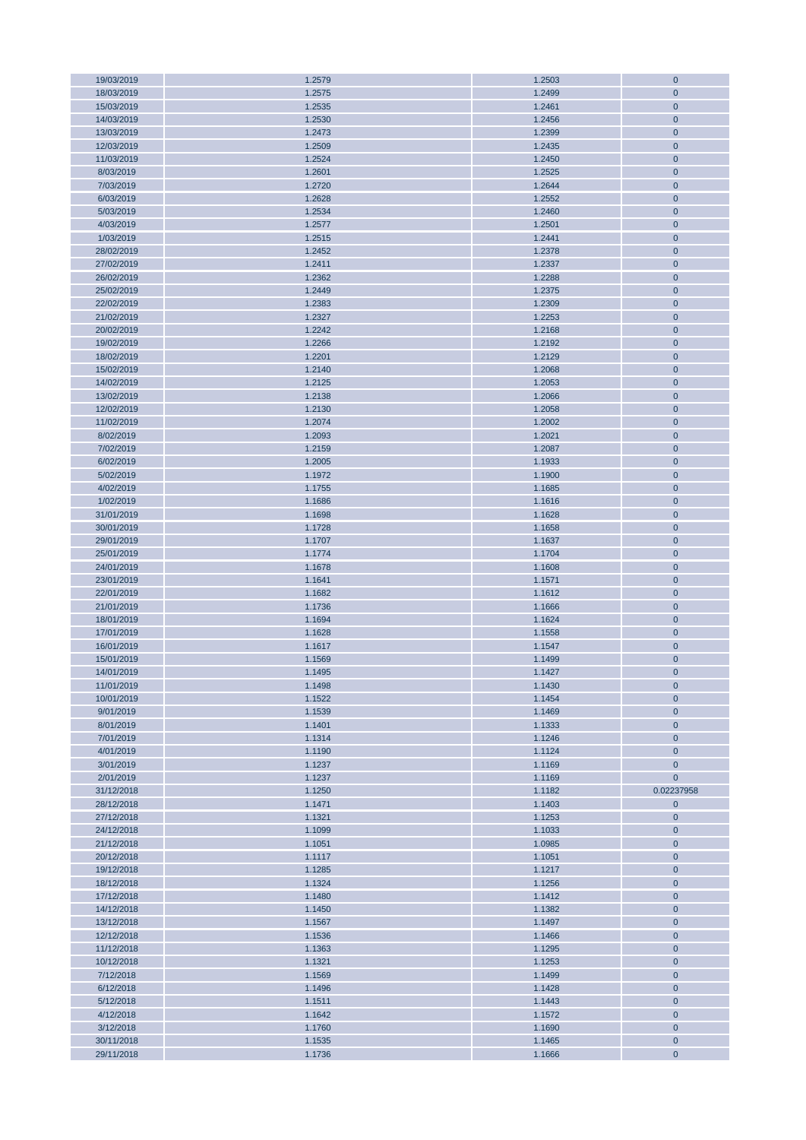| 19/03/2019 | 1.2579 | 1.2503 | $\pmb{0}$      |
|------------|--------|--------|----------------|
| 18/03/2019 | 1.2575 | 1.2499 | $\mathbf{0}$   |
| 15/03/2019 | 1.2535 | 1.2461 | $\mathbf{0}$   |
|            |        |        |                |
| 14/03/2019 | 1.2530 | 1.2456 | $\pmb{0}$      |
| 13/03/2019 | 1.2473 | 1.2399 | $\mathbf 0$    |
| 12/03/2019 | 1.2509 | 1.2435 | $\mathbf{0}$   |
| 11/03/2019 | 1.2524 | 1.2450 | $\mathbf{0}$   |
| 8/03/2019  | 1.2601 | 1.2525 | $\mathbf 0$    |
| 7/03/2019  | 1.2720 | 1.2644 | $\pmb{0}$      |
|            |        |        |                |
| 6/03/2019  | 1.2628 | 1.2552 | $\mathbf{0}$   |
| 5/03/2019  | 1.2534 | 1.2460 | $\mathbf 0$    |
| 4/03/2019  | 1.2577 | 1.2501 | $\mathbf 0$    |
| 1/03/2019  | 1.2515 | 1.2441 | $\pmb{0}$      |
| 28/02/2019 | 1.2452 | 1.2378 | $\mathbf{0}$   |
| 27/02/2019 | 1.2411 | 1.2337 | $\mathbf{0}$   |
|            |        |        |                |
| 26/02/2019 | 1.2362 | 1.2288 | $\mathbf 0$    |
| 25/02/2019 | 1.2449 | 1.2375 | $\pmb{0}$      |
| 22/02/2019 | 1.2383 | 1.2309 | $\pmb{0}$      |
| 21/02/2019 | 1.2327 | 1.2253 | $\mathbf{0}$   |
| 20/02/2019 | 1.2242 | 1.2168 | $\mathbf 0$    |
| 19/02/2019 | 1.2266 | 1.2192 | $\pmb{0}$      |
|            |        |        |                |
| 18/02/2019 | 1.2201 | 1.2129 | $\mathbf 0$    |
| 15/02/2019 | 1.2140 | 1.2068 | $\pmb{0}$      |
| 14/02/2019 | 1.2125 | 1.2053 | $\mathbf 0$    |
| 13/02/2019 | 1.2138 | 1.2066 | $\pmb{0}$      |
| 12/02/2019 | 1.2130 | 1.2058 | $\mathbf 0$    |
| 11/02/2019 | 1.2074 | 1.2002 | $\mathbf 0$    |
|            |        |        |                |
| 8/02/2019  | 1.2093 | 1.2021 | $\mathbf 0$    |
| 7/02/2019  | 1.2159 | 1.2087 | $\mathbf 0$    |
| 6/02/2019  | 1.2005 | 1.1933 | $\mathbf 0$    |
| 5/02/2019  | 1.1972 | 1.1900 | $\mathbf 0$    |
| 4/02/2019  | 1.1755 | 1.1685 | $\mathbf 0$    |
| 1/02/2019  | 1.1686 | 1.1616 | $\pmb{0}$      |
|            |        |        |                |
| 31/01/2019 | 1.1698 | 1.1628 | $\pmb{0}$      |
| 30/01/2019 | 1.1728 | 1.1658 | $\mathbf{0}$   |
| 29/01/2019 | 1.1707 | 1.1637 | $\mathbf{0}$   |
| 25/01/2019 | 1.1774 | 1.1704 | $\mathbf 0$    |
| 24/01/2019 | 1.1678 | 1.1608 | $\pmb{0}$      |
| 23/01/2019 | 1.1641 | 1.1571 | $\mathbf{0}$   |
|            |        |        |                |
| 22/01/2019 | 1.1682 | 1.1612 | $\pmb{0}$      |
| 21/01/2019 | 1.1736 | 1.1666 | $\pmb{0}$      |
| 18/01/2019 | 1.1694 | 1.1624 | $\pmb{0}$      |
| 17/01/2019 | 1.1628 | 1.1558 | $\mathbf 0$    |
| 16/01/2019 | 1.1617 | 1.1547 | $\pmb{0}$      |
| 15/01/2019 | 1.1569 | 1.1499 | $\mathbf 0$    |
|            |        |        |                |
| 14/01/2019 | 1.1495 | 1.1427 | $\overline{0}$ |
| 11/01/2019 | 1.1498 | 1.1430 | $\mathbf{0}$   |
| 10/01/2019 | 1.1522 | 1.1454 | $\mathbf{0}$   |
| 9/01/2019  | 1.1539 | 1.1469 | 0              |
| 8/01/2019  | 1.1401 | 1.1333 | $\mathbf 0$    |
| 7/01/2019  | 1.1314 | 1.1246 | $\mathbf{0}$   |
|            |        |        |                |
| 4/01/2019  | 1.1190 | 1.1124 | $\mathbf{0}$   |
| 3/01/2019  | 1.1237 | 1.1169 | $\mathbf{0}$   |
| 2/01/2019  | 1.1237 | 1.1169 | $\overline{0}$ |
| 31/12/2018 | 1.1250 | 1.1182 | 0.02237958     |
| 28/12/2018 | 1.1471 | 1.1403 | $\overline{0}$ |
| 27/12/2018 | 1.1321 | 1.1253 | $\mathbf{0}$   |
|            |        |        |                |
| 24/12/2018 | 1.1099 | 1.1033 | $\mathbf{0}$   |
| 21/12/2018 | 1.1051 | 1.0985 | $\mathbf{0}$   |
| 20/12/2018 | 1.1117 | 1.1051 | $\mathbf{0}$   |
| 19/12/2018 | 1.1285 | 1.1217 | $\mathbf{0}$   |
| 18/12/2018 | 1.1324 | 1.1256 | $\pmb{0}$      |
| 17/12/2018 | 1.1480 | 1.1412 | $\bf{0}$       |
| 14/12/2018 | 1.1450 | 1.1382 | $\mathbf{0}$   |
|            |        |        |                |
| 13/12/2018 | 1.1567 | 1.1497 | $\mathbf 0$    |
| 12/12/2018 | 1.1536 | 1.1466 | $\mathbf{0}$   |
| 11/12/2018 | 1.1363 | 1.1295 | $\mathbf 0$    |
| 10/12/2018 | 1.1321 | 1.1253 | $\mathbf{0}$   |
| 7/12/2018  | 1.1569 | 1.1499 | $\mathbf{0}$   |
| 6/12/2018  | 1.1496 | 1.1428 | $\pmb{0}$      |
|            |        |        |                |
| 5/12/2018  | 1.1511 | 1.1443 | $\mathbf 0$    |
| 4/12/2018  | 1.1642 | 1.1572 | $\mathbf 0$    |
| 3/12/2018  | 1.1760 | 1.1690 | $\mathbf{0}$   |
| 30/11/2018 | 1.1535 | 1.1465 | $\mathbf{0}$   |
| 29/11/2018 | 1.1736 | 1.1666 | $\pmb{0}$      |
|            |        |        |                |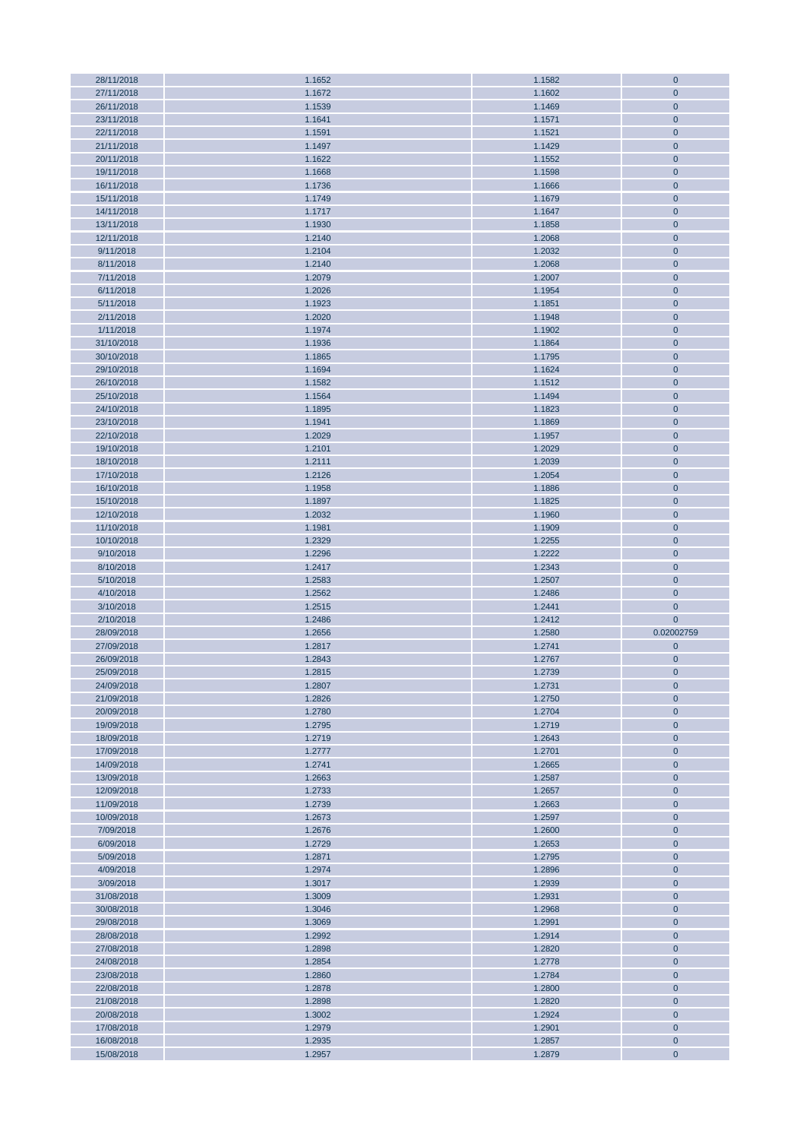| 28/11/2018 | 1.1652 | 1.1582 | $\mathbf 0$  |
|------------|--------|--------|--------------|
| 27/11/2018 | 1.1672 | 1.1602 | $\mathbf{0}$ |
| 26/11/2018 | 1.1539 | 1.1469 | $\mathbf{0}$ |
|            |        |        |              |
| 23/11/2018 | 1.1641 | 1.1571 | $\mathbf{0}$ |
| 22/11/2018 | 1.1591 | 1.1521 | $\mathbf 0$  |
| 21/11/2018 | 1.1497 | 1.1429 | $\mathbf{0}$ |
| 20/11/2018 | 1.1622 | 1.1552 | $\mathbf{0}$ |
| 19/11/2018 | 1.1668 | 1.1598 | $\mathbf{0}$ |
|            |        |        |              |
| 16/11/2018 | 1.1736 | 1.1666 | $\mathbf 0$  |
| 15/11/2018 | 1.1749 | 1.1679 | $\mathbf{0}$ |
| 14/11/2018 | 1.1717 | 1.1647 | $\mathbf{0}$ |
| 13/11/2018 | 1.1930 | 1.1858 | $\mathbf{0}$ |
| 12/11/2018 | 1.2140 | 1.2068 | $\mathbf 0$  |
|            |        |        |              |
| 9/11/2018  | 1.2104 | 1.2032 | $\mathbf{0}$ |
| 8/11/2018  | 1.2140 | 1.2068 | $\mathbf{0}$ |
| 7/11/2018  | 1.2079 | 1.2007 | $\mathbf{0}$ |
| 6/11/2018  | 1.2026 | 1.1954 | $\mathbf 0$  |
| 5/11/2018  | 1.1923 | 1.1851 | $\mathbf 0$  |
|            |        |        |              |
| 2/11/2018  | 1.2020 | 1.1948 | $\mathbf{0}$ |
| 1/11/2018  | 1.1974 | 1.1902 | $\mathbf 0$  |
| 31/10/2018 | 1.1936 | 1.1864 | $\mathbf 0$  |
| 30/10/2018 | 1.1865 | 1.1795 | $\mathbf 0$  |
| 29/10/2018 | 1.1694 | 1.1624 | $\mathbf{0}$ |
| 26/10/2018 | 1.1582 | 1.1512 | $\mathbf 0$  |
|            |        |        |              |
| 25/10/2018 | 1.1564 | 1.1494 | $\mathbf 0$  |
| 24/10/2018 | 1.1895 | 1.1823 | $\mathbf 0$  |
| 23/10/2018 | 1.1941 | 1.1869 | $\mathbf{0}$ |
| 22/10/2018 | 1.2029 | 1.1957 | $\mathbf 0$  |
|            |        |        |              |
| 19/10/2018 | 1.2101 | 1.2029 | $\mathbf 0$  |
| 18/10/2018 | 1.2111 | 1.2039 | $\mathbf 0$  |
| 17/10/2018 | 1.2126 | 1.2054 | $\mathbf{0}$ |
| 16/10/2018 | 1.1958 | 1.1886 | $\mathbf 0$  |
| 15/10/2018 | 1.1897 | 1.1825 | $\mathbf 0$  |
| 12/10/2018 | 1.2032 | 1.1960 | $\mathbf 0$  |
|            |        |        |              |
| 11/10/2018 | 1.1981 | 1.1909 | $\mathbf{0}$ |
| 10/10/2018 | 1.2329 | 1.2255 | $\mathbf{0}$ |
| 9/10/2018  | 1.2296 | 1.2222 | $\mathbf{0}$ |
| 8/10/2018  | 1.2417 | 1.2343 | $\mathbf{0}$ |
|            |        |        |              |
|            |        |        |              |
| 5/10/2018  | 1.2583 | 1.2507 | $\mathbf{0}$ |
| 4/10/2018  | 1.2562 | 1.2486 | $\mathbf{0}$ |
| 3/10/2018  | 1.2515 | 1.2441 | $\mathbf{0}$ |
| 2/10/2018  | 1.2486 | 1.2412 | $\mathbf{0}$ |
| 28/09/2018 | 1.2656 | 1.2580 | 0.02002759   |
|            |        |        |              |
| 27/09/2018 | 1.2817 | 1.2741 | $\pmb{0}$    |
| 26/09/2018 | 1.2843 | 1.2767 | $\mathbf{0}$ |
| 25/09/2018 | 1.2815 | 1.2739 | $\mathbf 0$  |
| 24/09/2018 | 1.2807 | 1.2731 | $\mathbf{0}$ |
| 21/09/2018 | 1.2826 | 1.2750 | $\mathbf{0}$ |
|            |        |        |              |
| 20/09/2018 | 1.2780 | 1.2704 | $\mathbf{0}$ |
| 19/09/2018 | 1.2795 | 1.2719 | $\mathbf{0}$ |
| 18/09/2018 | 1.2719 | 1.2643 | $\mathbf{0}$ |
| 17/09/2018 | 1.2777 | 1.2701 | $\mathbf{0}$ |
| 14/09/2018 | 1.2741 | 1.2665 | $\mathbf{0}$ |
| 13/09/2018 | 1.2663 | 1.2587 | $\mathbf{0}$ |
|            |        |        |              |
| 12/09/2018 | 1.2733 | 1.2657 | $\mathbf{0}$ |
| 11/09/2018 | 1.2739 | 1.2663 | $\mathbf{0}$ |
| 10/09/2018 | 1.2673 | 1.2597 | $\mathbf{0}$ |
| 7/09/2018  | 1.2676 | 1.2600 | $\mathbf{0}$ |
| 6/09/2018  | 1.2729 | 1.2653 | $\mathbf{0}$ |
| 5/09/2018  | 1.2871 | 1.2795 | $\mathbf{0}$ |
|            |        |        |              |
| 4/09/2018  | 1.2974 | 1.2896 | $\mathbf{0}$ |
| 3/09/2018  | 1.3017 | 1.2939 | $\mathbf 0$  |
| 31/08/2018 | 1.3009 | 1.2931 | $\mathbf 0$  |
| 30/08/2018 | 1.3046 | 1.2968 | $\mathbf{0}$ |
| 29/08/2018 | 1.3069 | 1.2991 | $\mathbf{0}$ |
|            |        |        |              |
| 28/08/2018 | 1.2992 | 1.2914 | $\mathbf{0}$ |
| 27/08/2018 | 1.2898 | 1.2820 | $\mathbf 0$  |
| 24/08/2018 | 1.2854 | 1.2778 | $\mathbf{0}$ |
| 23/08/2018 | 1.2860 | 1.2784 | $\mathbf{0}$ |
| 22/08/2018 | 1.2878 | 1.2800 | $\mathbf 0$  |
|            |        |        |              |
| 21/08/2018 | 1.2898 | 1.2820 | $\mathbf 0$  |
| 20/08/2018 | 1.3002 | 1.2924 | $\mathbf{0}$ |
| 17/08/2018 | 1.2979 | 1.2901 | $\mathbf{0}$ |
| 16/08/2018 | 1.2935 | 1.2857 | $\mathbf{0}$ |
| 15/08/2018 | 1.2957 | 1.2879 | $\mathbf 0$  |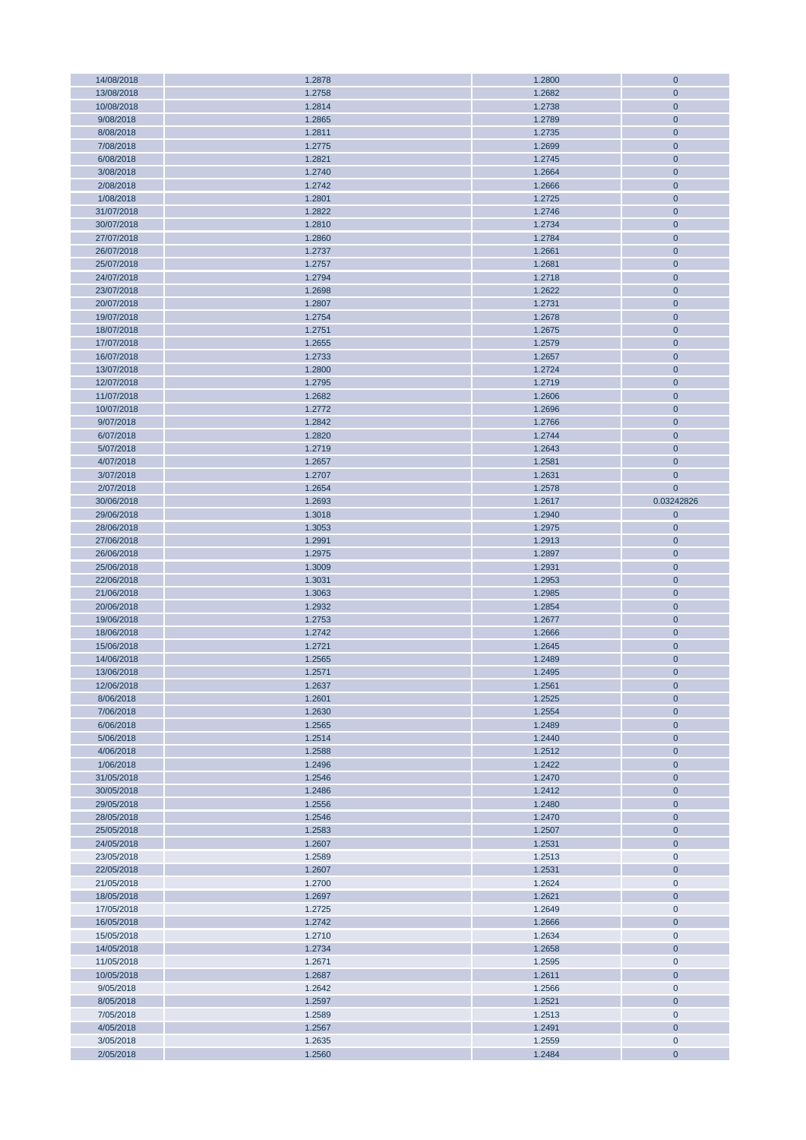| 14/08/2018 | 1.2878 | 1.2800 | $\mathbf{0}$ |
|------------|--------|--------|--------------|
| 13/08/2018 | 1.2758 | 1.2682 | $\mathbf{0}$ |
| 10/08/2018 | 1.2814 | 1.2738 | $\mathbf{0}$ |
| 9/08/2018  | 1.2865 | 1.2789 | $\mathbf 0$  |
|            |        |        |              |
| 8/08/2018  | 1.2811 | 1.2735 | $\mathbf 0$  |
| 7/08/2018  | 1.2775 | 1.2699 | $\mathbf{0}$ |
| 6/08/2018  | 1.2821 | 1.2745 | $\mathbf{0}$ |
| 3/08/2018  | 1.2740 | 1.2664 | $\mathbf{0}$ |
| 2/08/2018  | 1.2742 | 1.2666 | $\mathbf 0$  |
|            |        |        |              |
| 1/08/2018  | 1.2801 | 1.2725 | $\mathbf{0}$ |
| 31/07/2018 | 1.2822 | 1.2746 | $\mathbf{0}$ |
| 30/07/2018 | 1.2810 | 1.2734 | $\mathbf 0$  |
| 27/07/2018 | 1.2860 | 1.2784 | $\mathbf 0$  |
| 26/07/2018 | 1.2737 | 1.2661 | $\mathbf{0}$ |
| 25/07/2018 | 1.2757 | 1.2681 | $\mathbf 0$  |
|            |        |        |              |
| 24/07/2018 | 1.2794 | 1.2718 | $\mathbf{0}$ |
| 23/07/2018 | 1.2698 | 1.2622 | $\mathbf 0$  |
| 20/07/2018 | 1.2807 | 1.2731 | $\mathbf{0}$ |
| 19/07/2018 | 1.2754 | 1.2678 | $\mathbf{0}$ |
| 18/07/2018 | 1.2751 | 1.2675 | $\mathbf{0}$ |
| 17/07/2018 | 1.2655 | 1.2579 | $\mathbf 0$  |
|            |        |        |              |
| 16/07/2018 | 1.2733 | 1.2657 | $\mathbf{0}$ |
| 13/07/2018 | 1.2800 | 1.2724 | $\mathbf{0}$ |
| 12/07/2018 | 1.2795 | 1.2719 | $\mathbf{0}$ |
| 11/07/2018 | 1.2682 | 1.2606 | $\mathbf 0$  |
| 10/07/2018 | 1.2772 | 1.2696 | $\mathbf{0}$ |
| 9/07/2018  | 1.2842 | 1.2766 | $\mathbf{0}$ |
|            |        |        |              |
| 6/07/2018  | 1.2820 | 1.2744 | $\mathbf{0}$ |
| 5/07/2018  | 1.2719 | 1.2643 | $\mathbf 0$  |
| 4/07/2018  | 1.2657 | 1.2581 | $\mathbf{0}$ |
| 3/07/2018  | 1.2707 | 1.2631 | $\mathbf{0}$ |
| 2/07/2018  | 1.2654 | 1.2578 | $\mathbf{0}$ |
| 30/06/2018 | 1.2693 | 1.2617 | 0.03242826   |
|            |        |        |              |
| 29/06/2018 | 1.3018 | 1.2940 | $\mathbf 0$  |
| 28/06/2018 | 1.3053 | 1.2975 | $\mathbf{0}$ |
| 27/06/2018 | 1.2991 | 1.2913 | $\mathbf{0}$ |
| 26/06/2018 | 1.2975 | 1.2897 | $\mathbf 0$  |
| 25/06/2018 | 1.3009 | 1.2931 | $\mathbf 0$  |
| 22/06/2018 | 1.3031 | 1.2953 | $\mathbf{0}$ |
|            |        |        |              |
| 21/06/2018 | 1.3063 | 1.2985 | $\mathbf{0}$ |
| 20/06/2018 | 1.2932 | 1.2854 | $\mathbf 0$  |
| 19/06/2018 | 1.2753 | 1.2677 | $\mathbf 0$  |
| 18/06/2018 | 1.2742 | 1.2666 | $\mathbf{0}$ |
| 15/06/2018 | 1.2721 | 1.2645 | $\mathbf 0$  |
| 14/06/2018 | 1.2565 | 1.2489 | $\mathbf 0$  |
|            |        |        |              |
| 13/06/2018 | 1.2571 | 1.2495 | $\mathbf 0$  |
| 12/06/2018 | 1.2637 | 1.2561 | $\mathbf{0}$ |
| 8/06/2018  | 1.2601 | 1.2525 | $\mathbf{0}$ |
| 7/06/2018  | 1.2630 | 1.2554 | $\mathbf{0}$ |
| 6/06/2018  | 1.2565 | 1.2489 | $\mathbf 0$  |
| 5/06/2018  | 1.2514 | 1.2440 | $\mathbf{0}$ |
|            |        |        |              |
| 4/06/2018  | 1.2588 | 1.2512 | $\mathbf{0}$ |
| 1/06/2018  | 1.2496 | 1.2422 | $\mathbf{0}$ |
| 31/05/2018 | 1.2546 | 1.2470 | $\mathbf 0$  |
| 30/05/2018 | 1.2486 | 1.2412 | $\mathbf 0$  |
| 29/05/2018 | 1.2556 | 1.2480 | $\mathbf{0}$ |
| 28/05/2018 | 1.2546 | 1.2470 | $\mathbf 0$  |
|            |        |        |              |
| 25/05/2018 | 1.2583 | 1.2507 | $\mathbf{0}$ |
| 24/05/2018 | 1.2607 | 1.2531 | $\mathbf{0}$ |
| 23/05/2018 | 1.2589 | 1.2513 | $\mathbf 0$  |
| 22/05/2018 | 1.2607 | 1.2531 | $\mathbf{0}$ |
| 21/05/2018 | 1.2700 | 1.2624 | $\mathbf 0$  |
| 18/05/2018 | 1.2697 | 1.2621 | $\mathbf 0$  |
| 17/05/2018 | 1.2725 | 1.2649 | $\mathbf 0$  |
|            |        |        |              |
| 16/05/2018 | 1.2742 | 1.2666 | $\mathbf{0}$ |
| 15/05/2018 | 1.2710 | 1.2634 | $\mathbf 0$  |
| 14/05/2018 | 1.2734 | 1.2658 | $\mathbf 0$  |
| 11/05/2018 | 1.2671 | 1.2595 | $\mathbf 0$  |
| 10/05/2018 |        |        |              |
| 9/05/2018  |        |        |              |
|            | 1.2687 | 1.2611 | $\mathbf 0$  |
|            | 1.2642 | 1.2566 | $\pmb{0}$    |
| 8/05/2018  | 1.2597 | 1.2521 | $\mathbf 0$  |
| 7/05/2018  | 1.2589 | 1.2513 | $\mathbf 0$  |
| 4/05/2018  | 1.2567 | 1.2491 | $\pmb{0}$    |
| 3/05/2018  | 1.2635 | 1.2559 | $\mathbf 0$  |
| 2/05/2018  | 1.2560 | 1.2484 | $\mathbf 0$  |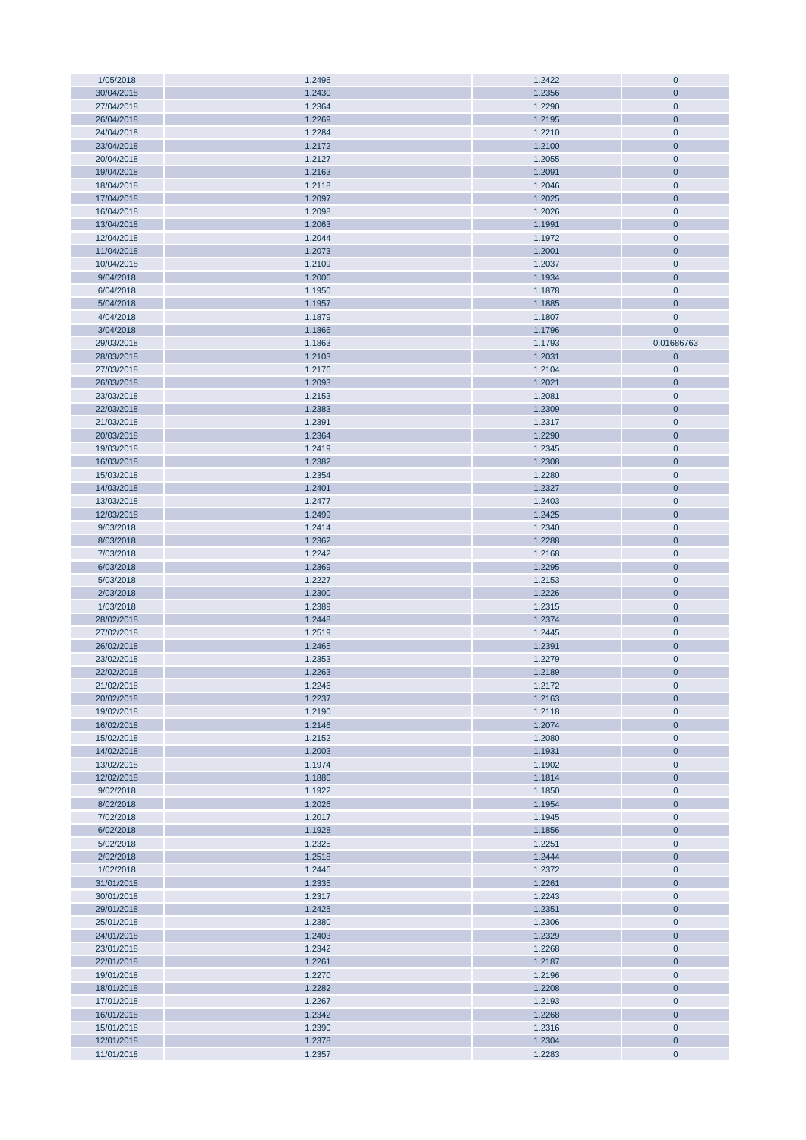| 1/05/2018  | 1.2496 | 1.2422 | $\overline{0}$ |
|------------|--------|--------|----------------|
| 30/04/2018 | 1.2430 | 1.2356 | $\mathbf{0}$   |
| 27/04/2018 | 1.2364 | 1.2290 | $\overline{0}$ |
| 26/04/2018 | 1.2269 | 1.2195 | $\overline{0}$ |
|            |        |        |                |
| 24/04/2018 | 1.2284 | 1.2210 | $\overline{0}$ |
| 23/04/2018 | 1.2172 | 1.2100 | $\mathbf{0}$   |
| 20/04/2018 | 1.2127 | 1.2055 | $\bf 0$        |
| 19/04/2018 | 1.2163 | 1.2091 | $\overline{0}$ |
| 18/04/2018 | 1.2118 | 1.2046 | $\overline{0}$ |
| 17/04/2018 | 1.2097 | 1.2025 | $\mathbf{0}$   |
|            |        |        |                |
| 16/04/2018 | 1.2098 | 1.2026 | $\overline{0}$ |
| 13/04/2018 | 1.2063 | 1.1991 | $\mathbf{0}$   |
| 12/04/2018 | 1.2044 | 1.1972 | $\overline{0}$ |
| 11/04/2018 | 1.2073 | 1.2001 | $\mathbf 0$    |
| 10/04/2018 | 1.2109 | 1.2037 | $\overline{0}$ |
| 9/04/2018  | 1.2006 | 1.1934 | $\mathbf{0}$   |
|            |        |        |                |
| 6/04/2018  | 1.1950 | 1.1878 | $\overline{0}$ |
| 5/04/2018  | 1.1957 | 1.1885 | $\mathbf{0}$   |
| 4/04/2018  | 1.1879 | 1.1807 | $\mathbf 0$    |
| 3/04/2018  | 1.1866 | 1.1796 | $\mathbf 0$    |
| 29/03/2018 | 1.1863 | 1.1793 | 0.01686763     |
| 28/03/2018 | 1.2103 | 1.2031 | $\mathbf{0}$   |
|            |        |        |                |
| 27/03/2018 | 1.2176 | 1.2104 | $\overline{0}$ |
| 26/03/2018 | 1.2093 | 1.2021 | $\mathbf{0}$   |
| 23/03/2018 | 1.2153 | 1.2081 | $\overline{0}$ |
| 22/03/2018 | 1.2383 | 1.2309 | $\mathbf{0}$   |
| 21/03/2018 | 1.2391 | 1.2317 | $\overline{0}$ |
| 20/03/2018 | 1.2364 | 1.2290 | $\overline{0}$ |
|            |        |        |                |
| 19/03/2018 | 1.2419 | 1.2345 | $\overline{0}$ |
| 16/03/2018 | 1.2382 | 1.2308 | $\mathbf{0}$   |
| 15/03/2018 | 1.2354 | 1.2280 | $\overline{0}$ |
| 14/03/2018 | 1.2401 | 1.2327 | $\overline{0}$ |
| 13/03/2018 | 1.2477 | 1.2403 | $\overline{0}$ |
| 12/03/2018 | 1.2499 | 1.2425 | $\overline{0}$ |
|            |        |        |                |
| 9/03/2018  | 1.2414 | 1.2340 | $\mathbf 0$    |
| 8/03/2018  | 1.2362 | 1.2288 | $\overline{0}$ |
| 7/03/2018  | 1.2242 | 1.2168 | $\overline{0}$ |
| 6/03/2018  | 1.2369 | 1.2295 | $\mathbf 0$    |
| 5/03/2018  | 1.2227 | 1.2153 | $\overline{0}$ |
| 2/03/2018  | 1.2300 | 1.2226 | $\overline{0}$ |
|            |        |        |                |
| 1/03/2018  | 1.2389 | 1.2315 | $\mathbf 0$    |
| 28/02/2018 | 1.2448 | 1.2374 | $\overline{0}$ |
| 27/02/2018 | 1.2519 | 1.2445 | $\overline{0}$ |
| 26/02/2018 | 1.2465 | 1.2391 | $\overline{0}$ |
| 23/02/2018 | 1.2353 | 1.2279 | $\overline{0}$ |
| 22/02/2018 | 1.2263 | 1.2189 | $\mathbf{0}$   |
|            |        |        |                |
| 21/02/2018 | 1.2246 | 1.2172 | $\mathbf 0$    |
| 20/02/2018 | 1.2237 | 1.2163 | $\mathbf{0}$   |
| 19/02/2018 | 1.2190 | 1.2118 | $\pmb{0}$      |
| 16/02/2018 | 1.2146 | 1.2074 | $\pmb{0}$      |
| 15/02/2018 | 1.2152 | 1.2080 | $\mathbf 0$    |
| 14/02/2018 | 1.2003 | 1.1931 | $\mathbf{0}$   |
| 13/02/2018 | 1.1974 | 1.1902 | $\mathbf 0$    |
|            |        |        |                |
| 12/02/2018 | 1.1886 | 1.1814 | $\mathbf{0}$   |
| 9/02/2018  | 1.1922 | 1.1850 | $\mathbf 0$    |
| 8/02/2018  | 1.2026 | 1.1954 | $\mathbf{0}$   |
| 7/02/2018  | 1.2017 | 1.1945 | $\mathbf 0$    |
| 6/02/2018  | 1.1928 | 1.1856 | $\mathbf{0}$   |
| 5/02/2018  | 1.2325 | 1.2251 | $\mathbf 0$    |
| 2/02/2018  | 1.2518 | 1.2444 | $\mathbf{0}$   |
|            |        |        |                |
| 1/02/2018  | 1.2446 | 1.2372 | $\mathbf 0$    |
| 31/01/2018 | 1.2335 | 1.2261 | $\mathbf{0}$   |
| 30/01/2018 | 1.2317 | 1.2243 | $\mathbf 0$    |
| 29/01/2018 | 1.2425 | 1.2351 | $\mathbf{0}$   |
| 25/01/2018 | 1.2380 | 1.2306 | $\mathbf 0$    |
| 24/01/2018 | 1.2403 | 1.2329 | $\mathbf 0$    |
|            |        |        |                |
| 23/01/2018 | 1.2342 | 1.2268 | $\mathbf 0$    |
| 22/01/2018 | 1.2261 | 1.2187 | $\mathbf{0}$   |
| 19/01/2018 | 1.2270 | 1.2196 | $\mathbf 0$    |
| 18/01/2018 | 1.2282 | 1.2208 | $\pmb{0}$      |
| 17/01/2018 | 1.2267 | 1.2193 | $\mathbf 0$    |
| 16/01/2018 | 1.2342 | 1.2268 | $\mathbf{0}$   |
|            |        |        |                |
| 15/01/2018 | 1.2390 | 1.2316 | $\mathbf 0$    |
| 12/01/2018 | 1.2378 | 1.2304 | $\mathbf{0}$   |
| 11/01/2018 | 1.2357 | 1.2283 | $\mathbf 0$    |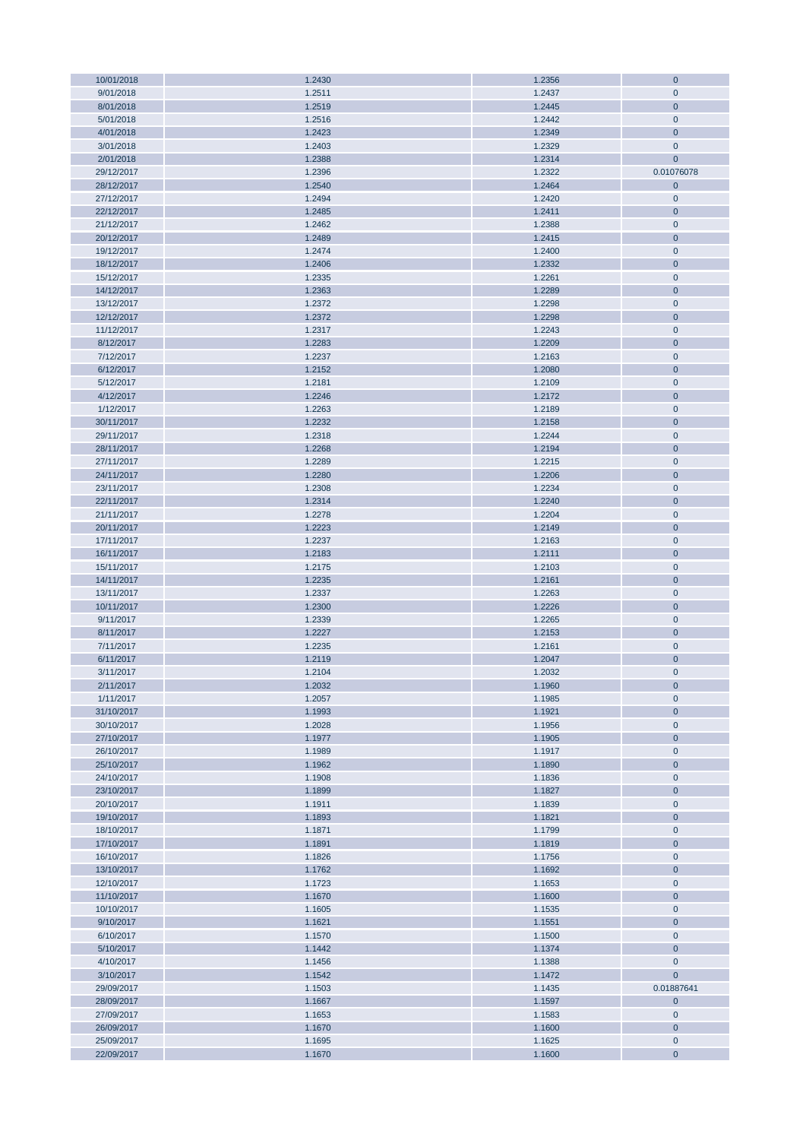| 10/01/2018               | 1.2430           | 1.2356           | $\mathbf 0$                 |
|--------------------------|------------------|------------------|-----------------------------|
| 9/01/2018                | 1.2511           | 1.2437           | $\mathbf{0}$                |
| 8/01/2018                | 1.2519           | 1.2445           | $\mathbf{0}$                |
|                          |                  |                  |                             |
| 5/01/2018                | 1.2516           | 1.2442           | $\mathbf 0$                 |
| 4/01/2018                | 1.2423           | 1.2349           | $\overline{0}$              |
| 3/01/2018                | 1.2403           | 1.2329           | $\mathbf{0}$                |
| 2/01/2018                | 1.2388           | 1.2314           | $\overline{0}$              |
| 29/12/2017               | 1.2396           | 1.2322           | 0.01076078                  |
|                          |                  |                  |                             |
| 28/12/2017               | 1.2540           | 1.2464           | $\mathbf 0$                 |
| 27/12/2017               | 1.2494           | 1.2420           | $\overline{0}$              |
| 22/12/2017               | 1.2485           | 1.2411           | $\mathbf{0}$                |
| 21/12/2017               | 1.2462           | 1.2388           | $\overline{0}$              |
| 20/12/2017               | 1.2489           | 1.2415           | $\overline{0}$              |
|                          |                  |                  |                             |
| 19/12/2017               | 1.2474           | 1.2400           | $\mathbf 0$                 |
| 18/12/2017               | 1.2406           | 1.2332           | $\mathbf{0}$                |
| 15/12/2017               | 1.2335           | 1.2261           | $\overline{0}$              |
| 14/12/2017               | 1.2363           | 1.2289           | $\overline{0}$              |
| 13/12/2017               | 1.2372           | 1.2298           | $\overline{0}$              |
|                          |                  |                  |                             |
| 12/12/2017               | 1.2372           | 1.2298           | $\mathbf 0$                 |
| 11/12/2017               | 1.2317           | 1.2243           | $\mathbf 0$                 |
| 8/12/2017                | 1.2283           | 1.2209           | $\overline{0}$              |
| 7/12/2017                | 1.2237           | 1.2163           | $\mathbf 0$                 |
| 6/12/2017                | 1.2152           | 1.2080           | $\mathbf 0$                 |
| 5/12/2017                | 1.2181           | 1.2109           | $\overline{0}$              |
|                          |                  |                  |                             |
| 4/12/2017                | 1.2246           | 1.2172           | $\mathbf{0}$                |
| 1/12/2017                | 1.2263           | 1.2189           | $\overline{0}$              |
| 30/11/2017               | 1.2232           | 1.2158           | $\mathbf{0}$                |
| 29/11/2017               | 1.2318           | 1.2244           | $\overline{0}$              |
| 28/11/2017               | 1.2268           | 1.2194           | $\mathbf{0}$                |
|                          |                  |                  |                             |
| 27/11/2017               | 1.2289           | 1.2215           | $\mathbf 0$                 |
| 24/11/2017               | 1.2280           | 1.2206           | $\mathbf{0}$                |
| 23/11/2017               | 1.2308           | 1.2234           | $\overline{0}$              |
| 22/11/2017               | 1.2314           | 1.2240           | $\mathbf{0}$                |
| 21/11/2017               | 1.2278           | 1.2204           | $\overline{0}$              |
|                          |                  |                  |                             |
| 20/11/2017               | 1.2223           | 1.2149           | $\mathbf{0}$                |
| 17/11/2017               | 1.2237           | 1.2163           | $\overline{0}$              |
| 16/11/2017               | 1.2183           | 1.2111           | $\overline{0}$              |
| 15/11/2017               | 1.2175           | 1.2103           | $\overline{0}$              |
| 14/11/2017               | 1.2235           | 1.2161           | $\overline{0}$              |
| 13/11/2017               | 1.2337           | 1.2263           | $\overline{0}$              |
|                          |                  |                  |                             |
| 10/11/2017               | 1.2300           | 1.2226           | $\mathbf{0}$                |
| 9/11/2017                | 1.2339           | 1.2265           | $\overline{0}$              |
| 8/11/2017                | 1.2227           | 1.2153           | $\mathbf{0}$                |
| 7/11/2017                | 1.2235           | 1.2161           | $\mathbf 0$                 |
| 6/11/2017                | 1.2119           | 1.2047           | $\mathbf{0}$                |
|                          |                  |                  |                             |
| 3/11/2017                | 1.2104           | 1.2032           | $\mathbf{0}$                |
| 2/11/2017                | 1.2032           | 1.1960           | $\mathbf{0}$                |
| 1/11/2017                | 1.2057           | 1.1985           | $\mathbf 0$                 |
| 31/10/2017               | 1.1993           | 1.1921           | $\mathbf{0}$                |
| 30/10/2017               | 1.2028           | 1.1956           | $\mathbf 0$                 |
|                          |                  |                  |                             |
| 27/10/2017               | 1.1977           | 1.1905           | $\mathbf{0}$                |
| 26/10/2017               | 1.1989           | 1.1917           | $\mathbf 0$                 |
| 25/10/2017               | 1.1962           | 1.1890           | $\mathbf{0}$                |
| 24/10/2017               | 1.1908           | 1.1836           | $\bf 0$                     |
| 23/10/2017               | 1.1899           | 1.1827           | $\mathbf{0}$                |
| 20/10/2017               | 1.1911           | 1.1839           | $\mathbf 0$                 |
|                          |                  |                  |                             |
| 19/10/2017               | 1.1893           | 1.1821           | $\mathbf{0}$                |
| 18/10/2017               | 1.1871           | 1.1799           | $\bf 0$                     |
| 17/10/2017               | 1.1891           | 1.1819           | $\mathbf{0}$                |
| 16/10/2017               | 1.1826           | 1.1756           | $\overline{0}$              |
| 13/10/2017               | 1.1762           | 1.1692           | $\mathbf{0}$                |
| 12/10/2017               | 1.1723           | 1.1653           | $\bf 0$                     |
|                          |                  |                  |                             |
| 11/10/2017               | 1.1670           | 1.1600           | $\mathbf{0}$                |
| 10/10/2017               | 1.1605           | 1.1535           | $\mathbf 0$                 |
| 9/10/2017                | 1.1621           | 1.1551           | $\mathbf{0}$                |
| 6/10/2017                | 1.1570           | 1.1500           | $\mathbf{0}$                |
| 5/10/2017                | 1.1442           | 1.1374           | $\mathbf 0$                 |
|                          |                  |                  |                             |
| 4/10/2017                | 1.1456           | 1.1388           | $\mathbf 0$                 |
| 3/10/2017                | 1.1542           | 1.1472           | $\mathbf{0}$                |
| 29/09/2017               | 1.1503           | 1.1435           | 0.01887641                  |
| 28/09/2017               | 1.1667           | 1.1597           | $\mathbf{0}$                |
| 27/09/2017               |                  | 1.1583           | $\mathbf 0$                 |
|                          |                  |                  |                             |
|                          | 1.1653           |                  |                             |
| 26/09/2017               | 1.1670           | 1.1600           | $\mathbf{0}$                |
| 25/09/2017<br>22/09/2017 | 1.1695<br>1.1670 | 1.1625<br>1.1600 | $\mathbf 0$<br>$\mathbf{0}$ |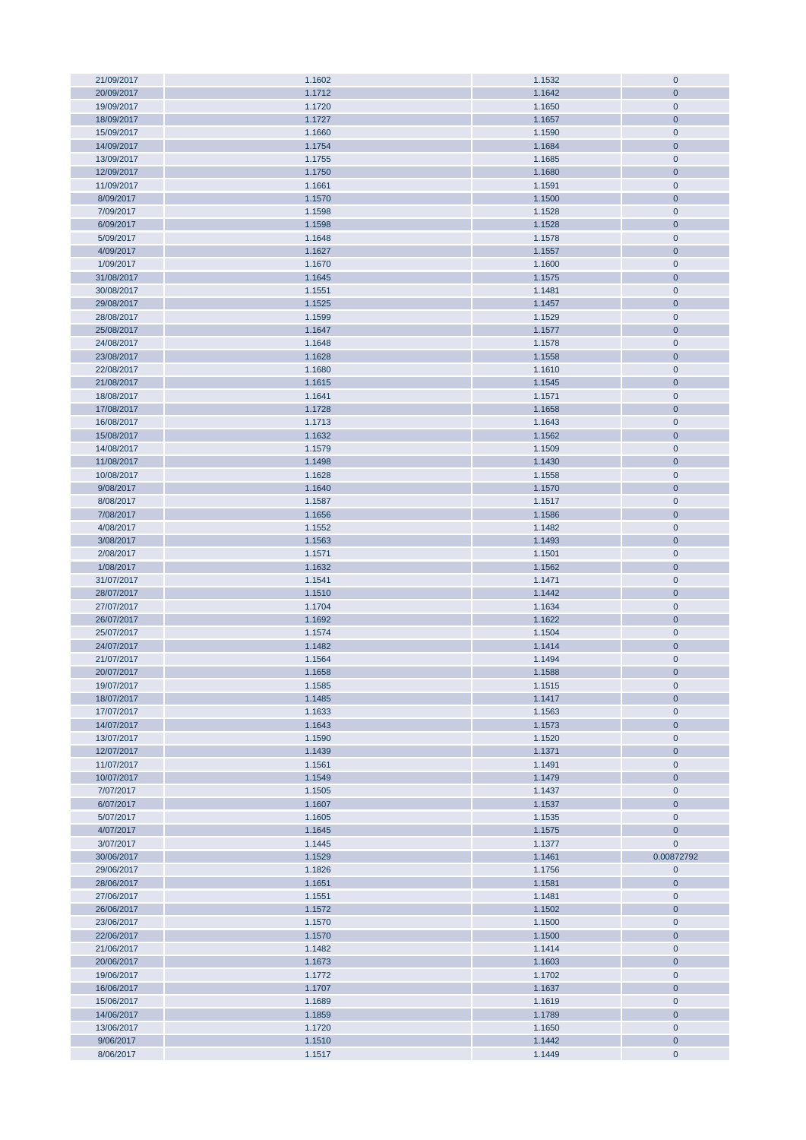| 21/09/2017 | 1.1602 | 1.1532 | $\bf 0$      |
|------------|--------|--------|--------------|
| 20/09/2017 | 1.1712 | 1.1642 | $\mathbf{0}$ |
| 19/09/2017 | 1.1720 | 1.1650 | $\mathbf 0$  |
|            |        |        |              |
| 18/09/2017 | 1.1727 | 1.1657 | $\mathbf{0}$ |
| 15/09/2017 | 1.1660 | 1.1590 | $\mathbf 0$  |
| 14/09/2017 | 1.1754 | 1.1684 | $\mathbf{0}$ |
| 13/09/2017 | 1.1755 | 1.1685 | $\mathbf 0$  |
| 12/09/2017 | 1.1750 | 1.1680 | $\mathbf{0}$ |
|            |        |        |              |
| 11/09/2017 | 1.1661 | 1.1591 | $\mathbf 0$  |
| 8/09/2017  | 1.1570 | 1.1500 | $\mathbf{0}$ |
| 7/09/2017  | 1.1598 | 1.1528 | $\mathbf 0$  |
| 6/09/2017  | 1.1598 | 1.1528 | $\mathbf{0}$ |
| 5/09/2017  | 1.1648 | 1.1578 | $\mathbf 0$  |
|            |        |        |              |
| 4/09/2017  | 1.1627 | 1.1557 | $\mathbf{0}$ |
| 1/09/2017  | 1.1670 | 1.1600 | $\mathbf 0$  |
| 31/08/2017 | 1.1645 | 1.1575 | $\mathbf{0}$ |
| 30/08/2017 | 1.1551 | 1.1481 | $\pmb{0}$    |
| 29/08/2017 | 1.1525 | 1.1457 | $\mathbf 0$  |
|            |        |        |              |
| 28/08/2017 | 1.1599 | 1.1529 | $\mathbf 0$  |
| 25/08/2017 | 1.1647 | 1.1577 | $\mathbf{0}$ |
| 24/08/2017 | 1.1648 | 1.1578 | $\mathbf 0$  |
| 23/08/2017 | 1.1628 | 1.1558 | $\mathbf{0}$ |
| 22/08/2017 | 1.1680 | 1.1610 | $\mathbf 0$  |
|            |        |        | $\mathbf{0}$ |
| 21/08/2017 | 1.1615 | 1.1545 |              |
| 18/08/2017 | 1.1641 | 1.1571 | $\mathbf 0$  |
| 17/08/2017 | 1.1728 | 1.1658 | $\mathbf 0$  |
| 16/08/2017 | 1.1713 | 1.1643 | $\mathbf 0$  |
| 15/08/2017 | 1.1632 | 1.1562 | $\mathbf 0$  |
|            |        |        |              |
| 14/08/2017 | 1.1579 | 1.1509 | $\mathbf 0$  |
| 11/08/2017 | 1.1498 | 1.1430 | $\mathbf 0$  |
| 10/08/2017 | 1.1628 | 1.1558 | $\mathbf 0$  |
| 9/08/2017  | 1.1640 | 1.1570 | $\mathbf 0$  |
| 8/08/2017  | 1.1587 | 1.1517 | $\mathbf 0$  |
|            |        |        |              |
| 7/08/2017  | 1.1656 | 1.1586 | $\mathbf 0$  |
| 4/08/2017  | 1.1552 | 1.1482 | $\mathbf 0$  |
| 3/08/2017  | 1.1563 | 1.1493 | $\mathbf{0}$ |
| 2/08/2017  | 1.1571 | 1.1501 | $\mathbf 0$  |
| 1/08/2017  | 1.1632 | 1.1562 | $\mathbf{0}$ |
|            |        |        |              |
| 31/07/2017 | 1.1541 | 1.1471 | $\mathbf 0$  |
| 28/07/2017 | 1.1510 | 1.1442 | $\mathbf{0}$ |
| 27/07/2017 | 1.1704 | 1.1634 | $\bf 0$      |
| 26/07/2017 | 1.1692 | 1.1622 | $\mathbf{0}$ |
| 25/07/2017 | 1.1574 | 1.1504 | $\mathbf 0$  |
| 24/07/2017 | 1.1482 | 1.1414 | $\mathbf{0}$ |
|            |        |        |              |
| 21/07/2017 | 1.1564 | 1.1494 | $\mathbf 0$  |
| 20/07/2017 | 1.1658 | 1.1588 | $\mathbf 0$  |
| 19/07/2017 | 1.1585 | 1.1515 | $\mathbf 0$  |
| 18/07/2017 | 1.1485 | 1.1417 | $\mathbf{0}$ |
| 17/07/2017 | 1.1633 | 1.1563 | $\mathbf 0$  |
|            |        |        |              |
| 14/07/2017 | 1.1643 | 1.1573 | $\mathbf 0$  |
| 13/07/2017 | 1.1590 | 1.1520 | $\bf 0$      |
| 12/07/2017 | 1.1439 | 1.1371 | $\mathbf{0}$ |
| 11/07/2017 | 1.1561 | 1.1491 | $\mathbf 0$  |
| 10/07/2017 | 1.1549 | 1.1479 | $\pmb{0}$    |
| 7/07/2017  | 1.1505 | 1.1437 | $\mathbf 0$  |
|            |        |        |              |
| 6/07/2017  | 1.1607 | 1.1537 | $\mathbf{0}$ |
| 5/07/2017  | 1.1605 | 1.1535 | $\bf 0$      |
| 4/07/2017  | 1.1645 | 1.1575 | $\mathbf 0$  |
| 3/07/2017  | 1.1445 | 1.1377 | $\mathbf 0$  |
| 30/06/2017 | 1.1529 | 1.1461 | 0.00872792   |
|            |        |        |              |
| 29/06/2017 | 1.1826 | 1.1756 | $\mathbf 0$  |
| 28/06/2017 | 1.1651 | 1.1581 | $\mathbf 0$  |
| 27/06/2017 | 1.1551 | 1.1481 | $\mathbf 0$  |
| 26/06/2017 | 1.1572 | 1.1502 | $\mathbf{0}$ |
| 23/06/2017 | 1.1570 | 1.1500 | $\mathbf 0$  |
|            |        |        |              |
| 22/06/2017 | 1.1570 | 1.1500 | $\mathbf{0}$ |
| 21/06/2017 | 1.1482 | 1.1414 | $\mathbf 0$  |
| 20/06/2017 | 1.1673 | 1.1603 | $\mathbf 0$  |
| 19/06/2017 | 1.1772 | 1.1702 | $\mathbf 0$  |
| 16/06/2017 | 1.1707 | 1.1637 | $\mathbf{0}$ |
|            |        |        |              |
| 15/06/2017 | 1.1689 | 1.1619 | $\mathbf 0$  |
| 14/06/2017 | 1.1859 | 1.1789 | $\mathbf{0}$ |
| 13/06/2017 | 1.1720 | 1.1650 | $\mathbf 0$  |
| 9/06/2017  | 1.1510 | 1.1442 | $\mathbf 0$  |
| 8/06/2017  | 1.1517 | 1.1449 | $\pmb{0}$    |
|            |        |        |              |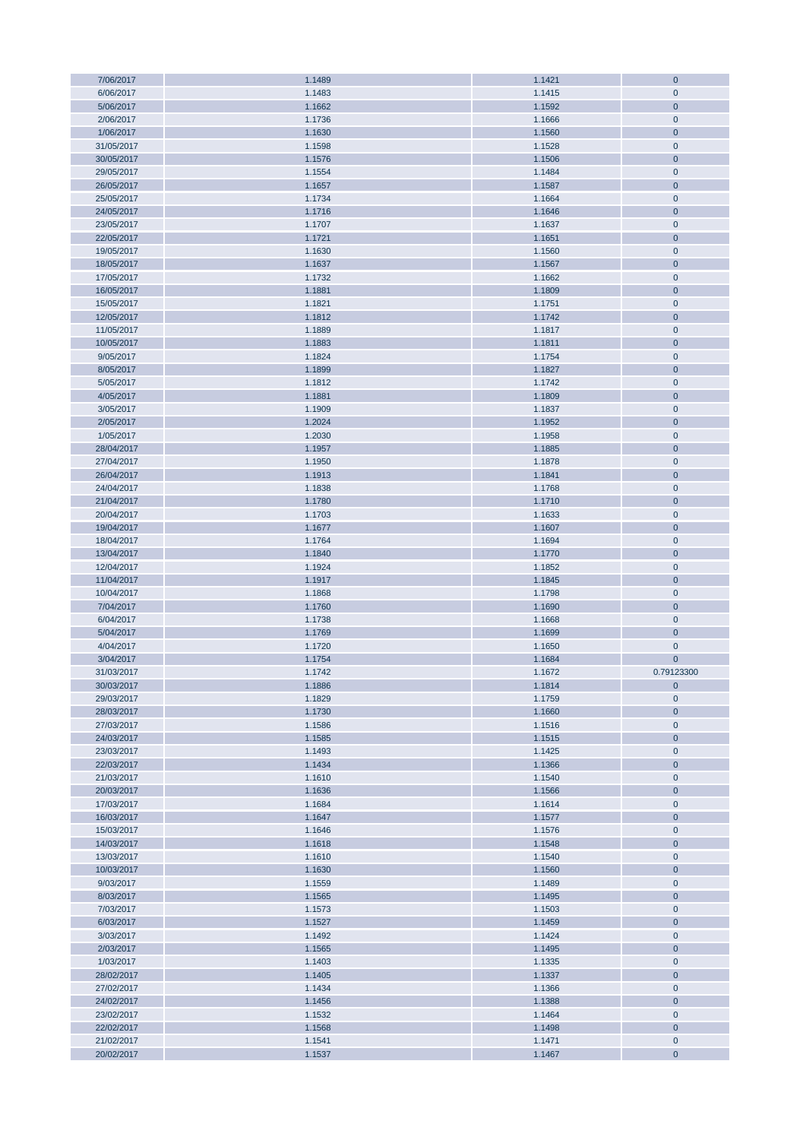| 7/06/2017  | 1.1489 | 1.1421 | $\mathbf{0}$   |
|------------|--------|--------|----------------|
| 6/06/2017  | 1.1483 | 1.1415 | $\mathbf 0$    |
|            |        |        |                |
| 5/06/2017  | 1.1662 | 1.1592 | $\overline{0}$ |
| 2/06/2017  | 1.1736 | 1.1666 | $\overline{0}$ |
| 1/06/2017  | 1.1630 | 1.1560 | $\overline{0}$ |
| 31/05/2017 | 1.1598 | 1.1528 | $\mathbf 0$    |
|            |        |        |                |
| 30/05/2017 | 1.1576 | 1.1506 | $\mathbf{0}$   |
| 29/05/2017 | 1.1554 | 1.1484 | $\mathbf{0}$   |
| 26/05/2017 | 1.1657 | 1.1587 | $\mathbf 0$    |
| 25/05/2017 | 1.1734 | 1.1664 | $\mathbf{0}$   |
|            |        |        |                |
| 24/05/2017 | 1.1716 | 1.1646 | $\mathbf{0}$   |
| 23/05/2017 | 1.1707 | 1.1637 | $\bf 0$        |
| 22/05/2017 | 1.1721 | 1.1651 | $\overline{0}$ |
| 19/05/2017 | 1.1630 | 1.1560 | $\mathbf 0$    |
|            |        |        |                |
| 18/05/2017 | 1.1637 | 1.1567 | $\mathbf{0}$   |
| 17/05/2017 | 1.1732 | 1.1662 | $\mathbf 0$    |
| 16/05/2017 | 1.1881 | 1.1809 | $\mathbf 0$    |
| 15/05/2017 | 1.1821 | 1.1751 | $\mathbf 0$    |
|            |        |        |                |
| 12/05/2017 | 1.1812 | 1.1742 | $\overline{0}$ |
| 11/05/2017 | 1.1889 | 1.1817 | $\mathbf 0$    |
| 10/05/2017 | 1.1883 | 1.1811 | $\mathbf 0$    |
| 9/05/2017  | 1.1824 | 1.1754 | $\mathbf 0$    |
|            |        |        |                |
| 8/05/2017  | 1.1899 | 1.1827 | $\overline{0}$ |
| 5/05/2017  | 1.1812 | 1.1742 | $\mathbf 0$    |
| 4/05/2017  | 1.1881 | 1.1809 | $\mathbf 0$    |
| 3/05/2017  | 1.1909 | 1.1837 | $\mathbf 0$    |
|            |        |        |                |
| 2/05/2017  | 1.2024 | 1.1952 | $\mathbf{0}$   |
| 1/05/2017  | 1.2030 | 1.1958 | $\mathbf 0$    |
| 28/04/2017 | 1.1957 | 1.1885 | $\overline{0}$ |
|            |        |        |                |
| 27/04/2017 | 1.1950 | 1.1878 | $\mathbf 0$    |
| 26/04/2017 | 1.1913 | 1.1841 | $\mathbf{0}$   |
| 24/04/2017 | 1.1838 | 1.1768 | $\mathbf 0$    |
| 21/04/2017 | 1.1780 | 1.1710 | $\mathbf 0$    |
|            |        |        |                |
| 20/04/2017 | 1.1703 | 1.1633 | $\mathbf 0$    |
| 19/04/2017 | 1.1677 | 1.1607 | $\mathbf{0}$   |
| 18/04/2017 | 1.1764 | 1.1694 | $\mathbf 0$    |
| 13/04/2017 | 1.1840 | 1.1770 | $\overline{0}$ |
|            |        |        |                |
| 12/04/2017 | 1.1924 | 1.1852 | $\mathbf 0$    |
| 11/04/2017 | 1.1917 | 1.1845 | $\mathbf{0}$   |
| 10/04/2017 | 1.1868 | 1.1798 | $\overline{0}$ |
| 7/04/2017  | 1.1760 | 1.1690 | $\mathbf{0}$   |
|            |        |        |                |
| 6/04/2017  | 1.1738 | 1.1668 | $\overline{0}$ |
| 5/04/2017  | 1.1769 | 1.1699 | $\mathbf{0}$   |
| 4/04/2017  | 1.1720 | 1.1650 | $\mathbf 0$    |
| 3/04/2017  | 1.1754 | 1.1684 | $\mathbf 0$    |
|            |        |        |                |
| 31/03/2017 | 1.1742 | 1.1672 | 0.79123300     |
| 30/03/2017 | 1.1886 | 1.1814 | $\mathbf 0$    |
| 29/03/2017 | 1.1829 | 1.1759 | $\mathbf 0$    |
| 28/03/2017 | 1.1730 | 1.1660 | $\mathbf{0}$   |
|            |        |        |                |
| 27/03/2017 | 1.1586 | 1.1516 | $\mathbf 0$    |
| 24/03/2017 | 1.1585 | 1.1515 | $\mathbf{0}$   |
| 23/03/2017 | 1.1493 | 1.1425 | $\mathbf 0$    |
| 22/03/2017 | 1.1434 | 1.1366 | $\mathbf 0$    |
| 21/03/2017 | 1.1610 | 1.1540 | $\mathbf 0$    |
|            |        |        |                |
| 20/03/2017 | 1.1636 | 1.1566 | $\mathbf 0$    |
| 17/03/2017 | 1.1684 | 1.1614 | $\mathbf 0$    |
| 16/03/2017 | 1.1647 | 1.1577 | $\mathbf 0$    |
| 15/03/2017 | 1.1646 | 1.1576 | $\mathbf 0$    |
|            |        |        |                |
| 14/03/2017 | 1.1618 | 1.1548 | $\mathbf{0}$   |
| 13/03/2017 | 1.1610 | 1.1540 | $\mathbf 0$    |
| 10/03/2017 | 1.1630 | 1.1560 | $\mathbf{0}$   |
| 9/03/2017  | 1.1559 | 1.1489 | $\pmb{0}$      |
|            |        |        |                |
| 8/03/2017  | 1.1565 | 1.1495 | $\mathbf 0$    |
| 7/03/2017  | 1.1573 | 1.1503 | $\mathbf 0$    |
| 6/03/2017  | 1.1527 | 1.1459 | $\mathbf 0$    |
| 3/03/2017  | 1.1492 | 1.1424 | $\mathbf 0$    |
|            |        |        |                |
| 2/03/2017  | 1.1565 | 1.1495 | $\mathbf 0$    |
| 1/03/2017  | 1.1403 | 1.1335 | $\mathbf 0$    |
| 28/02/2017 | 1.1405 | 1.1337 | $\mathbf{0}$   |
| 27/02/2017 | 1.1434 | 1.1366 | $\pmb{0}$      |
|            |        |        |                |
| 24/02/2017 | 1.1456 | 1.1388 | $\mathbf 0$    |
| 23/02/2017 | 1.1532 | 1.1464 | $\mathbf 0$    |
| 22/02/2017 | 1.1568 | 1.1498 | $\pmb{0}$      |
| 21/02/2017 | 1.1541 | 1.1471 | $\mathbf 0$    |
|            |        |        |                |
| 20/02/2017 | 1.1537 | 1.1467 | $\overline{0}$ |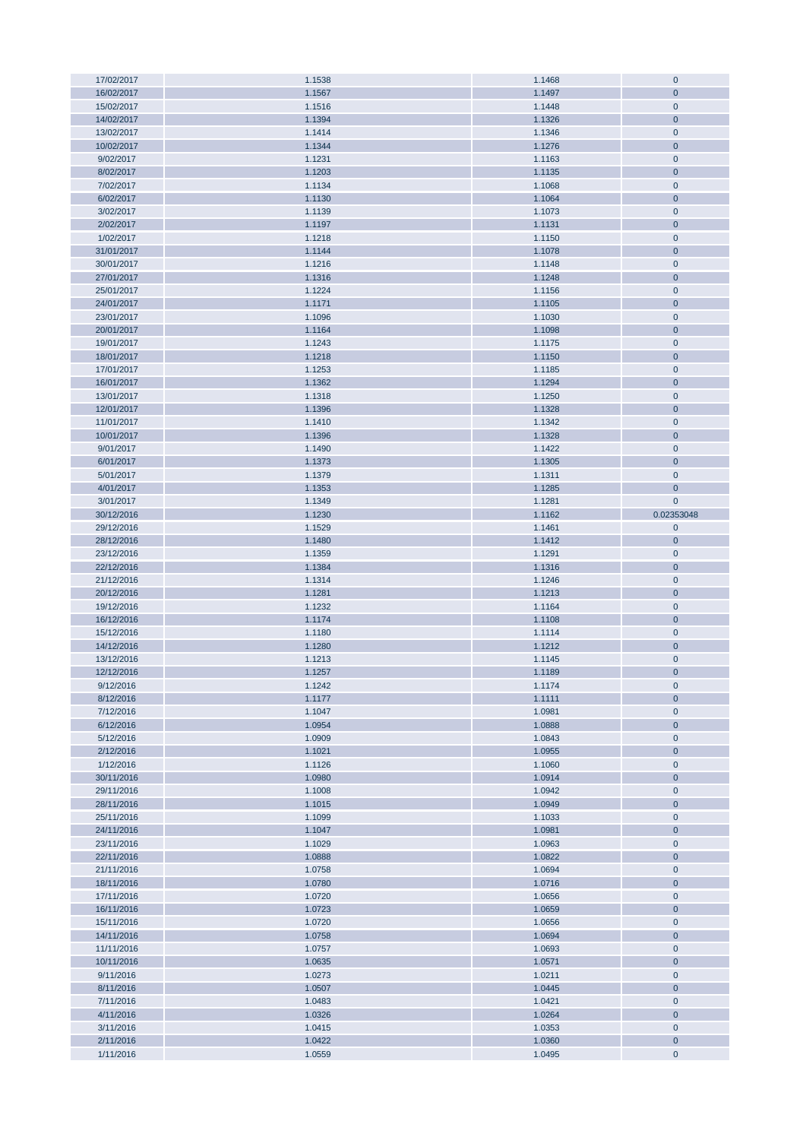| 17/02/2017             | 1.1538           | 1.1468           | $\bf 0$                    |
|------------------------|------------------|------------------|----------------------------|
| 16/02/2017             | 1.1567           | 1.1497           | $\overline{0}$             |
| 15/02/2017             | 1.1516           | 1.1448           | $\mathbf 0$                |
|                        |                  |                  |                            |
| 14/02/2017             | 1.1394           | 1.1326           | $\mathbf{0}$               |
| 13/02/2017             | 1.1414           | 1.1346           | $\overline{0}$             |
| 10/02/2017             | 1.1344           | 1.1276           | $\overline{0}$             |
| 9/02/2017              | 1.1231           | 1.1163           | $\overline{0}$             |
| 8/02/2017              | 1.1203           | 1.1135           | $\overline{0}$             |
|                        |                  |                  |                            |
| 7/02/2017              | 1.1134           | 1.1068           | $\overline{0}$             |
| 6/02/2017              | 1.1130           | 1.1064           | $\overline{0}$             |
| 3/02/2017              | 1.1139           | 1.1073           | $\overline{0}$             |
| 2/02/2017              | 1.1197           | 1.1131           | $\overline{0}$             |
|                        |                  |                  |                            |
| 1/02/2017              | 1.1218           | 1.1150           | $\overline{0}$             |
| 31/01/2017             | 1.1144           | 1.1078           | $\overline{0}$             |
| 30/01/2017             | 1.1216           | 1.1148           | $\overline{0}$             |
| 27/01/2017             | 1.1316           | 1.1248           | $\overline{0}$             |
| 25/01/2017             | 1.1224           | 1.1156           | $\overline{0}$             |
|                        |                  |                  |                            |
| 24/01/2017             | 1.1171           | 1.1105           | $\overline{0}$             |
| 23/01/2017             | 1.1096           | 1.1030           | $\mathbf 0$                |
| 20/01/2017             | 1.1164           | 1.1098           | $\overline{0}$             |
| 19/01/2017             | 1.1243           | 1.1175           | $\overline{0}$             |
| 18/01/2017             | 1.1218           | 1.1150           | $\mathbf 0$                |
|                        |                  |                  |                            |
| 17/01/2017             | 1.1253           | 1.1185           | $\overline{0}$             |
| 16/01/2017             | 1.1362           | 1.1294           | $\overline{0}$             |
| 13/01/2017             | 1.1318           | 1.1250           | $\bf 0$                    |
| 12/01/2017             | 1.1396           | 1.1328           | $\overline{0}$             |
| 11/01/2017             | 1.1410           | 1.1342           | $\mathbf 0$                |
|                        |                  |                  |                            |
| 10/01/2017             | 1.1396           | 1.1328           | $\overline{0}$             |
| 9/01/2017              | 1.1490           | 1.1422           | $\bf 0$                    |
| 6/01/2017              | 1.1373           | 1.1305           | $\overline{0}$             |
| 5/01/2017              | 1.1379           | 1.1311           | $\mathbf 0$                |
| 4/01/2017              | 1.1353           | 1.1285           | $\mathbf{0}$               |
|                        |                  |                  |                            |
| 3/01/2017              | 1.1349           | 1.1281           | $\mathbf 0$                |
| 30/12/2016             | 1.1230           | 1.1162           | 0.02353048                 |
| 29/12/2016             |                  |                  | $\mathbf 0$                |
|                        | 1.1529           | 1.1461           |                            |
|                        |                  |                  |                            |
| 28/12/2016             | 1.1480           | 1.1412           | $\overline{0}$             |
| 23/12/2016             | 1.1359           | 1.1291           | $\mathbf 0$                |
| 22/12/2016             | 1.1384           | 1.1316           | $\overline{0}$             |
| 21/12/2016             | 1.1314           | 1.1246           | $\overline{0}$             |
| 20/12/2016             | 1.1281           | 1.1213           | $\mathbf{0}$               |
|                        |                  |                  |                            |
| 19/12/2016             | 1.1232           | 1.1164           | $\bf 0$                    |
| 16/12/2016             | 1.1174           | 1.1108           | $\overline{0}$             |
| 15/12/2016             | 1.1180           | 1.1114           | $\overline{0}$             |
| 14/12/2016             | 1.1280           | 1.1212           | $\mathbf{0}$               |
| 13/12/2016             | 1.1213           | 1.1145           | $\overline{0}$             |
|                        |                  |                  |                            |
| 12/12/2016             | 1.1257           | 1.1189           | $\mathbf{0}$               |
| 9/12/2016              | 1.1242           | 1.1174           | $\mathbf{0}$               |
| 8/12/2016              | 1.1177           | 1.1111           | $\mathbf{0}$               |
| 7/12/2016              | 1.1047           | 1.0981           | $\mathbf 0$                |
| 6/12/2016              | 1.0954           | 1.0888           | $\mathbf 0$                |
| 5/12/2016              | 1.0909           | 1.0843           | $\mathbf 0$                |
|                        |                  |                  |                            |
| 2/12/2016              | 1.1021           | 1.0955           | $\mathbf{0}$               |
| 1/12/2016              | 1.1126           | 1.1060           | $\mathbf 0$                |
| 30/11/2016             | 1.0980           | 1.0914           | $\pmb{0}$                  |
| 29/11/2016             | 1.1008           | 1.0942           | $\overline{0}$             |
| 28/11/2016             | 1.1015           | 1.0949           | $\mathbf{0}$               |
|                        |                  |                  |                            |
| 25/11/2016             | 1.1099           | 1.1033           | $\mathbf 0$                |
| 24/11/2016             | 1.1047           | 1.0981           | $\mathbf 0$                |
| 23/11/2016             | 1.1029           | 1.0963           | $\mathbf 0$                |
| 22/11/2016             | 1.0888           | 1.0822           | $\mathbf 0$                |
| 21/11/2016             | 1.0758           | 1.0694           | $\overline{0}$             |
| 18/11/2016             | 1.0780           | 1.0716           | $\pmb{0}$                  |
|                        |                  |                  |                            |
| 17/11/2016             | 1.0720           | 1.0656           | $\mathbf 0$                |
| 16/11/2016             | 1.0723           | 1.0659           | $\mathbf{0}$               |
| 15/11/2016             | 1.0720           | 1.0656           | $\mathbf 0$                |
| 14/11/2016             | 1.0758           | 1.0694           | $\overline{0}$             |
|                        |                  |                  |                            |
| 11/11/2016             | 1.0757           | 1.0693           | $\mathbf 0$                |
| 10/11/2016             | 1.0635           | 1.0571           | $\mathbf{0}$               |
| 9/11/2016              | 1.0273           | 1.0211           | $\mathbf 0$                |
| 8/11/2016              | 1.0507           | 1.0445           | $\mathbf{0}$               |
| 7/11/2016              | 1.0483           | 1.0421           | $\overline{0}$             |
| 4/11/2016              | 1.0326           | 1.0264           | $\mathbf{0}$               |
|                        |                  |                  |                            |
| 3/11/2016              | 1.0415           | 1.0353           | $\mathbf 0$                |
| 2/11/2016<br>1/11/2016 | 1.0422<br>1.0559 | 1.0360<br>1.0495 | $\mathbf 0$<br>$\mathbf 0$ |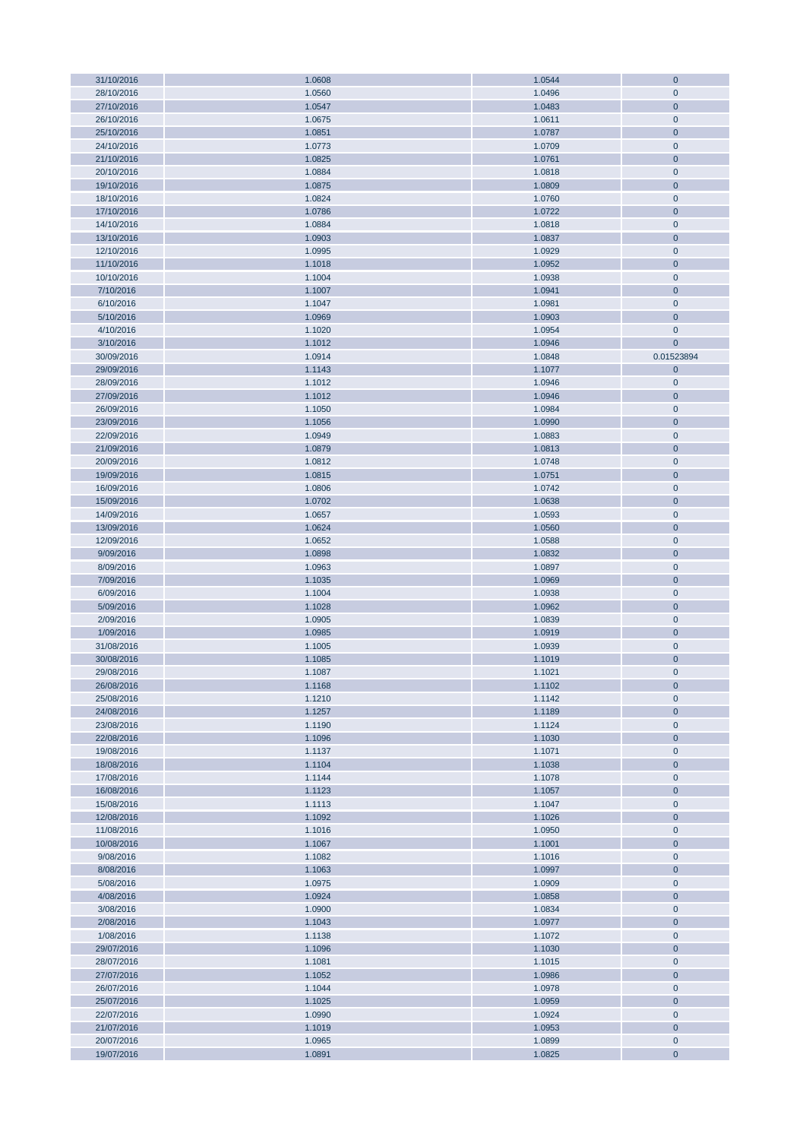| 31/10/2016 | 1.0608 | 1.0544 | $\mathbf 0$    |
|------------|--------|--------|----------------|
| 28/10/2016 | 1.0560 | 1.0496 | $\mathbf 0$    |
| 27/10/2016 | 1.0547 | 1.0483 | $\mathbf{0}$   |
| 26/10/2016 |        |        | $\overline{0}$ |
|            | 1.0675 | 1.0611 |                |
| 25/10/2016 | 1.0851 | 1.0787 | $\mathbf{0}$   |
| 24/10/2016 | 1.0773 | 1.0709 | $\overline{0}$ |
| 21/10/2016 | 1.0825 | 1.0761 | $\overline{0}$ |
| 20/10/2016 | 1.0884 | 1.0818 | $\mathbf 0$    |
| 19/10/2016 | 1.0875 | 1.0809 | $\overline{0}$ |
|            | 1.0824 | 1.0760 | $\mathbf 0$    |
| 18/10/2016 |        |        |                |
| 17/10/2016 | 1.0786 | 1.0722 | $\mathbf{0}$   |
| 14/10/2016 | 1.0884 | 1.0818 | $\bf 0$        |
| 13/10/2016 | 1.0903 | 1.0837 | $\overline{0}$ |
| 12/10/2016 | 1.0995 | 1.0929 | $\mathbf 0$    |
| 11/10/2016 | 1.1018 | 1.0952 | $\mathbf{0}$   |
| 10/10/2016 | 1.1004 | 1.0938 | $\mathbf 0$    |
|            |        |        |                |
| 7/10/2016  | 1.1007 | 1.0941 | $\overline{0}$ |
| 6/10/2016  | 1.1047 | 1.0981 | $\mathbf 0$    |
| 5/10/2016  | 1.0969 | 1.0903 | $\mathbf{0}$   |
| 4/10/2016  | 1.1020 | 1.0954 | $\overline{0}$ |
| 3/10/2016  | 1.1012 | 1.0946 | $\mathbf{0}$   |
| 30/09/2016 | 1.0914 | 1.0848 | 0.01523894     |
|            |        |        |                |
| 29/09/2016 | 1.1143 | 1.1077 | $\mathbf 0$    |
| 28/09/2016 | 1.1012 | 1.0946 | $\mathbf 0$    |
| 27/09/2016 | 1.1012 | 1.0946 | $\mathbf{0}$   |
| 26/09/2016 | 1.1050 | 1.0984 | $\overline{0}$ |
| 23/09/2016 | 1.1056 | 1.0990 | $\mathbf{0}$   |
| 22/09/2016 | 1.0949 | 1.0883 | $\overline{0}$ |
|            |        |        |                |
| 21/09/2016 | 1.0879 | 1.0813 | $\mathbf{0}$   |
| 20/09/2016 | 1.0812 | 1.0748 | $\overline{0}$ |
| 19/09/2016 | 1.0815 | 1.0751 | $\mathbf{0}$   |
| 16/09/2016 | 1.0806 | 1.0742 | $\overline{0}$ |
| 15/09/2016 | 1.0702 | 1.0638 | $\overline{0}$ |
| 14/09/2016 | 1.0657 | 1.0593 | $\overline{0}$ |
| 13/09/2016 | 1.0624 | 1.0560 | $\mathbf{0}$   |
|            |        |        |                |
| 12/09/2016 | 1.0652 | 1.0588 | $\mathbf 0$    |
| 9/09/2016  | 1.0898 | 1.0832 | $\mathbf{0}$   |
| 8/09/2016  | 1.0963 | 1.0897 | $\overline{0}$ |
| 7/09/2016  | 1.1035 | 1.0969 | $\mathbf{0}$   |
| 6/09/2016  | 1.1004 | 1.0938 | $\mathbf 0$    |
| 5/09/2016  | 1.1028 | 1.0962 | $\overline{0}$ |
| 2/09/2016  | 1.0905 | 1.0839 | $\overline{0}$ |
|            |        |        |                |
| 1/09/2016  | 1.0985 | 1.0919 | $\mathbf{0}$   |
| 31/08/2016 | 1.1005 | 1.0939 | $\overline{0}$ |
| 30/08/2016 | 1.1085 | 1.1019 | $\mathbf{0}$   |
| 29/08/2016 | 1.1087 | 1.1021 | $\mathbf{0}$   |
| 26/08/2016 | 1.1168 | 1.1102 | $\mathbf 0$    |
| 25/08/2016 | 1.1210 | 1.1142 | $\mathbf 0$    |
|            |        |        | $\mathbf{0}$   |
| 24/08/2016 | 1.1257 | 1.1189 |                |
| 23/08/2016 | 1.1190 | 1.1124 | $\mathbf 0$    |
| 22/08/2016 | 1.1096 | 1.1030 | $\mathbf{0}$   |
| 19/08/2016 | 1.1137 | 1.1071 | $\mathbf 0$    |
| 18/08/2016 | 1.1104 | 1.1038 | $\mathbf{0}$   |
| 17/08/2016 | 1.1144 | 1.1078 | $\mathbf 0$    |
| 16/08/2016 | 1.1123 | 1.1057 | $\mathbf 0$    |
| 15/08/2016 | 1.1113 | 1.1047 | $\mathbf 0$    |
|            |        |        |                |
| 12/08/2016 | 1.1092 | 1.1026 | $\mathbf 0$    |
| 11/08/2016 | 1.1016 | 1.0950 | $\mathbf 0$    |
| 10/08/2016 | 1.1067 | 1.1001 | $\mathbf 0$    |
| 9/08/2016  | 1.1082 | 1.1016 | $\mathbf 0$    |
| 8/08/2016  | 1.1063 | 1.0997 | $\mathbf{0}$   |
| 5/08/2016  | 1.0975 | 1.0909 | $\mathbf 0$    |
| 4/08/2016  | 1.0924 | 1.0858 | $\mathbf 0$    |
|            |        |        |                |
| 3/08/2016  | 1.0900 | 1.0834 | $\mathbf 0$    |
| 2/08/2016  | 1.1043 | 1.0977 | $\mathbf{0}$   |
| 1/08/2016  | 1.1138 | 1.1072 | $\overline{0}$ |
| 29/07/2016 | 1.1096 | 1.1030 | $\pmb{0}$      |
| 28/07/2016 | 1.1081 | 1.1015 | $\mathbf 0$    |
| 27/07/2016 | 1.1052 | 1.0986 | $\mathbf 0$    |
| 26/07/2016 | 1.1044 | 1.0978 | $\mathbf 0$    |
|            |        |        |                |
| 25/07/2016 | 1.1025 | 1.0959 | $\mathbf 0$    |
| 22/07/2016 | 1.0990 | 1.0924 | $\mathbf 0$    |
| 21/07/2016 | 1.1019 | 1.0953 | $\mathbf 0$    |
| 20/07/2016 | 1.0965 | 1.0899 | $\mathbf 0$    |
| 19/07/2016 | 1.0891 | 1.0825 | $\overline{0}$ |
|            |        |        |                |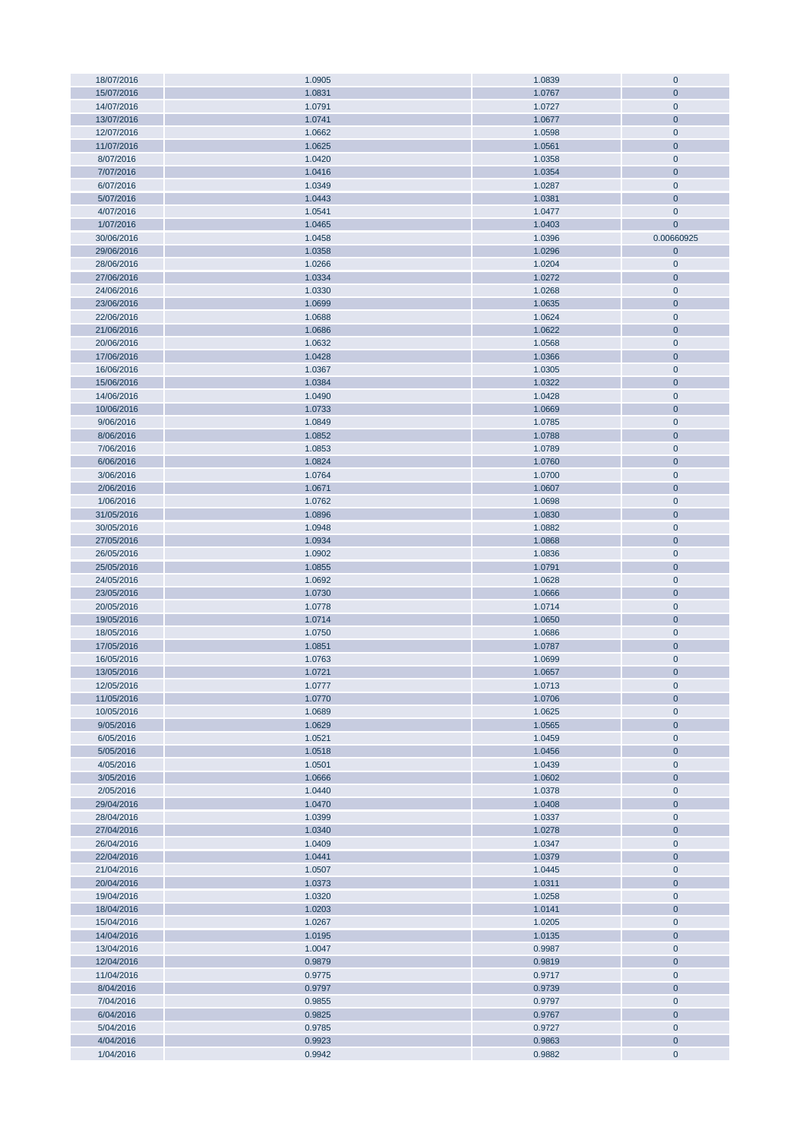| 18/07/2016 | 1.0905 | 1.0839 | $\overline{0}$ |
|------------|--------|--------|----------------|
| 15/07/2016 | 1.0831 | 1.0767 | $\mathbf{0}$   |
| 14/07/2016 | 1.0791 | 1.0727 | $\mathbf 0$    |
|            |        |        |                |
| 13/07/2016 | 1.0741 | 1.0677 | $\overline{0}$ |
| 12/07/2016 | 1.0662 | 1.0598 | $\overline{0}$ |
| 11/07/2016 | 1.0625 | 1.0561 | $\mathbf{0}$   |
| 8/07/2016  | 1.0420 | 1.0358 | $\overline{0}$ |
| 7/07/2016  | 1.0416 | 1.0354 | $\mathbf{0}$   |
|            |        |        |                |
| 6/07/2016  | 1.0349 | 1.0287 | $\overline{0}$ |
| 5/07/2016  | 1.0443 | 1.0381 | $\mathbf{0}$   |
| 4/07/2016  | 1.0541 | 1.0477 | $\mathbf 0$    |
| 1/07/2016  | 1.0465 | 1.0403 | $\mathbf{0}$   |
| 30/06/2016 | 1.0458 | 1.0396 | 0.00660925     |
|            |        |        |                |
| 29/06/2016 | 1.0358 | 1.0296 | $\mathbf{0}$   |
| 28/06/2016 | 1.0266 | 1.0204 | $\mathbf 0$    |
| 27/06/2016 | 1.0334 | 1.0272 | $\mathbf{0}$   |
| 24/06/2016 | 1.0330 | 1.0268 | $\overline{0}$ |
| 23/06/2016 | 1.0699 | 1.0635 | $\overline{0}$ |
|            |        |        |                |
| 22/06/2016 | 1.0688 | 1.0624 | $\mathbf 0$    |
| 21/06/2016 | 1.0686 | 1.0622 | $\mathbf{0}$   |
| 20/06/2016 | 1.0632 | 1.0568 | $\overline{0}$ |
| 17/06/2016 | 1.0428 | 1.0366 | $\mathbf 0$    |
| 16/06/2016 | 1.0367 | 1.0305 | $\mathbf 0$    |
| 15/06/2016 | 1.0384 | 1.0322 | $\overline{0}$ |
|            |        |        |                |
| 14/06/2016 | 1.0490 | 1.0428 | $\mathbf{0}$   |
| 10/06/2016 | 1.0733 | 1.0669 | $\overline{0}$ |
| 9/06/2016  | 1.0849 | 1.0785 | $\mathbf 0$    |
| 8/06/2016  | 1.0852 | 1.0788 | $\overline{0}$ |
| 7/06/2016  | 1.0853 | 1.0789 | $\mathbf{0}$   |
|            |        |        |                |
| 6/06/2016  | 1.0824 | 1.0760 | $\mathbf 0$    |
| 3/06/2016  | 1.0764 | 1.0700 | $\mathbf{0}$   |
| 2/06/2016  | 1.0671 | 1.0607 | $\overline{0}$ |
| 1/06/2016  | 1.0762 | 1.0698 | $\bf 0$        |
| 31/05/2016 | 1.0896 | 1.0830 | $\overline{0}$ |
|            |        |        |                |
| 30/05/2016 | 1.0948 | 1.0882 | $\mathbf{0}$   |
| 27/05/2016 | 1.0934 | 1.0868 | $\overline{0}$ |
| 26/05/2016 | 1.0902 | 1.0836 | $\mathbf{0}$   |
| 25/05/2016 | 1.0855 | 1.0791 | $\overline{0}$ |
| 24/05/2016 | 1.0692 | 1.0628 | $\mathbf 0$    |
| 23/05/2016 | 1.0730 | 1.0666 | $\overline{0}$ |
|            |        |        |                |
| 20/05/2016 | 1.0778 | 1.0714 | $\mathbf{0}$   |
| 19/05/2016 | 1.0714 | 1.0650 | $\overline{0}$ |
| 18/05/2016 | 1.0750 | 1.0686 | $\mathbf 0$    |
| 17/05/2016 | 1.0851 | 1.0787 | $\overline{0}$ |
| 16/05/2016 | 1.0763 | 1.0699 | $\mathbf 0$    |
|            |        |        |                |
| 13/05/2016 | 1.0721 | 1.0657 | $\mathbf{0}$   |
| 12/05/2016 | 1.0777 | 1.0713 | $\mathbf 0$    |
| 11/05/2016 | 1.0770 | 1.0706 | $\mathbf{0}$   |
| 10/05/2016 | 1.0689 | 1.0625 | $\mathbf 0$    |
| 9/05/2016  | 1.0629 | 1.0565 | $\mathbf 0$    |
|            |        |        |                |
| 6/05/2016  | 1.0521 | 1.0459 | $\mathbf 0$    |
| 5/05/2016  | 1.0518 | 1.0456 | $\mathbf{0}$   |
| 4/05/2016  | 1.0501 | 1.0439 | $\mathbf 0$    |
| 3/05/2016  | 1.0666 | 1.0602 | $\pmb{0}$      |
| 2/05/2016  | 1.0440 | 1.0378 | $\mathbf 0$    |
| 29/04/2016 | 1.0470 | 1.0408 | $\mathbf{0}$   |
|            |        |        |                |
| 28/04/2016 | 1.0399 | 1.0337 | $\mathbf 0$    |
| 27/04/2016 | 1.0340 | 1.0278 | $\mathbf 0$    |
| 26/04/2016 | 1.0409 | 1.0347 | $\mathbf 0$    |
| 22/04/2016 | 1.0441 | 1.0379 | $\mathbf{0}$   |
| 21/04/2016 | 1.0507 | 1.0445 | $\mathbf 0$    |
|            | 1.0373 |        | $\mathbf{0}$   |
| 20/04/2016 |        | 1.0311 |                |
| 19/04/2016 | 1.0320 | 1.0258 | $\mathbf 0$    |
| 18/04/2016 | 1.0203 | 1.0141 | $\mathbf{0}$   |
| 15/04/2016 | 1.0267 | 1.0205 | $\mathbf 0$    |
| 14/04/2016 | 1.0195 | 1.0135 | $\mathbf{0}$   |
| 13/04/2016 | 1.0047 | 0.9987 | $\pmb{0}$      |
|            |        |        |                |
| 12/04/2016 | 0.9879 | 0.9819 | $\mathbf 0$    |
| 11/04/2016 | 0.9775 | 0.9717 | $\mathbf 0$    |
| 8/04/2016  | 0.9797 | 0.9739 | $\mathbf{0}$   |
| 7/04/2016  | 0.9855 | 0.9797 | $\mathbf 0$    |
| 6/04/2016  | 0.9825 | 0.9767 | $\overline{0}$ |
|            |        |        |                |
| 5/04/2016  | 0.9785 | 0.9727 | $\mathbf 0$    |
| 4/04/2016  | 0.9923 | 0.9863 | $\mathbf{0}$   |
| 1/04/2016  | 0.9942 | 0.9882 | $\mathbf 0$    |
|            |        |        |                |